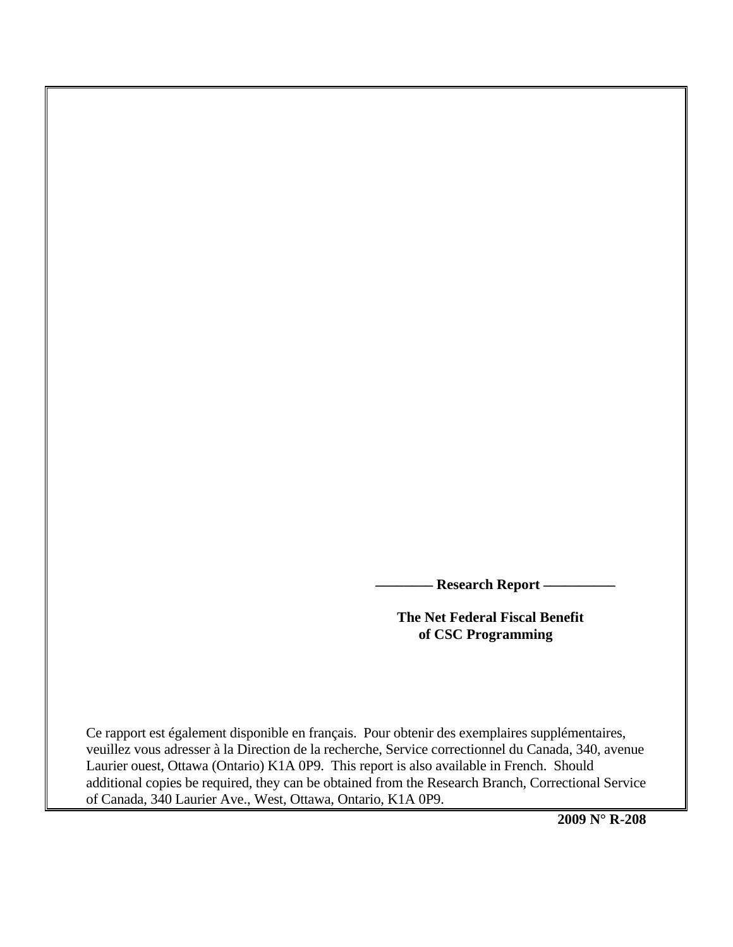**Research Report -**

 **The Net Federal Fiscal Benefit of CSC Programming** 

Ce rapport est également disponible en français. Pour obtenir des exemplaires supplémentaires, veuillez vous adresser à la Direction de la recherche, Service correctionnel du Canada, 340, avenue Laurier ouest, Ottawa (Ontario) K1A 0P9. This report is also available in French. Should additional copies be required, they can be obtained from the Research Branch, Correctional Service of Canada, 340 Laurier Ave., West, Ottawa, Ontario, K1A 0P9.

**2009 N° R-208**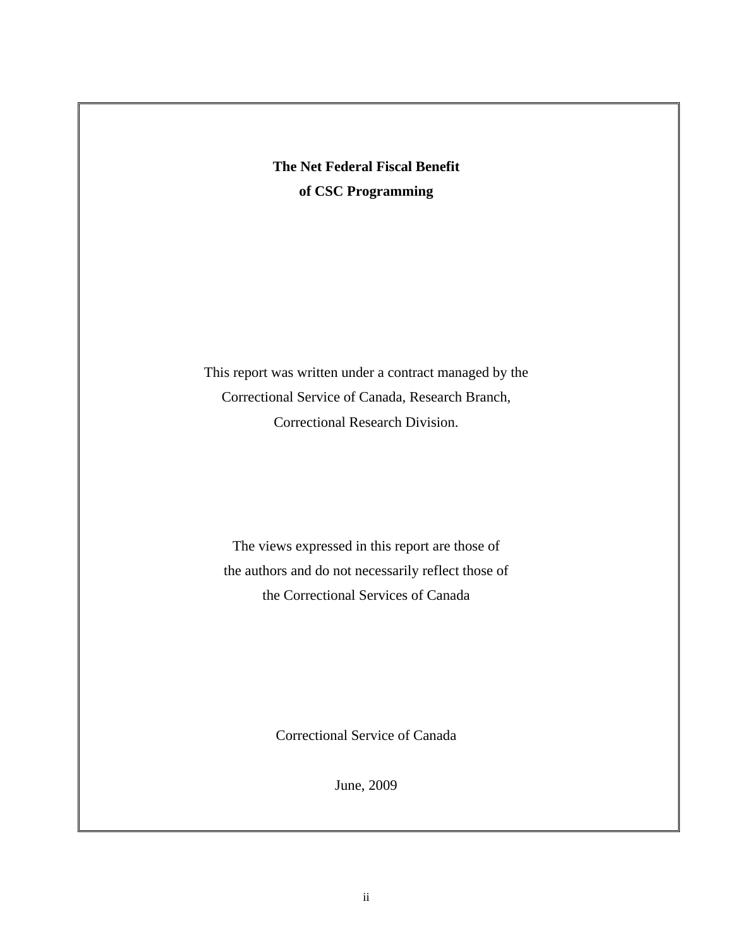**The Net Federal Fiscal Benefit of CSC Programming** 

This report was written under a contract managed by the Correctional Service of Canada, Research Branch, Correctional Research Division.

The views expressed in this report are those of the authors and do not necessarily reflect those of the Correctional Services of Canada

Correctional Service of Canada

June, 2009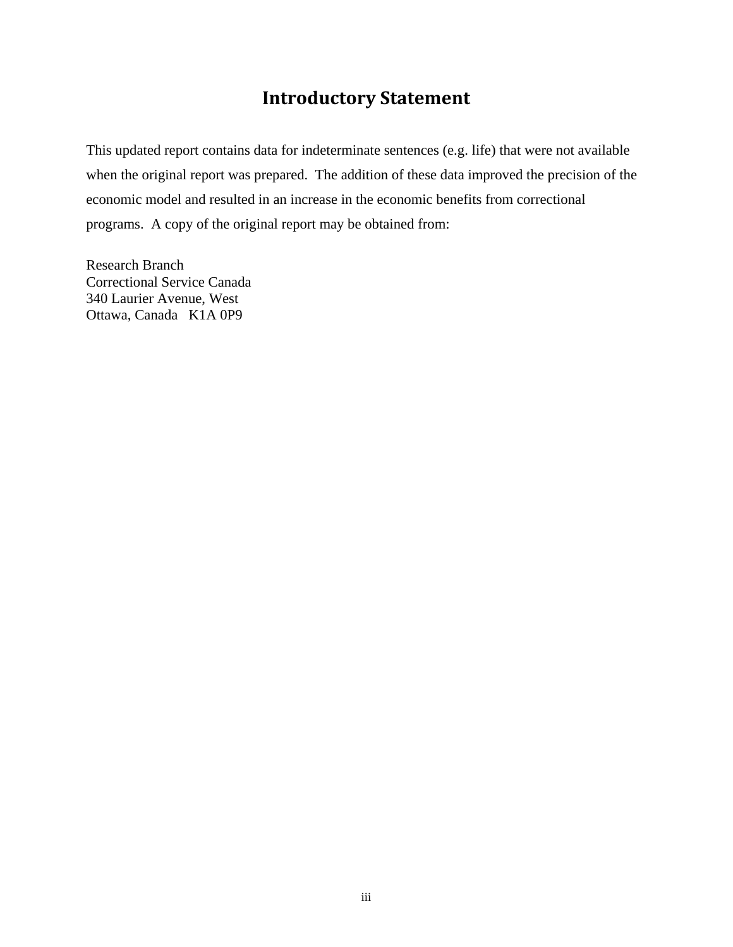### **Introductory Statement**

<span id="page-2-0"></span>This updated report contains data for indeterminate sentences (e.g. life) that were not available when the original report was prepared. The addition of these data improved the precision of the economic model and resulted in an increase in the economic benefits from correctional programs. A copy of the original report may be obtained from:

Research Branch Correctional Service Canada 340 Laurier Avenue, West Ottawa, Canada K1A 0P9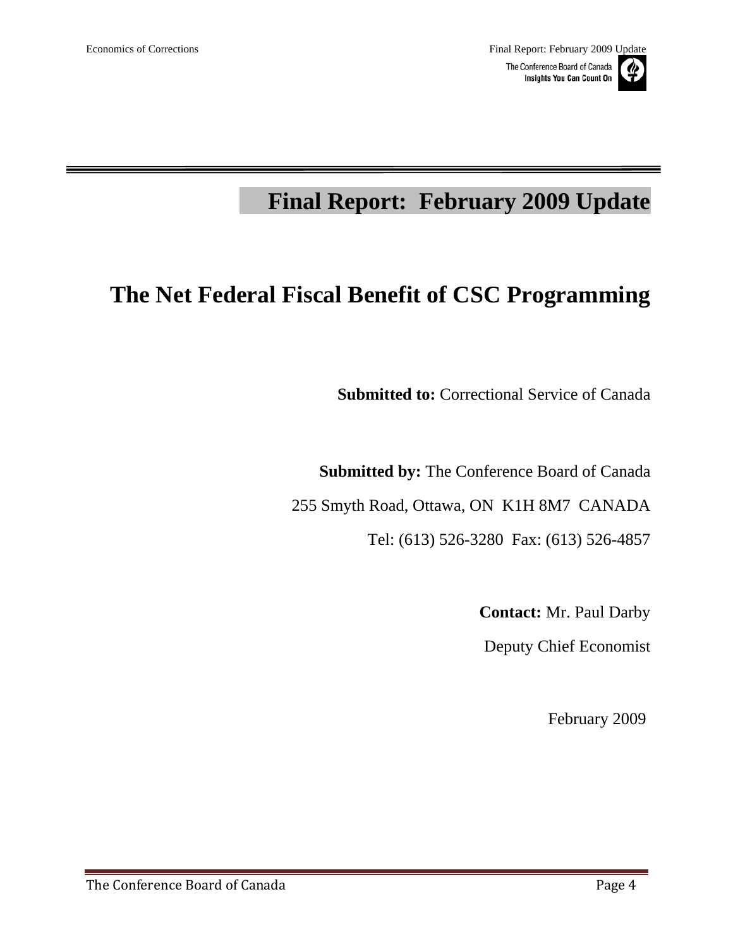# **Final Report: February 2009 Update**

# **The Net Federal Fiscal Benefit of CSC Programming**

**Submitted to:** Correctional Service of Canada

**Submitted by:** The Conference Board of Canada

255 Smyth Road, Ottawa, ON K1H 8M7 CANADA

Tel: (613) 526-3280 Fax: (613) 526-4857

**Contact:** Mr. Paul Darby

Deputy Chief Economist

February 2009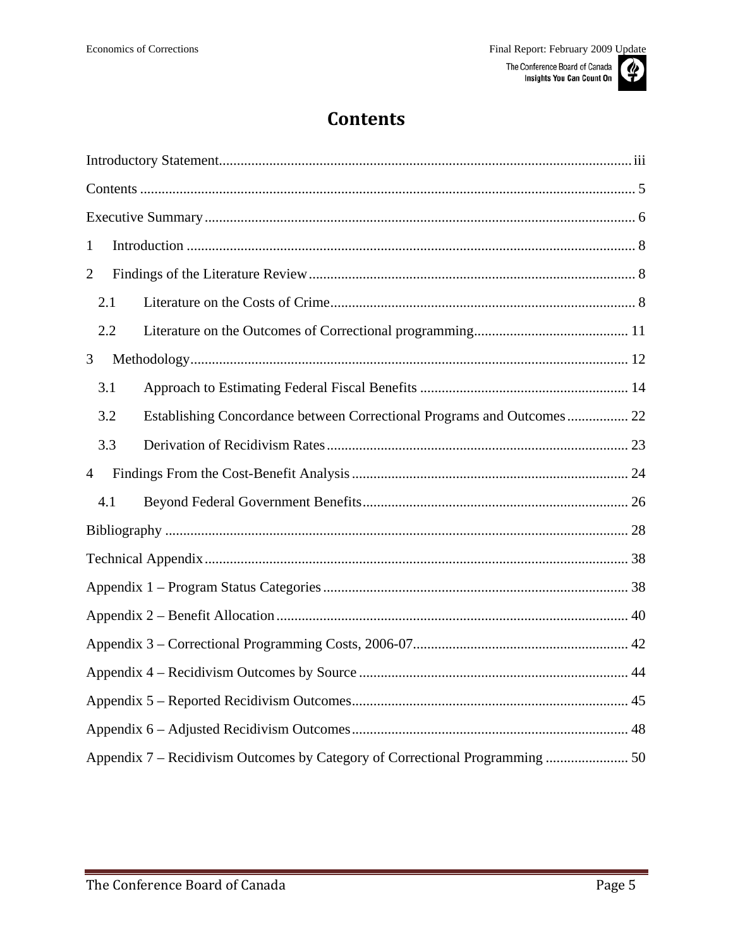# **Contents**

<span id="page-4-0"></span>

| 1              |                                                                        |  |
|----------------|------------------------------------------------------------------------|--|
| $\overline{2}$ |                                                                        |  |
| 2.1            |                                                                        |  |
| 2.2            |                                                                        |  |
| 3              |                                                                        |  |
| 3.1            |                                                                        |  |
| 3.2            | Establishing Concordance between Correctional Programs and Outcomes 22 |  |
| 3.3            |                                                                        |  |
| $\overline{4}$ |                                                                        |  |
| 4.1            |                                                                        |  |
|                |                                                                        |  |
|                |                                                                        |  |
|                |                                                                        |  |
|                |                                                                        |  |
|                |                                                                        |  |
|                |                                                                        |  |
|                |                                                                        |  |
|                |                                                                        |  |
|                |                                                                        |  |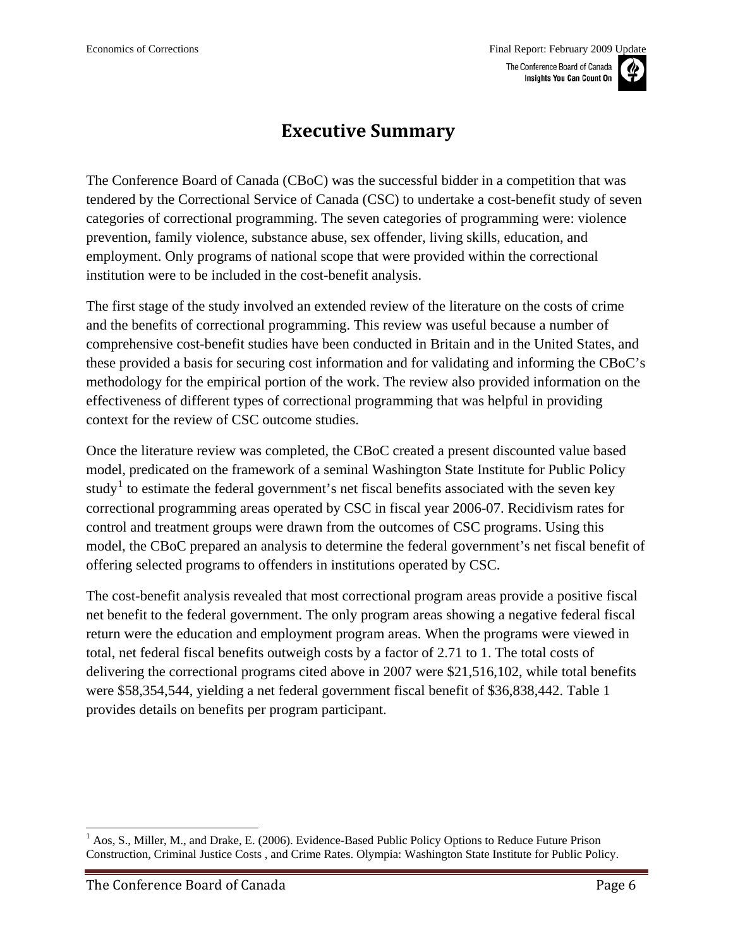### **Executive Summary**

<span id="page-5-0"></span>The Conference Board of Canada (CBoC) was the successful bidder in a competition that was tendered by the Correctional Service of Canada (CSC) to undertake a cost-benefit study of seven categories of correctional programming. The seven categories of programming were: violence prevention, family violence, substance abuse, sex offender, living skills, education, and employment. Only programs of national scope that were provided within the correctional institution were to be included in the cost-benefit analysis.

The first stage of the study involved an extended review of the literature on the costs of crime and the benefits of correctional programming. This review was useful because a number of comprehensive cost-benefit studies have been conducted in Britain and in the United States, and these provided a basis for securing cost information and for validating and informing the CBoC's methodology for the empirical portion of the work. The review also provided information on the effectiveness of different types of correctional programming that was helpful in providing context for the review of CSC outcome studies.

Once the literature review was completed, the CBoC created a present discounted value based model, predicated on the framework of a seminal Washington State Institute for Public Policy study<sup>[1](#page-5-1)</sup> to estimate the federal government's net fiscal benefits associated with the seven key correctional programming areas operated by CSC in fiscal year 2006-07. Recidivism rates for control and treatment groups were drawn from the outcomes of CSC programs. Using this model, the CBoC prepared an analysis to determine the federal government's net fiscal benefit of offering selected programs to offenders in institutions operated by CSC.

The cost-benefit analysis revealed that most correctional program areas provide a positive fiscal net benefit to the federal government. The only program areas showing a negative federal fiscal return were the education and employment program areas. When the programs were viewed in total, net federal fiscal benefits outweigh costs by a factor of 2.71 to 1. The total costs of delivering the correctional programs cited above in 2007 were \$21,516,102, while total benefits were \$58,354,544, yielding a net federal government fiscal benefit of \$36,838,442. Table 1 provides details on benefits per program participant.

<span id="page-5-1"></span><sup>&</sup>lt;sup>1</sup> Aos, S., Miller, M., and Drake, E. (2006). Evidence-Based Public Policy Options to Reduce Future Prison Construction, Criminal Justice Costs , and Crime Rates. Olympia: Washington State Institute for Public Policy.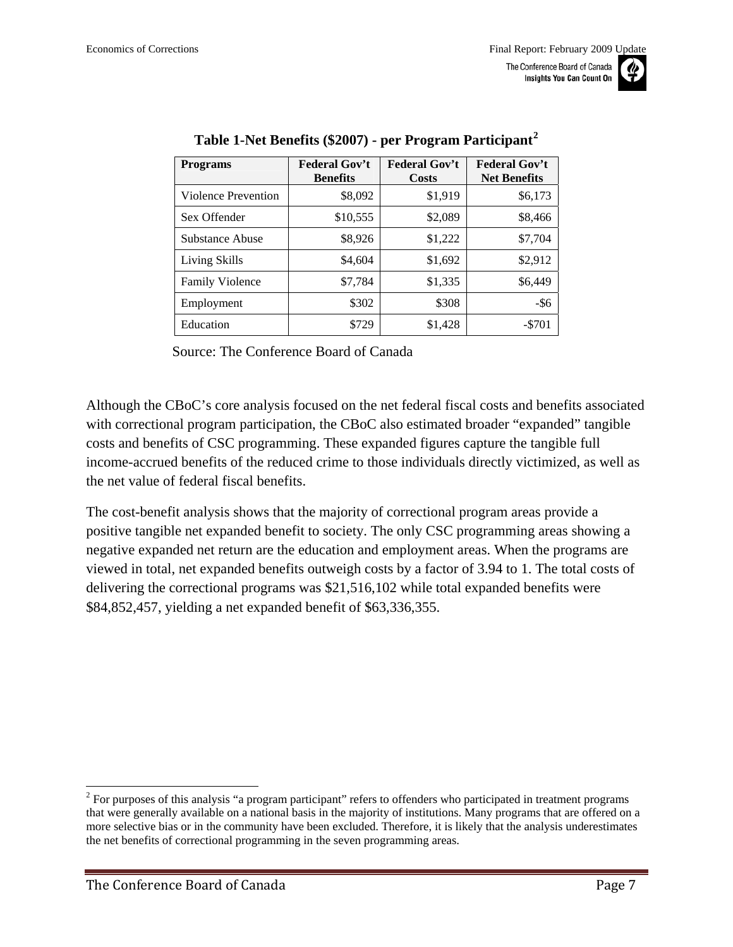<span id="page-6-0"></span>

| <b>Programs</b>        | <b>Federal Gov't</b><br><b>Benefits</b> | <b>Federal Gov't</b><br>Costs | <b>Federal Gov't</b><br><b>Net Benefits</b> |
|------------------------|-----------------------------------------|-------------------------------|---------------------------------------------|
| Violence Prevention    | \$8,092                                 | \$1,919                       | \$6,173                                     |
| Sex Offender           | \$10,555                                | \$2,089                       | \$8,466                                     |
| Substance Abuse        | \$8,926                                 | \$1,222                       | \$7,704                                     |
| Living Skills          | \$4,604                                 | \$1,692                       | \$2,912                                     |
| <b>Family Violence</b> | \$7,784                                 | \$1,335                       | \$6,449                                     |
| Employment             | \$302                                   | \$308                         | $-$ \$6                                     |
| Education              | \$729                                   | \$1,428                       | $- $701$                                    |

**Table 1-Net Benefits (\$2007) - per Program Participant[2](#page-6-0)**

Source: The Conference Board of Canada

Although the CBoC's core analysis focused on the net federal fiscal costs and benefits associated with correctional program participation, the CBoC also estimated broader "expanded" tangible costs and benefits of CSC programming. These expanded figures capture the tangible full income-accrued benefits of the reduced crime to those individuals directly victimized, as well as the net value of federal fiscal benefits.

The cost-benefit analysis shows that the majority of correctional program areas provide a positive tangible net expanded benefit to society. The only CSC programming areas showing a negative expanded net return are the education and employment areas. When the programs are viewed in total, net expanded benefits outweigh costs by a factor of 3.94 to 1. The total costs of delivering the correctional programs was \$21,516,102 while total expanded benefits were \$84,852,457, yielding a net expanded benefit of \$63,336,355.

 $2^{2}$  For purposes of this analysis "a program participant" refers to offenders who participated in treatment programs that were generally available on a national basis in the majority of institutions. Many programs that are offered on a more selective bias or in the community have been excluded. Therefore, it is likely that the analysis underestimates the net benefits of correctional programming in the seven programming areas.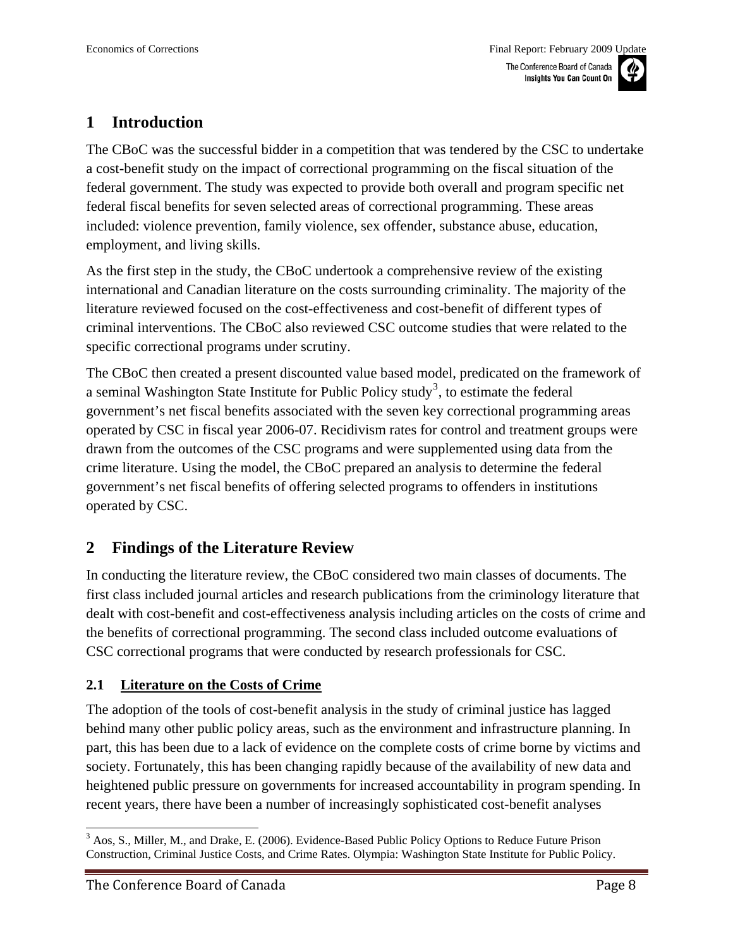# <span id="page-7-0"></span>**1 Introduction**

The CBoC was the successful bidder in a competition that was tendered by the CSC to undertake a cost-benefit study on the impact of correctional programming on the fiscal situation of the federal government. The study was expected to provide both overall and program specific net federal fiscal benefits for seven selected areas of correctional programming. These areas included: violence prevention, family violence, sex offender, substance abuse, education, employment, and living skills.

As the first step in the study, the CBoC undertook a comprehensive review of the existing international and Canadian literature on the costs surrounding criminality. The majority of the literature reviewed focused on the cost-effectiveness and cost-benefit of different types of criminal interventions. The CBoC also reviewed CSC outcome studies that were related to the specific correctional programs under scrutiny.

The CBoC then created a present discounted value based model, predicated on the framework of a seminal Washington State Institute for Public Policy study<sup>[3](#page-7-0)</sup>, to estimate the federal government's net fiscal benefits associated with the seven key correctional programming areas operated by CSC in fiscal year 2006-07. Recidivism rates for control and treatment groups were drawn from the outcomes of the CSC programs and were supplemented using data from the crime literature. Using the model, the CBoC prepared an analysis to determine the federal government's net fiscal benefits of offering selected programs to offenders in institutions operated by CSC.

### **2 Findings of the Literature Review**

In conducting the literature review, the CBoC considered two main classes of documents. The first class included journal articles and research publications from the criminology literature that dealt with cost-benefit and cost-effectiveness analysis including articles on the costs of crime and the benefits of correctional programming. The second class included outcome evaluations of CSC correctional programs that were conducted by research professionals for CSC.

#### **2.1 Literature on the Costs of Crime**

The adoption of the tools of cost-benefit analysis in the study of criminal justice has lagged behind many other public policy areas, such as the environment and infrastructure planning. In part, this has been due to a lack of evidence on the complete costs of crime borne by victims and society. Fortunately, this has been changing rapidly because of the availability of new data and heightened public pressure on governments for increased accountability in program spending. In recent years, there have been a number of increasingly sophisticated cost-benefit analyses

 $\overline{a}$  $3$  Aos, S., Miller, M., and Drake, E. (2006). Evidence-Based Public Policy Options to Reduce Future Prison Construction, Criminal Justice Costs, and Crime Rates. Olympia: Washington State Institute for Public Policy.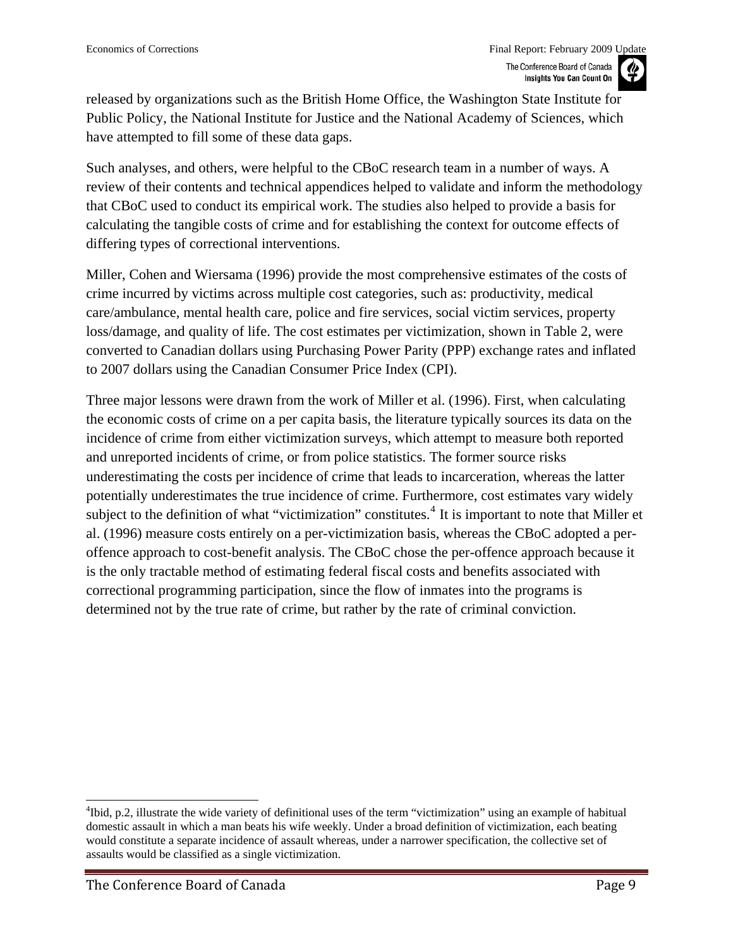<span id="page-8-0"></span>released by organizations such as the British Home Office, the Washington State Institute for Public Policy, the National Institute for Justice and the National Academy of Sciences, which have attempted to fill some of these data gaps.

Such analyses, and others, were helpful to the CBoC research team in a number of ways. A review of their contents and technical appendices helped to validate and inform the methodology that CBoC used to conduct its empirical work. The studies also helped to provide a basis for calculating the tangible costs of crime and for establishing the context for outcome effects of differing types of correctional interventions.

Miller, Cohen and Wiersama (1996) provide the most comprehensive estimates of the costs of crime incurred by victims across multiple cost categories, such as: productivity, medical care/ambulance, mental health care, police and fire services, social victim services, property loss/damage, and quality of life. The cost estimates per victimization, shown in [Table 2](#page-9-0), were converted to Canadian dollars using Purchasing Power Parity (PPP) exchange rates and inflated to 2007 dollars using the Canadian Consumer Price Index (CPI).

Three major lessons were drawn from the work of Miller et al. (1996). First, when calculating the economic costs of crime on a per capita basis, the literature typically sources its data on the incidence of crime from either victimization surveys, which attempt to measure both reported and unreported incidents of crime, or from police statistics. The former source risks underestimating the costs per incidence of crime that leads to incarceration, whereas the latter potentially underestimates the true incidence of crime. Furthermore, cost estimates vary widely subject to the definition of what "victimization" constitutes.<sup>[4](#page-8-0)</sup> It is important to note that Miller et al. (1996) measure costs entirely on a per-victimization basis, whereas the CBoC adopted a peroffence approach to cost-benefit analysis. The CBoC chose the per-offence approach because it is the only tractable method of estimating federal fiscal costs and benefits associated with correctional programming participation, since the flow of inmates into the programs is determined not by the true rate of crime, but rather by the rate of criminal conviction.

 $\overline{a}$ <sup>4</sup>Ibid, p.2, illustrate the wide variety of definitional uses of the term "victimization" using an example of habitual domestic assault in which a man beats his wife weekly. Under a broad definition of victimization, each beating would constitute a separate incidence of assault whereas, under a narrower specification, the collective set of assaults would be classified as a single victimization.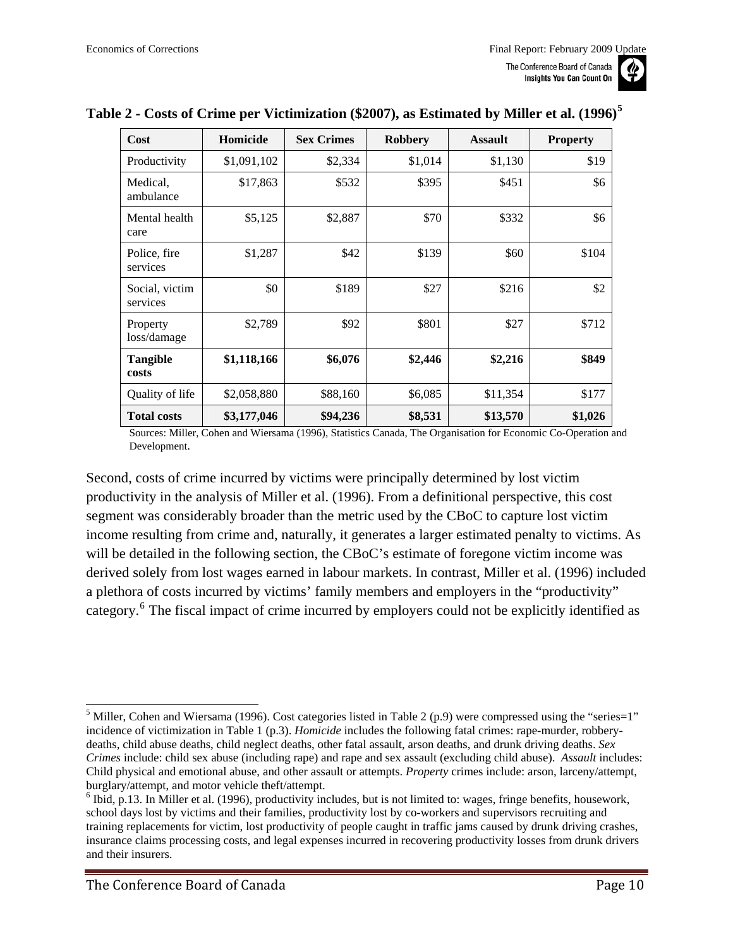| Cost                       | Homicide    | <b>Sex Crimes</b> | <b>Robbery</b> | <b>Assault</b> | <b>Property</b> |
|----------------------------|-------------|-------------------|----------------|----------------|-----------------|
| Productivity               | \$1,091,102 | \$2,334           | \$1,014        | \$1,130        | \$19            |
| Medical,<br>ambulance      | \$17,863    | \$532             | \$395          | \$451          | \$6             |
| Mental health<br>care      | \$5,125     | \$2,887           | \$70           | \$332          | \$6             |
| Police, fire<br>services   | \$1,287     | \$42              | \$139          | \$60           | \$104           |
| Social, victim<br>services | \$0         | \$189             | \$27           | \$216          | \$2             |
| Property<br>loss/damage    | \$2,789     | \$92              | \$801          | \$27           | \$712           |
| <b>Tangible</b><br>costs   | \$1,118,166 | \$6,076           | \$2,446        | \$2,216        | \$849           |
| Quality of life            | \$2,058,880 | \$88,160          | \$6,085        | \$11,354       | \$177           |
| <b>Total costs</b>         | \$3,177,046 | \$94,236          | \$8,531        | \$13,570       | \$1,026         |

#### <span id="page-9-1"></span><span id="page-9-0"></span>**Table 2 - Costs of Crime per Victimization (\$2007), as Estimated by Miller et al. (1996)[5](#page-9-1)**

Sources: Miller, Cohen and Wiersama (1996), Statistics Canada, The Organisation for Economic Co-Operation and Development.

Second, costs of crime incurred by victims were principally determined by lost victim productivity in the analysis of Miller et al. (1996). From a definitional perspective, this cost segment was considerably broader than the metric used by the CBoC to capture lost victim income resulting from crime and, naturally, it generates a larger estimated penalty to victims. As will be detailed in the following section, the CBoC's estimate of foregone victim income was derived solely from lost wages earned in labour markets. In contrast, Miller et al. (1996) included a plethora of costs incurred by victims' family members and employers in the "productivity" category.<sup>[6](#page-9-1)</sup> The fiscal impact of crime incurred by employers could not be explicitly identified as



 $\overline{a}$ <sup>5</sup> Miller, Cohen and Wiersama (1996). Cost categories listed in Table 2 (p.9) were compressed using the "series=1" incidence of victimization in Table 1 (p.3). *Homicide* includes the following fatal crimes: rape-murder, robberydeaths, child abuse deaths, child neglect deaths, other fatal assault, arson deaths, and drunk driving deaths. *Sex Crimes* include: child sex abuse (including rape) and rape and sex assault (excluding child abuse). *Assault* includes: Child physical and emotional abuse, and other assault or attempts. *Property* crimes include: arson, larceny/attempt, burglary/attempt, and motor vehicle theft/attempt.

 $6$  Ibid, p.13. In Miller et al. (1996), productivity includes, but is not limited to: wages, fringe benefits, housework, school days lost by victims and their families, productivity lost by co-workers and supervisors recruiting and training replacements for victim, lost productivity of people caught in traffic jams caused by drunk driving crashes, insurance claims processing costs, and legal expenses incurred in recovering productivity losses from drunk drivers and their insurers.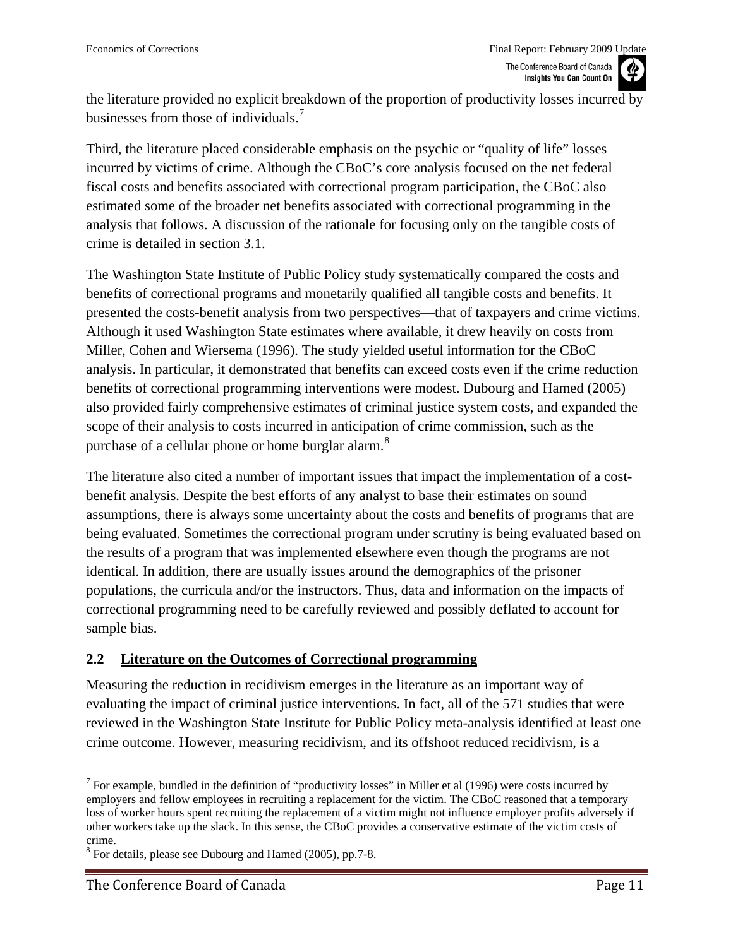<span id="page-10-0"></span>the literature provided no explicit breakdown of the proportion of productivity losses incurred by businesses from those of individuals.<sup>[7](#page-10-0)</sup>

Third, the literature placed considerable emphasis on the psychic or "quality of life" losses incurred by victims of crime. Although the CBoC's core analysis focused on the net federal fiscal costs and benefits associated with correctional program participation, the CBoC also estimated some of the broader net benefits associated with correctional programming in the analysis that follows. A discussion of the rationale for focusing only on the tangible costs of crime is detailed in section 3.1.

The Washington State Institute of Public Policy study systematically compared the costs and benefits of correctional programs and monetarily qualified all tangible costs and benefits. It presented the costs-benefit analysis from two perspectives—that of taxpayers and crime victims. Although it used Washington State estimates where available, it drew heavily on costs from Miller, Cohen and Wiersema (1996). The study yielded useful information for the CBoC analysis. In particular, it demonstrated that benefits can exceed costs even if the crime reduction benefits of correctional programming interventions were modest. Dubourg and Hamed (2005) also provided fairly comprehensive estimates of criminal justice system costs, and expanded the scope of their analysis to costs incurred in anticipation of crime commission, such as the purchase of a cellular phone or home burglar alarm.<sup>[8](#page-10-0)</sup>

The literature also cited a number of important issues that impact the implementation of a costbenefit analysis. Despite the best efforts of any analyst to base their estimates on sound assumptions, there is always some uncertainty about the costs and benefits of programs that are being evaluated. Sometimes the correctional program under scrutiny is being evaluated based on the results of a program that was implemented elsewhere even though the programs are not identical. In addition, there are usually issues around the demographics of the prisoner populations, the curricula and/or the instructors. Thus, data and information on the impacts of correctional programming need to be carefully reviewed and possibly deflated to account for sample bias.

#### **2.2 Literature on the Outcomes of Correctional programming**

Measuring the reduction in recidivism emerges in the literature as an important way of evaluating the impact of criminal justice interventions. In fact, all of the 571 studies that were reviewed in the Washington State Institute for Public Policy meta-analysis identified at least one crime outcome. However, measuring recidivism, and its offshoot reduced recidivism, is a

l <sup>7</sup> For example, bundled in the definition of "productivity losses" in Miller et al (1996) were costs incurred by employers and fellow employees in recruiting a replacement for the victim. The CBoC reasoned that a temporary loss of worker hours spent recruiting the replacement of a victim might not influence employer profits adversely if other workers take up the slack. In this sense, the CBoC provides a conservative estimate of the victim costs of crime.

<sup>&</sup>lt;sup>8</sup> For details, please see Dubourg and Hamed (2005), pp.7-8.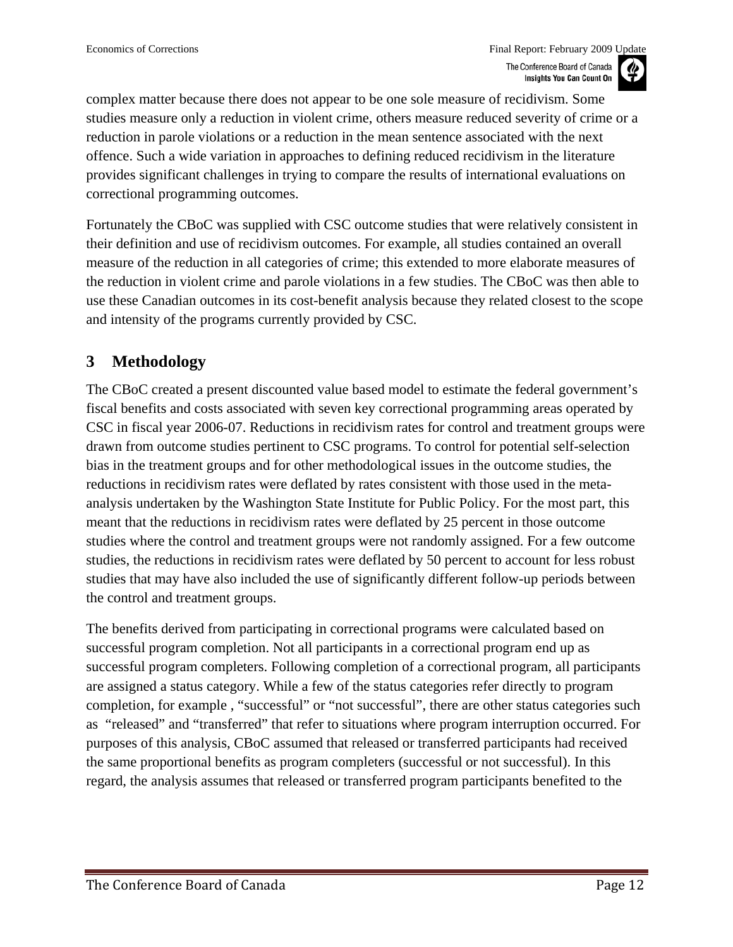<span id="page-11-0"></span>complex matter because there does not appear to be one sole measure of recidivism. Some studies measure only a reduction in violent crime, others measure reduced severity of crime or a reduction in parole violations or a reduction in the mean sentence associated with the next offence. Such a wide variation in approaches to defining reduced recidivism in the literature provides significant challenges in trying to compare the results of international evaluations on correctional programming outcomes.

Fortunately the CBoC was supplied with CSC outcome studies that were relatively consistent in their definition and use of recidivism outcomes. For example, all studies contained an overall measure of the reduction in all categories of crime; this extended to more elaborate measures of the reduction in violent crime and parole violations in a few studies. The CBoC was then able to use these Canadian outcomes in its cost-benefit analysis because they related closest to the scope and intensity of the programs currently provided by CSC.

### **3 Methodology**

The CBoC created a present discounted value based model to estimate the federal government's fiscal benefits and costs associated with seven key correctional programming areas operated by CSC in fiscal year 2006-07. Reductions in recidivism rates for control and treatment groups were drawn from outcome studies pertinent to CSC programs. To control for potential self-selection bias in the treatment groups and for other methodological issues in the outcome studies, the reductions in recidivism rates were deflated by rates consistent with those used in the metaanalysis undertaken by the Washington State Institute for Public Policy. For the most part, this meant that the reductions in recidivism rates were deflated by 25 percent in those outcome studies where the control and treatment groups were not randomly assigned. For a few outcome studies, the reductions in recidivism rates were deflated by 50 percent to account for less robust studies that may have also included the use of significantly different follow-up periods between the control and treatment groups.

The benefits derived from participating in correctional programs were calculated based on successful program completion. Not all participants in a correctional program end up as successful program completers. Following completion of a correctional program, all participants are assigned a status category. While a few of the status categories refer directly to program completion, for example , "successful" or "not successful", there are other status categories such as "released" and "transferred" that refer to situations where program interruption occurred. For purposes of this analysis, CBoC assumed that released or transferred participants had received the same proportional benefits as program completers (successful or not successful). In this regard, the analysis assumes that released or transferred program participants benefited to the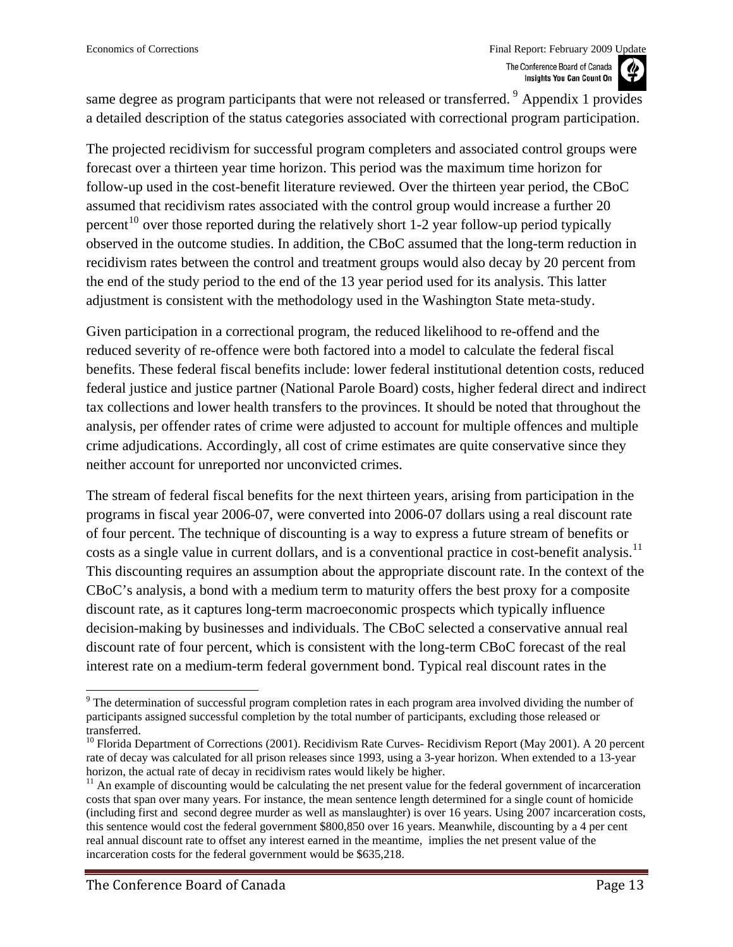<span id="page-12-0"></span>same degree as program participants that were not released or transferred. <sup>[9](#page-12-0)</sup> Appendix 1 provides a detailed description of the status categories associated with correctional program participation.

The projected recidivism for successful program completers and associated control groups were forecast over a thirteen year time horizon. This period was the maximum time horizon for follow-up used in the cost-benefit literature reviewed. Over the thirteen year period, the CBoC assumed that recidivism rates associated with the control group would increase a further 20 percent<sup>[10](#page-12-0)</sup> over those reported during the relatively short 1-2 year follow-up period typically observed in the outcome studies. In addition, the CBoC assumed that the long-term reduction in recidivism rates between the control and treatment groups would also decay by 20 percent from the end of the study period to the end of the 13 year period used for its analysis. This latter adjustment is consistent with the methodology used in the Washington State meta-study.

Given participation in a correctional program, the reduced likelihood to re-offend and the reduced severity of re-offence were both factored into a model to calculate the federal fiscal benefits. These federal fiscal benefits include: lower federal institutional detention costs, reduced federal justice and justice partner (National Parole Board) costs, higher federal direct and indirect tax collections and lower health transfers to the provinces. It should be noted that throughout the analysis, per offender rates of crime were adjusted to account for multiple offences and multiple crime adjudications. Accordingly, all cost of crime estimates are quite conservative since they neither account for unreported nor unconvicted crimes.

The stream of federal fiscal benefits for the next thirteen years, arising from participation in the programs in fiscal year 2006-07, were converted into 2006-07 dollars using a real discount rate of four percent. The technique of discounting is a way to express a future stream of benefits or costs as a single value in current dollars, and is a conventional practice in cost-benefit analysis.<sup>[11](#page-12-0)</sup> This discounting requires an assumption about the appropriate discount rate. In the context of the CBoC's analysis, a bond with a medium term to maturity offers the best proxy for a composite discount rate, as it captures long-term macroeconomic prospects which typically influence decision-making by businesses and individuals. The CBoC selected a conservative annual real discount rate of four percent, which is consistent with the long-term CBoC forecast of the real interest rate on a medium-term federal government bond. Typical real discount rates in the

 $9$  The determination of successful program completion rates in each program area involved dividing the number of participants assigned successful completion by the total number of participants, excluding those released or transferred.

<sup>&</sup>lt;sup>10</sup> Florida Department of Corrections (2001). Recidivism Rate Curves- Recidivism Report (May 2001). A 20 percent rate of decay was calculated for all prison releases since 1993, using a 3-year horizon. When extended to a 13-year horizon, the actual rate of decay in recidivism rates would likely be higher.

 $11$  An example of discounting would be calculating the net present value for the federal government of incarceration costs that span over many years. For instance, the mean sentence length determined for a single count of homicide (including first and second degree murder as well as manslaughter) is over 16 years. Using 2007 incarceration costs, this sentence would cost the federal government \$800,850 over 16 years. Meanwhile, discounting by a 4 per cent real annual discount rate to offset any interest earned in the meantime, implies the net present value of the incarceration costs for the federal government would be \$635,218.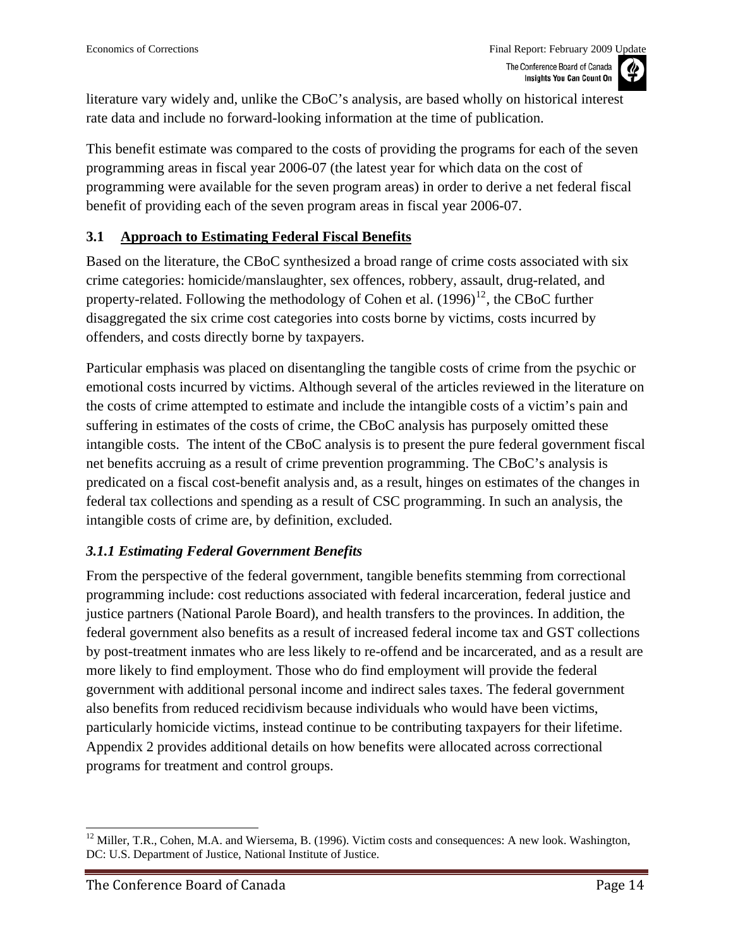<span id="page-13-0"></span>literature vary widely and, unlike the CBoC's analysis, are based wholly on historical interest rate data and include no forward-looking information at the time of publication.

This benefit estimate was compared to the costs of providing the programs for each of the seven programming areas in fiscal year 2006-07 (the latest year for which data on the cost of programming were available for the seven program areas) in order to derive a net federal fiscal benefit of providing each of the seven program areas in fiscal year 2006-07.

#### **3.1 Approach to Estimating Federal Fiscal Benefits**

Based on the literature, the CBoC synthesized a broad range of crime costs associated with six crime categories: homicide/manslaughter, sex offences, robbery, assault, drug-related, and property-related. Following the methodology of Cohen et al.  $(1996)^{12}$  $(1996)^{12}$  $(1996)^{12}$ , the CBoC further disaggregated the six crime cost categories into costs borne by victims, costs incurred by offenders, and costs directly borne by taxpayers.

Particular emphasis was placed on disentangling the tangible costs of crime from the psychic or emotional costs incurred by victims. Although several of the articles reviewed in the literature on the costs of crime attempted to estimate and include the intangible costs of a victim's pain and suffering in estimates of the costs of crime, the CBoC analysis has purposely omitted these intangible costs. The intent of the CBoC analysis is to present the pure federal government fiscal net benefits accruing as a result of crime prevention programming. The CBoC's analysis is predicated on a fiscal cost-benefit analysis and, as a result, hinges on estimates of the changes in federal tax collections and spending as a result of CSC programming. In such an analysis, the intangible costs of crime are, by definition, excluded.

#### *3.1.1 Estimating Federal Government Benefits*

From the perspective of the federal government, tangible benefits stemming from correctional programming include: cost reductions associated with federal incarceration, federal justice and justice partners (National Parole Board), and health transfers to the provinces. In addition, the federal government also benefits as a result of increased federal income tax and GST collections by post-treatment inmates who are less likely to re-offend and be incarcerated, and as a result are more likely to find employment. Those who do find employment will provide the federal government with additional personal income and indirect sales taxes. The federal government also benefits from reduced recidivism because individuals who would have been victims, particularly homicide victims, instead continue to be contributing taxpayers for their lifetime. Appendix 2 provides additional details on how benefits were allocated across correctional programs for treatment and control groups.

<sup>&</sup>lt;sup>12</sup> Miller, T.R., Cohen, M.A. and Wiersema, B. (1996). Victim costs and consequences: A new look. Washington, DC: U.S. Department of Justice, National Institute of Justice.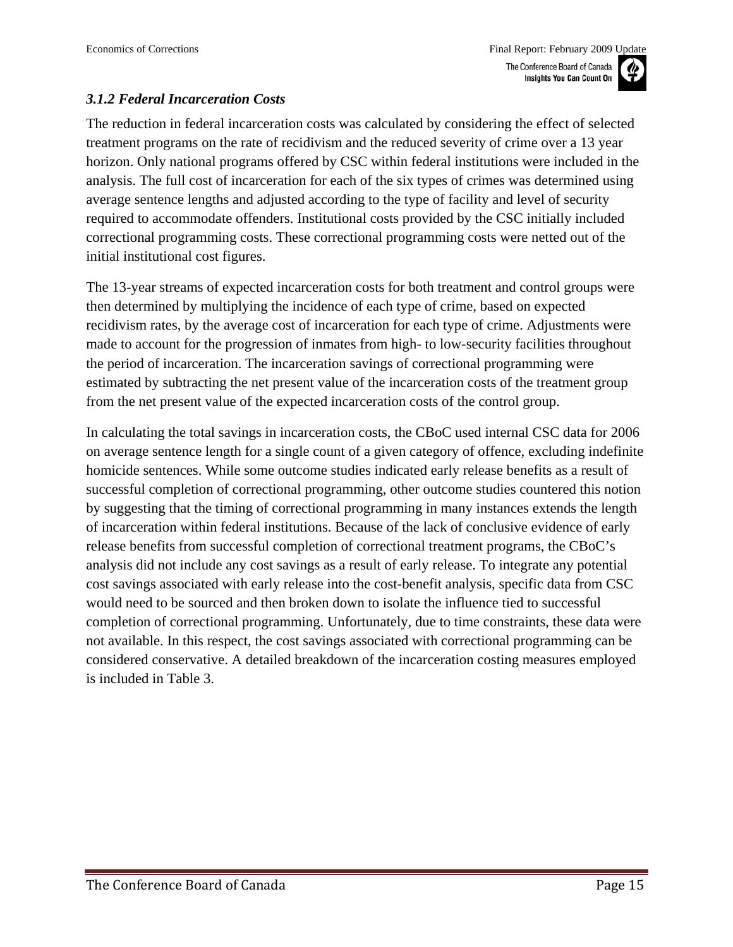#### *3.1.2 Federal Incarceration Costs*

The reduction in federal incarceration costs was calculated by considering the effect of selected treatment programs on the rate of recidivism and the reduced severity of crime over a 13 year horizon. Only national programs offered by CSC within federal institutions were included in the analysis. The full cost of incarceration for each of the six types of crimes was determined using average sentence lengths and adjusted according to the type of facility and level of security required to accommodate offenders. Institutional costs provided by the CSC initially included correctional programming costs. These correctional programming costs were netted out of the initial institutional cost figures.

The 13-year streams of expected incarceration costs for both treatment and control groups were then determined by multiplying the incidence of each type of crime, based on expected recidivism rates, by the average cost of incarceration for each type of crime. Adjustments were made to account for the progression of inmates from high- to low-security facilities throughout the period of incarceration. The incarceration savings of correctional programming were estimated by subtracting the net present value of the incarceration costs of the treatment group from the net present value of the expected incarceration costs of the control group.

In calculating the total savings in incarceration costs, the CBoC used internal CSC data for 2006 on average sentence length for a single count of a given category of offence, excluding indefinite homicide sentences. While some outcome studies indicated early release benefits as a result of successful completion of correctional programming, other outcome studies countered this notion by suggesting that the timing of correctional programming in many instances extends the length of incarceration within federal institutions. Because of the lack of conclusive evidence of early release benefits from successful completion of correctional treatment programs, the CBoC's analysis did not include any cost savings as a result of early release. To integrate any potential cost savings associated with early release into the cost-benefit analysis, specific data from CSC would need to be sourced and then broken down to isolate the influence tied to successful completion of correctional programming. Unfortunately, due to time constraints, these data were not available. In this respect, the cost savings associated with correctional programming can be considered conservative. A detailed breakdown of the incarceration costing measures employed is included in Table 3.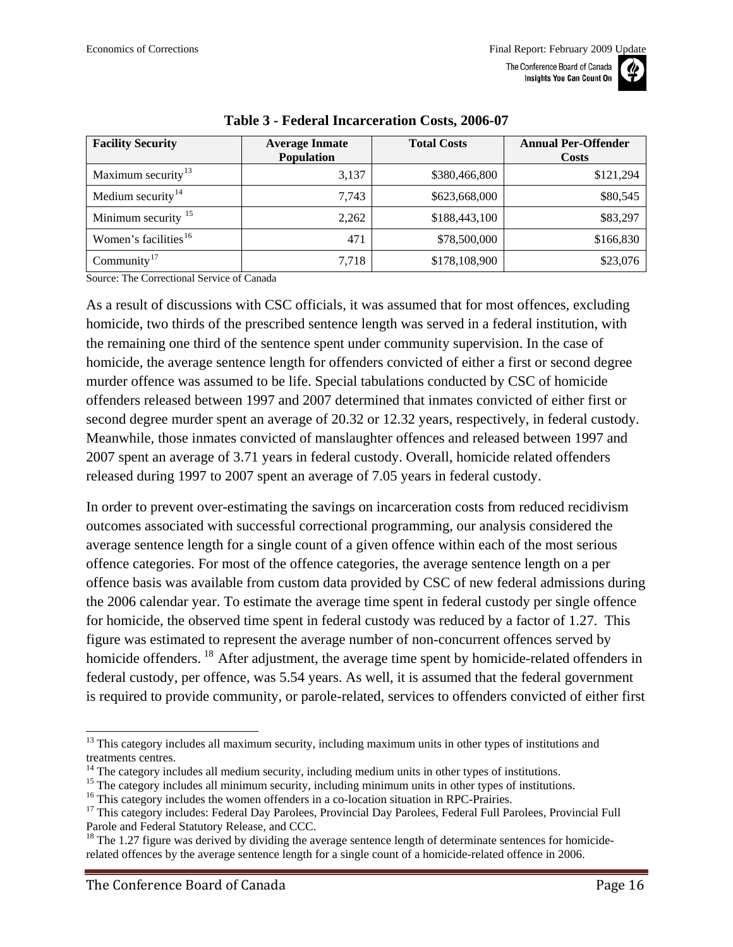

<span id="page-15-0"></span>

| <b>Facility Security</b>         | <b>Average Inmate</b><br><b>Population</b> | <b>Total Costs</b> | <b>Annual Per-Offender</b><br><b>Costs</b> |
|----------------------------------|--------------------------------------------|--------------------|--------------------------------------------|
| Maximum security <sup>13</sup>   | 3,137                                      | \$380,466,800      | \$121,294                                  |
| Medium security $14$             | 7.743                                      | \$623,668,000      | \$80,545                                   |
| Minimum security <sup>15</sup>   | 2,262                                      | \$188,443,100      | \$83,297                                   |
| Women's facilities <sup>16</sup> | 471                                        | \$78,500,000       | \$166,830                                  |
| Community <sup>17</sup>          | 7,718                                      | \$178,108,900      | \$23,076                                   |

#### **Table 3 - Federal Incarceration Costs, 2006-07**

Source: The Correctional Service of Canada

As a result of discussions with CSC officials, it was assumed that for most offences, excluding homicide, two thirds of the prescribed sentence length was served in a federal institution, with the remaining one third of the sentence spent under community supervision. In the case of homicide, the average sentence length for offenders convicted of either a first or second degree murder offence was assumed to be life. Special tabulations conducted by CSC of homicide offenders released between 1997 and 2007 determined that inmates convicted of either first or second degree murder spent an average of 20.32 or 12.32 years, respectively, in federal custody. Meanwhile, those inmates convicted of manslaughter offences and released between 1997 and 2007 spent an average of 3.71 years in federal custody. Overall, homicide related offenders released during 1997 to 2007 spent an average of 7.05 years in federal custody.

In order to prevent over-estimating the savings on incarceration costs from reduced recidivism outcomes associated with successful correctional programming, our analysis considered the average sentence length for a single count of a given offence within each of the most serious offence categories. For most of the offence categories, the average sentence length on a per offence basis was available from custom data provided by CSC of new federal admissions during the 2006 calendar year. To estimate the average time spent in federal custody per single offence for homicide, the observed time spent in federal custody was reduced by a factor of 1.27. This figure was estimated to represent the average number of non-concurrent offences served by homicide offenders. <sup>[18](#page-15-0)</sup> After adjustment, the average time spent by homicide-related offenders in federal custody, per offence, was 5.54 years. As well, it is assumed that the federal government is required to provide community, or parole-related, services to offenders convicted of either first

l

<sup>&</sup>lt;sup>13</sup> This category includes all maximum security, including maximum units in other types of institutions and treatments centres.

 $<sup>14</sup>$  The category includes all medium security, including medium units in other types of institutions.</sup>

<sup>&</sup>lt;sup>15</sup> The category includes all minimum security, including minimum units in other types of institutions.<br><sup>16</sup> This category includes the women offenders in a co-location situation in RPC-Prairies.

<sup>&</sup>lt;sup>17</sup> This category includes: Federal Day Parolees, Provincial Day Parolees, Federal Full Parolees, Provincial Full Parole and Federal Statutory Release, and CCC.

<sup>&</sup>lt;sup>18</sup> The 1.27 figure was derived by dividing the average sentence length of determinate sentences for homiciderelated offences by the average sentence length for a single count of a homicide-related offence in 2006.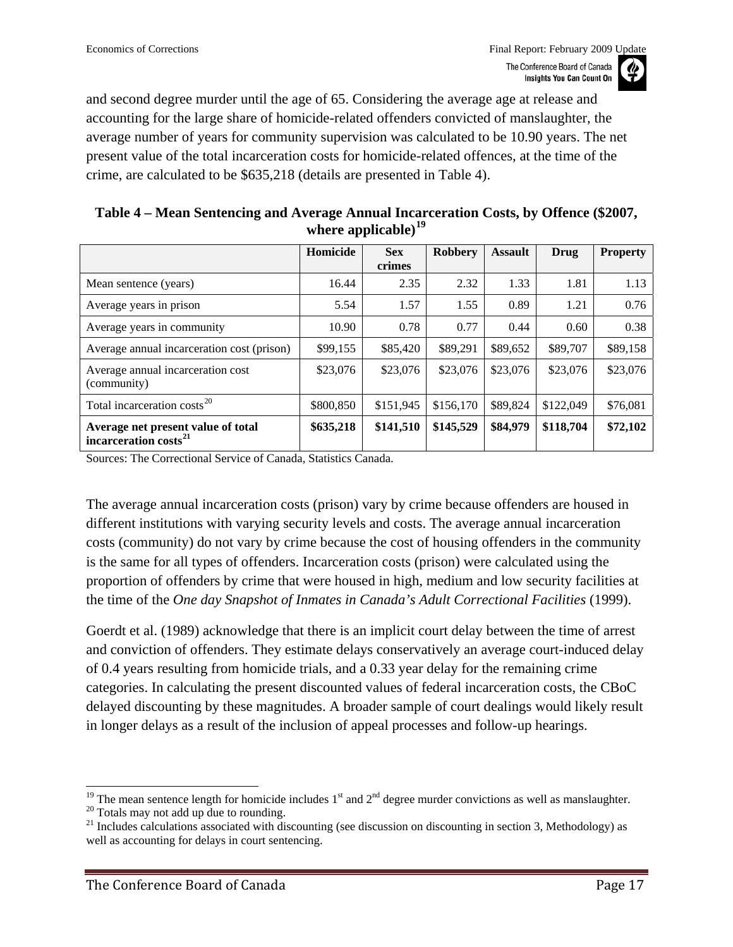<span id="page-16-1"></span>and second degree murder until the age of 65. Considering the average age at release and accounting for the large share of homicide-related offenders convicted of manslaughter, the average number of years for community supervision was calculated to be 10.90 years. The net present value of the total incarceration costs for homicide-related offences, at the time of the crime, are calculated to be \$635,218 (details are presented in [Table 4\)](#page-16-0).

| Table 4 – Mean Sentencing and Average Annual Incarceration Costs, by Offence (\$2007, |  |
|---------------------------------------------------------------------------------------|--|
| where applicable) $^{19}$                                                             |  |

<span id="page-16-0"></span>

|                                                                         | Homicide  | <b>Sex</b> | Robbery   | <b>Assault</b> | Drug      | <b>Property</b> |
|-------------------------------------------------------------------------|-----------|------------|-----------|----------------|-----------|-----------------|
|                                                                         |           | crimes     |           |                |           |                 |
| Mean sentence (years)                                                   | 16.44     | 2.35       | 2.32      | 1.33           | 1.81      | 1.13            |
| Average years in prison                                                 | 5.54      | 1.57       | 1.55      | 0.89           | 1.21      | 0.76            |
| Average years in community                                              | 10.90     | 0.78       | 0.77      | 0.44           | 0.60      | 0.38            |
| Average annual incarceration cost (prison)                              | \$99,155  | \$85,420   | \$89,291  | \$89,652       | \$89,707  | \$89,158        |
| Average annual incarceration cost<br>(community)                        | \$23,076  | \$23,076   | \$23,076  | \$23,076       | \$23,076  | \$23,076        |
| Total incarceration costs <sup>20</sup>                                 | \$800,850 | \$151,945  | \$156,170 | \$89,824       | \$122,049 | \$76,081        |
| Average net present value of total<br>incarceration costs <sup>21</sup> | \$635,218 | \$141,510  | \$145,529 | \$84,979       | \$118,704 | \$72,102        |

Sources: The Correctional Service of Canada, Statistics Canada.

The average annual incarceration costs (prison) vary by crime because offenders are housed in different institutions with varying security levels and costs. The average annual incarceration costs (community) do not vary by crime because the cost of housing offenders in the community is the same for all types of offenders. Incarceration costs (prison) were calculated using the proportion of offenders by crime that were housed in high, medium and low security facilities at the time of the *One day Snapshot of Inmates in Canada's Adult Correctional Facilities* (1999).

Goerdt et al. (1989) acknowledge that there is an implicit court delay between the time of arrest and conviction of offenders. They estimate delays conservatively an average court-induced delay of 0.4 years resulting from homicide trials, and a 0.33 year delay for the remaining crime categories. In calculating the present discounted values of federal incarceration costs, the CBoC delayed discounting by these magnitudes. A broader sample of court dealings would likely result in longer delays as a result of the inclusion of appeal processes and follow-up hearings.

<sup>&</sup>lt;sup>19</sup> The mean sentence length for homicide includes 1<sup>st</sup> and 2<sup>nd</sup> degree murder convictions as well as manslaughter.<br><sup>20</sup> Totals may not add up due to rounding.

 $21$  Includes calculations associated with discounting (see discussion on discounting in section 3, Methodology) as well as accounting for delays in court sentencing.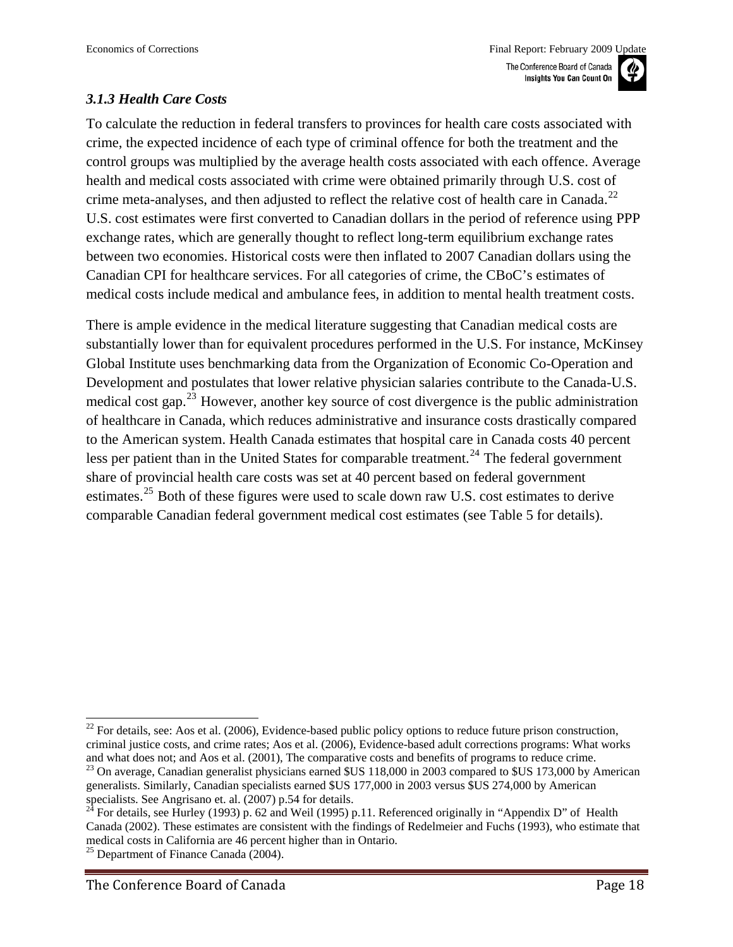#### <span id="page-17-0"></span>*3.1.3 Health Care Costs*

To calculate the reduction in federal transfers to provinces for health care costs associated with crime, the expected incidence of each type of criminal offence for both the treatment and the control groups was multiplied by the average health costs associated with each offence. Average health and medical costs associated with crime were obtained primarily through U.S. cost of crime meta-analyses, and then adjusted to reflect the relative cost of health care in Canada.<sup>[22](#page-17-0)</sup> U.S. cost estimates were first converted to Canadian dollars in the period of reference using PPP exchange rates, which are generally thought to reflect long-term equilibrium exchange rates between two economies. Historical costs were then inflated to 2007 Canadian dollars using the Canadian CPI for healthcare services. For all categories of crime, the CBoC's estimates of medical costs include medical and ambulance fees, in addition to mental health treatment costs.

There is ample evidence in the medical literature suggesting that Canadian medical costs are substantially lower than for equivalent procedures performed in the U.S. For instance, McKinsey Global Institute uses benchmarking data from the Organization of Economic Co-Operation and Development and postulates that lower relative physician salaries contribute to the Canada-U.S. medical cost gap.<sup>[23](#page-17-0)</sup> However, another key source of cost divergence is the public administration of healthcare in Canada, which reduces administrative and insurance costs drastically compared to the American system. Health Canada estimates that hospital care in Canada costs 40 percent less per patient than in the United States for comparable treatment.<sup>[24](#page-17-0)</sup> The federal government share of provincial health care costs was set at 40 percent based on federal government estimates.<sup>[25](#page-17-0)</sup> Both of these figures were used to scale down raw U.S. cost estimates to derive comparable Canadian federal government medical cost estimates (see Table 5 for details).

 $\overline{a}$  $^{22}$  For details, see: Aos et al. (2006), Evidence-based public policy options to reduce future prison construction, criminal justice costs, and crime rates; Aos et al. (2006), Evidence-based adult corrections programs: What works and what does not; and Aos et al. (2001), The comparative costs and benefits of programs to reduce crime.<br><sup>23</sup> On average, Canadian generalist physicians earned \$US 118,000 in 2003 compared to \$US 173,000 by American

generalists. Similarly, Canadian specialists earned \$US 177,000 in 2003 versus \$US 274,000 by American specialists. See Angrisano et. al. (2007) p.54 for details.

<sup>&</sup>lt;sup>24</sup> For details, see Hurley (1993) p. 62 and Weil (1995) p.11. Referenced originally in "Appendix D" of Health Canada (2002). These estimates are consistent with the findings of Redelmeier and Fuchs (1993), who estimate that medical costs in California are 46 percent higher than in Ontario. 25 Department of Finance Canada (2004).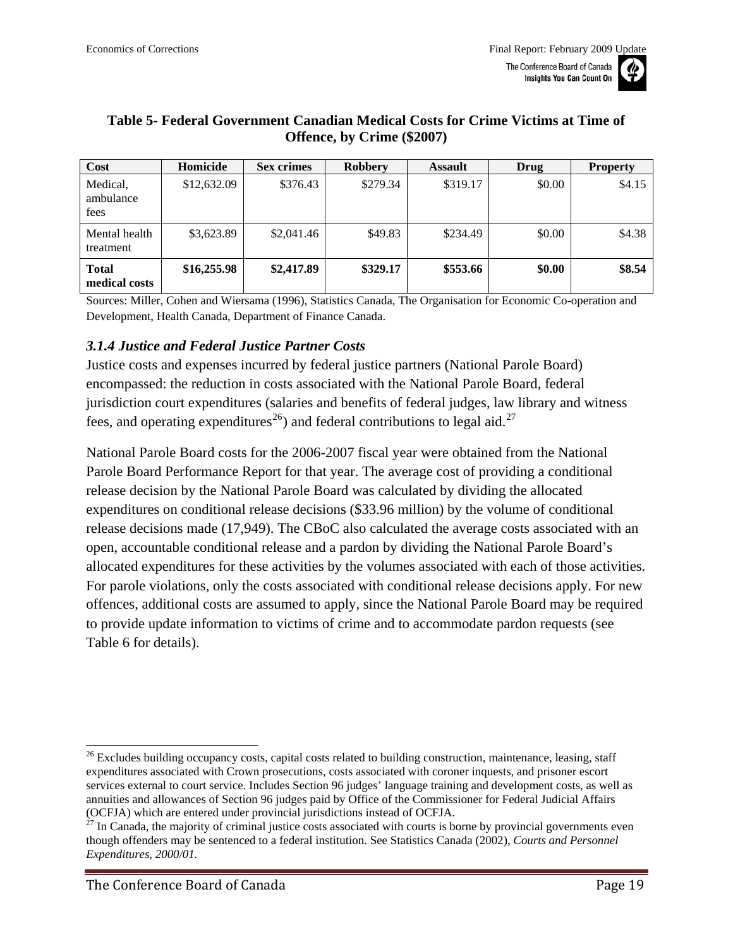

| Cost                          | Homicide    | <b>Sex crimes</b> | <b>Robbery</b> | <b>Assault</b> | Drug   | <b>Property</b> |
|-------------------------------|-------------|-------------------|----------------|----------------|--------|-----------------|
| Medical,<br>ambulance<br>fees | \$12,632.09 | \$376.43          | \$279.34       | \$319.17       | \$0.00 | \$4.15          |
| Mental health<br>treatment    | \$3,623.89  | \$2,041.46        | \$49.83        | \$234.49       | \$0.00 | \$4.38          |
| <b>Total</b><br>medical costs | \$16,255.98 | \$2,417.89        | \$329.17       | \$553.66       | \$0.00 | \$8.54          |

#### <span id="page-18-0"></span>**Table 5- Federal Government Canadian Medical Costs for Crime Victims at Time of Offence, by Crime (\$2007)**

Sources: Miller, Cohen and Wiersama (1996), Statistics Canada, The Organisation for Economic Co-operation and Development, Health Canada, Department of Finance Canada.

#### *3.1.4 Justice and Federal Justice Partner Costs*

Justice costs and expenses incurred by federal justice partners (National Parole Board) encompassed: the reduction in costs associated with the National Parole Board, federal jurisdiction court expenditures (salaries and benefits of federal judges, law library and witness fees, and operating expenditures<sup>[26](#page-18-0)</sup>) and federal contributions to legal aid.<sup>[27](#page-18-0)</sup>

National Parole Board costs for the 2006-2007 fiscal year were obtained from the National Parole Board Performance Report for that year. The average cost of providing a conditional release decision by the National Parole Board was calculated by dividing the allocated expenditures on conditional release decisions (\$33.96 million) by the volume of conditional release decisions made (17,949). The CBoC also calculated the average costs associated with an open, accountable conditional release and a pardon by dividing the National Parole Board's allocated expenditures for these activities by the volumes associated with each of those activities. For parole violations, only the costs associated with conditional release decisions apply. For new offences, additional costs are assumed to apply, since the National Parole Board may be required to provide update information to victims of crime and to accommodate pardon requests (see Table 6 for details).

<sup>&</sup>lt;sup>26</sup> Excludes building occupancy costs, capital costs related to building construction, maintenance, leasing, staff expenditures associated with Crown prosecutions, costs associated with coroner inquests, and prisoner escort services external to court service. Includes Section 96 judges' language training and development costs, as well as annuities and allowances of Section 96 judges paid by Office of the Commissioner for Federal Judicial Affairs

<sup>(</sup>OCFJA) which are entered under provincial jurisdictions instead of OCFJA.  $27$  In Canada, the majority of criminal justice costs associated with courts is borne by provincial governments even though offenders may be sentenced to a federal institution. See Statistics Canada (2002), *Courts and Personnel Expenditures, 2000/01.*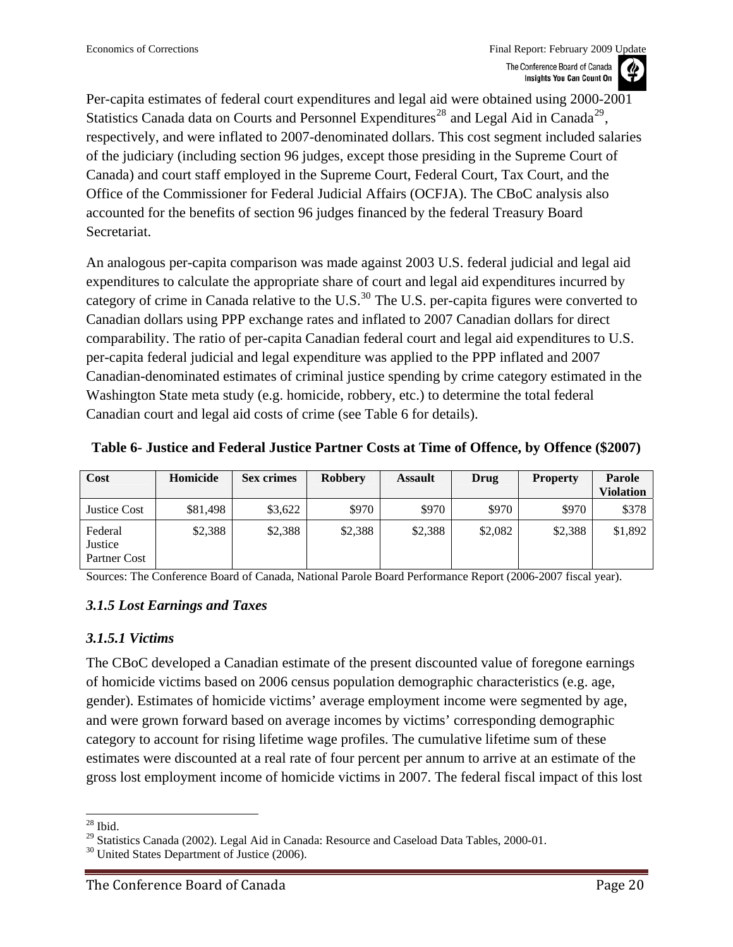<span id="page-19-0"></span>Per-capita estimates of federal court expenditures and legal aid were obtained using 2000-2001 Statistics Canada data on Courts and Personnel Expenditures<sup>[28](#page-19-0)</sup> and Legal Aid in Canada<sup>[29](#page-19-0)</sup>, respectively, and were inflated to 2007-denominated dollars. This cost segment included salaries of the judiciary (including section 96 judges, except those presiding in the Supreme Court of Canada) and court staff employed in the Supreme Court, Federal Court, Tax Court, and the Office of the Commissioner for Federal Judicial Affairs (OCFJA). The CBoC analysis also accounted for the benefits of section 96 judges financed by the federal Treasury Board Secretariat.

An analogous per-capita comparison was made against 2003 U.S. federal judicial and legal aid expenditures to calculate the appropriate share of court and legal aid expenditures incurred by category of crime in Canada relative to the U.S.<sup>[30](#page-19-0)</sup> The U.S. per-capita figures were converted to Canadian dollars using PPP exchange rates and inflated to 2007 Canadian dollars for direct comparability. The ratio of per-capita Canadian federal court and legal aid expenditures to U.S. per-capita federal judicial and legal expenditure was applied to the PPP inflated and 2007 Canadian-denominated estimates of criminal justice spending by crime category estimated in the Washington State meta study (e.g. homicide, robbery, etc.) to determine the total federal Canadian court and legal aid costs of crime (see Table 6 for details).

| Cost                               | Homicide | <b>Sex crimes</b> | <b>Robbery</b> | <b>Assault</b> | Drug    | <b>Property</b> | <b>Parole</b><br><b>Violation</b> |
|------------------------------------|----------|-------------------|----------------|----------------|---------|-----------------|-----------------------------------|
| <b>Justice Cost</b>                | \$81,498 | \$3,622           | \$970          | \$970          | \$970   | \$970           | \$378                             |
| Federal<br>Justice<br>Partner Cost | \$2,388  | \$2,388           | \$2,388        | \$2,388        | \$2,082 | \$2,388         | \$1,892                           |

**Table 6- Justice and Federal Justice Partner Costs at Time of Offence, by Offence (\$2007)** 

Sources: The Conference Board of Canada, National Parole Board Performance Report (2006-2007 fiscal year).

#### *3.1.5 Lost Earnings and Taxes*

#### *3.1.5.1 Victims*

The CBoC developed a Canadian estimate of the present discounted value of foregone earnings of homicide victims based on 2006 census population demographic characteristics (e.g. age, gender). Estimates of homicide victims' average employment income were segmented by age, and were grown forward based on average incomes by victims' corresponding demographic category to account for rising lifetime wage profiles. The cumulative lifetime sum of these estimates were discounted at a real rate of four percent per annum to arrive at an estimate of the gross lost employment income of homicide victims in 2007. The federal fiscal impact of this lost

l  $28$  Ibid.

<sup>&</sup>lt;sup>29</sup> Statistics Canada (2002). Legal Aid in Canada: Resource and Caseload Data Tables, 2000-01.

 $30$  United States Department of Justice (2006).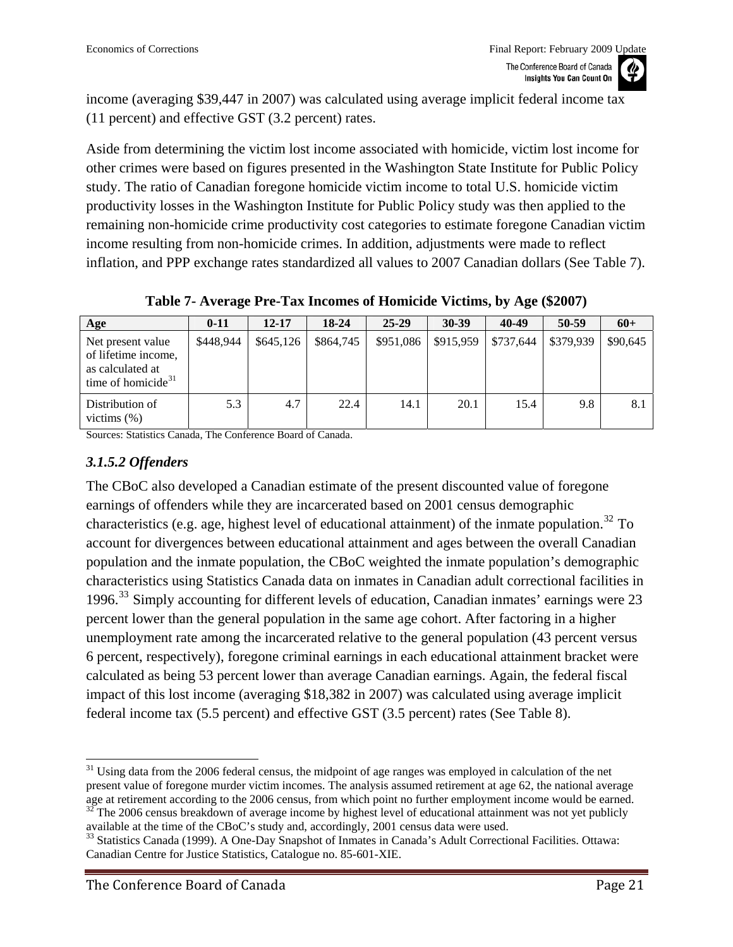<span id="page-20-1"></span>income (averaging \$39,447 in 2007) was calculated using average implicit federal income tax (11 percent) and effective GST (3.2 percent) rates.

Aside from determining the victim lost income associated with homicide, victim lost income for other crimes were based on figures presented in the Washington State Institute for Public Policy study. The ratio of Canadian foregone homicide victim income to total U.S. homicide victim productivity losses in the Washington Institute for Public Policy study was then applied to the remaining non-homicide crime productivity cost categories to estimate foregone Canadian victim income resulting from non-homicide crimes. In addition, adjustments were made to reflect inflation, and PPP exchange rates standardized all values to 2007 Canadian dollars (See [Table 7](#page-20-0)).

<span id="page-20-0"></span>**Age 0-11 12-17 18-24 25-29 30-39 40-49 50-59 60+**  Net present value of lifetime income, as calculated at time of homicide $31$ \$448,944 | \$645,126 | \$864,745 | \$951,086 | \$915,959 | \$737,644 | \$379,939 | \$90,645 Distribution of victims (%) 5.3 4.7 22.4 14.1 20.1 15.4 9.8 8.1

**Table 7- Average Pre-Tax Incomes of Homicide Victims, by Age (\$2007)** 

Sources: Statistics Canada, The Conference Board of Canada.

#### *3.1.5.2 Offenders*

The CBoC also developed a Canadian estimate of the present discounted value of foregone earnings of offenders while they are incarcerated based on 2001 census demographic characteristics (e.g. age, highest level of educational attainment) of the inmate population.<sup>[32](#page-20-1)</sup> To account for divergences between educational attainment and ages between the overall Canadian population and the inmate population, the CBoC weighted the inmate population's demographic characteristics using Statistics Canada data on inmates in Canadian adult correctional facilities in 1996.[33](#page-20-1) Simply accounting for different levels of education, Canadian inmates' earnings were 23 percent lower than the general population in the same age cohort. After factoring in a higher unemployment rate among the incarcerated relative to the general population (43 percent versus 6 percent, respectively), foregone criminal earnings in each educational attainment bracket were calculated as being 53 percent lower than average Canadian earnings. Again, the federal fiscal impact of this lost income (averaging \$18,382 in 2007) was calculated using average implicit federal income tax (5.5 percent) and effective GST (3.5 percent) rates (See Table 8).

available at the time of the CBoC's study and, accordingly, 2001 census data were used.

 $\overline{a}$  $31$  Using data from the 2006 federal census, the midpoint of age ranges was employed in calculation of the net present value of foregone murder victim incomes. The analysis assumed retirement at age 62, the national average age at retirement according to the 2006 census, from which point no further employment income would be earned.<br><sup>32</sup> The 2006 census breakdown of average income by highest level of educational attainment was not yet publicl

<sup>&</sup>lt;sup>33</sup> Statistics Canada (1999). A One-Day Snapshot of Inmates in Canada's Adult Correctional Facilities. Ottawa: Canadian Centre for Justice Statistics, Catalogue no. 85-601-XIE.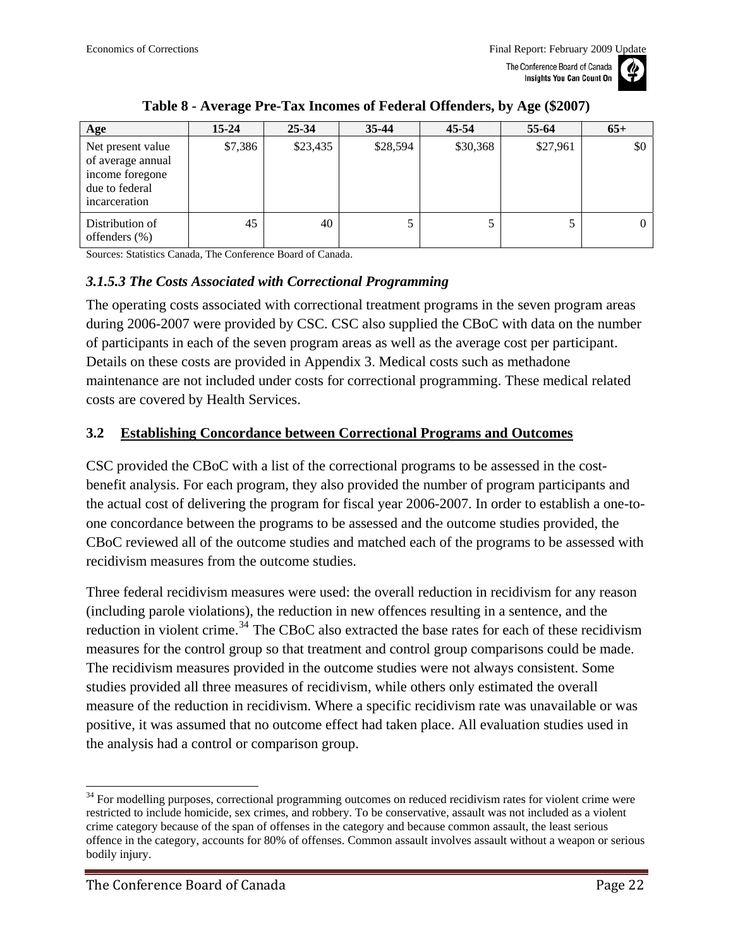

<span id="page-21-0"></span>

| Age                                                                                          | $15 - 24$ | $25 - 34$ | $35-44$  | 45-54    | 55-64    | $65+$ |
|----------------------------------------------------------------------------------------------|-----------|-----------|----------|----------|----------|-------|
| Net present value<br>of average annual<br>income foregone<br>due to federal<br>incarceration | \$7,386   | \$23,435  | \$28,594 | \$30,368 | \$27,961 | \$0   |
| Distribution of<br>offenders $(\%)$                                                          | 45        | 40        |          |          | 5        |       |

#### **Table 8 - Average Pre-Tax Incomes of Federal Offenders, by Age (\$2007)**

Sources: Statistics Canada, The Conference Board of Canada.

#### *3.1.5.3 The Costs Associated with Correctional Programming*

The operating costs associated with correctional treatment programs in the seven program areas during 2006-2007 were provided by CSC. CSC also supplied the CBoC with data on the number of participants in each of the seven program areas as well as the average cost per participant. Details on these costs are provided in Appendix 3. Medical costs such as methadone maintenance are not included under costs for correctional programming. These medical related costs are covered by Health Services.

#### **3.2 Establishing Concordance between Correctional Programs and Outcomes**

CSC provided the CBoC with a list of the correctional programs to be assessed in the costbenefit analysis. For each program, they also provided the number of program participants and the actual cost of delivering the program for fiscal year 2006-2007. In order to establish a one-toone concordance between the programs to be assessed and the outcome studies provided, the CBoC reviewed all of the outcome studies and matched each of the programs to be assessed with recidivism measures from the outcome studies.

Three federal recidivism measures were used: the overall reduction in recidivism for any reason (including parole violations), the reduction in new offences resulting in a sentence, and the reduction in violent crime.<sup>[34](#page-21-0)</sup> The CBoC also extracted the base rates for each of these recidivism measures for the control group so that treatment and control group comparisons could be made. The recidivism measures provided in the outcome studies were not always consistent. Some studies provided all three measures of recidivism, while others only estimated the overall measure of the reduction in recidivism. Where a specific recidivism rate was unavailable or was positive, it was assumed that no outcome effect had taken place. All evaluation studies used in the analysis had a control or comparison group.

<sup>&</sup>lt;sup>34</sup> For modelling purposes, correctional programming outcomes on reduced recidivism rates for violent crime were restricted to include homicide, sex crimes, and robbery. To be conservative, assault was not included as a violent crime category because of the span of offenses in the category and because common assault, the least serious offence in the category, accounts for 80% of offenses. Common assault involves assault without a weapon or serious bodily injury.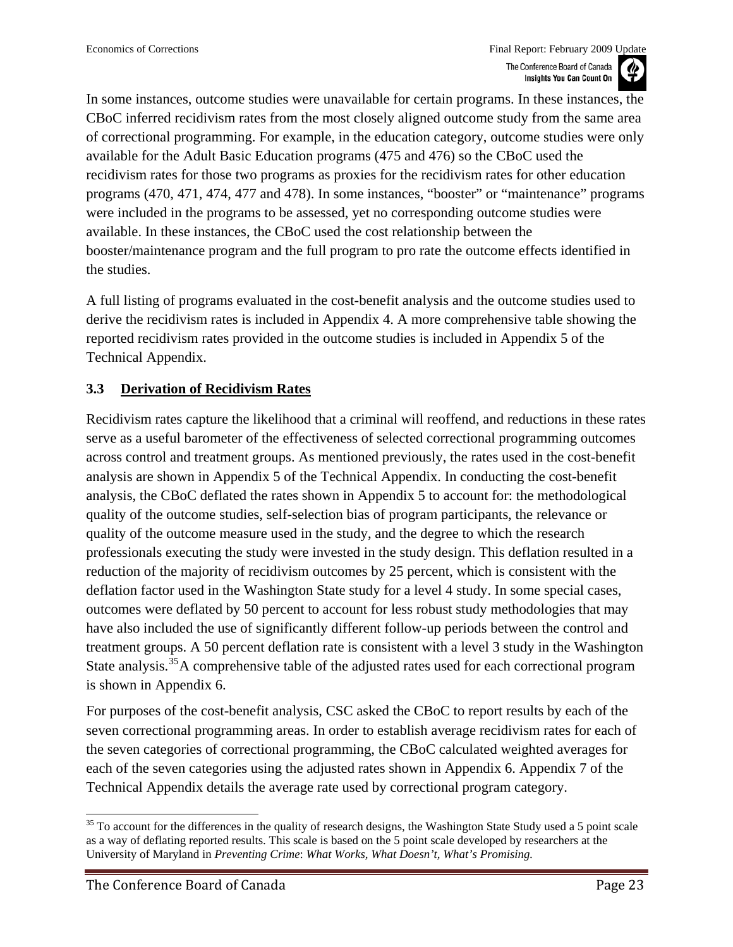<span id="page-22-0"></span>In some instances, outcome studies were unavailable for certain programs. In these instances, the CBoC inferred recidivism rates from the most closely aligned outcome study from the same area of correctional programming. For example, in the education category, outcome studies were only available for the Adult Basic Education programs (475 and 476) so the CBoC used the recidivism rates for those two programs as proxies for the recidivism rates for other education programs (470, 471, 474, 477 and 478). In some instances, "booster" or "maintenance" programs were included in the programs to be assessed, yet no corresponding outcome studies were available. In these instances, the CBoC used the cost relationship between the booster/maintenance program and the full program to pro rate the outcome effects identified in the studies.

A full listing of programs evaluated in the cost-benefit analysis and the outcome studies used to derive the recidivism rates is included in Appendix 4. A more comprehensive table showing the reported recidivism rates provided in the outcome studies is included in Appendix 5 of the Technical Appendix.

### **3.3 Derivation of Recidivism Rates**

Recidivism rates capture the likelihood that a criminal will reoffend, and reductions in these rates serve as a useful barometer of the effectiveness of selected correctional programming outcomes across control and treatment groups. As mentioned previously, the rates used in the cost-benefit analysis are shown in Appendix 5 of the Technical Appendix. In conducting the cost-benefit analysis, the CBoC deflated the rates shown in Appendix 5 to account for: the methodological quality of the outcome studies, self-selection bias of program participants, the relevance or quality of the outcome measure used in the study, and the degree to which the research professionals executing the study were invested in the study design. This deflation resulted in a reduction of the majority of recidivism outcomes by 25 percent, which is consistent with the deflation factor used in the Washington State study for a level 4 study. In some special cases, outcomes were deflated by 50 percent to account for less robust study methodologies that may have also included the use of significantly different follow-up periods between the control and treatment groups. A 50 percent deflation rate is consistent with a level 3 study in the Washington State analysis.<sup>[35](#page-22-0)</sup>A comprehensive table of the adjusted rates used for each correctional program is shown in Appendix 6.

For purposes of the cost-benefit analysis, CSC asked the CBoC to report results by each of the seven correctional programming areas. In order to establish average recidivism rates for each of the seven categories of correctional programming, the CBoC calculated weighted averages for each of the seven categories using the adjusted rates shown in Appendix 6. Appendix 7 of the Technical Appendix details the average rate used by correctional program category.

l  $35$  To account for the differences in the quality of research designs, the Washington State Study used a 5 point scale as a way of deflating reported results. This scale is based on the 5 point scale developed by researchers at the University of Maryland in *Preventing Crime*: *What Works, What Doesn't, What's Promising.*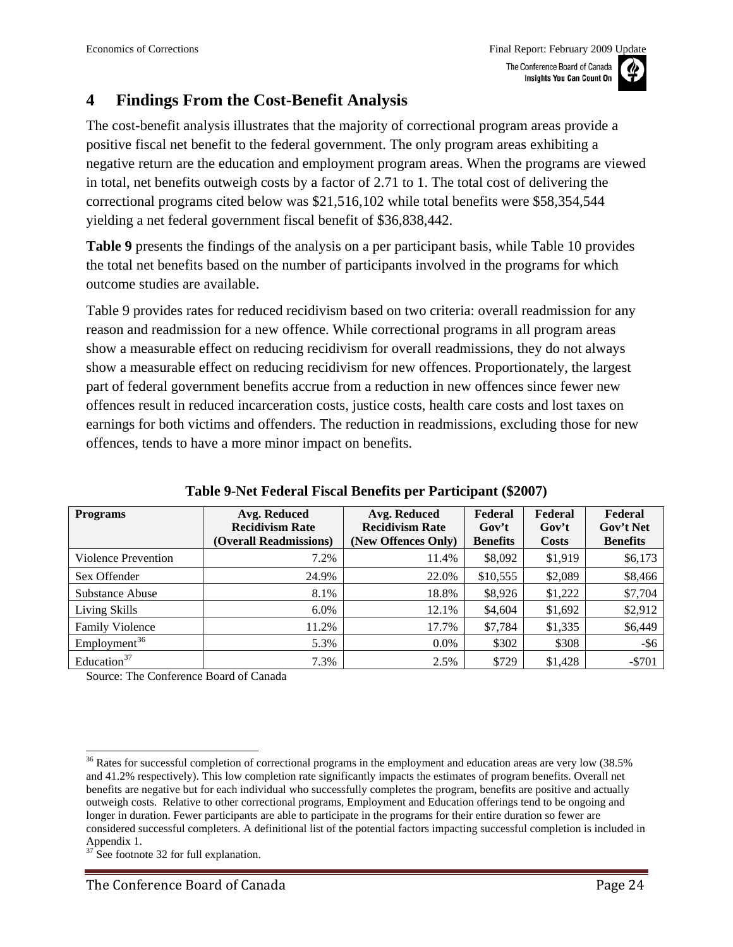### <span id="page-23-0"></span>**4 Findings From the Cost-Benefit Analysis**

The cost-benefit analysis illustrates that the majority of correctional program areas provide a positive fiscal net benefit to the federal government. The only program areas exhibiting a negative return are the education and employment program areas. When the programs are viewed in total, net benefits outweigh costs by a factor of 2.71 to 1. The total cost of delivering the correctional programs cited below was \$21,516,102 while total benefits were \$58,354,544 yielding a net federal government fiscal benefit of \$36,838,442.

**[Table 9](#page-23-1)** presents the findings of the analysis on a per participant basis, while Table 10 provides the total net benefits based on the number of participants involved in the programs for which outcome studies are available.

Table 9 provides rates for reduced recidivism based on two criteria: overall readmission for any reason and readmission for a new offence. While correctional programs in all program areas show a measurable effect on reducing recidivism for overall readmissions, they do not always show a measurable effect on reducing recidivism for new offences. Proportionately, the largest part of federal government benefits accrue from a reduction in new offences since fewer new offences result in reduced incarceration costs, justice costs, health care costs and lost taxes on earnings for both victims and offenders. The reduction in readmissions, excluding those for new offences, tends to have a more minor impact on benefits.

<span id="page-23-1"></span>

| <b>Programs</b>          | Avg. Reduced<br><b>Recidivism Rate</b><br>(Overall Readmissions) | Avg. Reduced<br><b>Recidivism Rate</b><br>(New Offences Only) | Federal<br>Gov't<br><b>Benefits</b> | Federal<br>Gov't<br>Costs | Federal<br>Gov't Net<br><b>Benefits</b> |
|--------------------------|------------------------------------------------------------------|---------------------------------------------------------------|-------------------------------------|---------------------------|-----------------------------------------|
| Violence Prevention      | 7.2%                                                             | 11.4%                                                         | \$8,092                             | \$1,919                   | \$6,173                                 |
| Sex Offender             | 24.9%                                                            | 22.0%                                                         | \$10,555                            | \$2,089                   | \$8,466                                 |
| Substance Abuse          | 8.1%                                                             | 18.8%                                                         | \$8,926                             | \$1,222                   | \$7,704                                 |
| Living Skills            | 6.0%                                                             | 12.1%                                                         | \$4,604                             | \$1,692                   | \$2,912                                 |
| <b>Family Violence</b>   | 11.2%                                                            | 17.7%                                                         | \$7,784                             | \$1,335                   | \$6,449                                 |
| Employment <sup>36</sup> | 5.3%                                                             | $0.0\%$                                                       | \$302                               | \$308                     | $-$ \$6                                 |
| Education <sup>37</sup>  | 7.3%                                                             | 2.5%                                                          | \$729                               | \$1,428                   | $-5701$                                 |

**Table 9-Net Federal Fiscal Benefits per Participant (\$2007)** 

Source: The Conference Board of Canada

 $\overline{a}$  $36$  Rates for successful completion of correctional programs in the employment and education areas are very low (38.5%) and 41.2% respectively). This low completion rate significantly impacts the estimates of program benefits. Overall net benefits are negative but for each individual who successfully completes the program, benefits are positive and actually outweigh costs. Relative to other correctional programs, Employment and Education offerings tend to be ongoing and longer in duration. Fewer participants are able to participate in the programs for their entire duration so fewer are considered successful completers. A definitional list of the potential factors impacting successful completion is included in Appendix 1.

See footnote 32 for full explanation.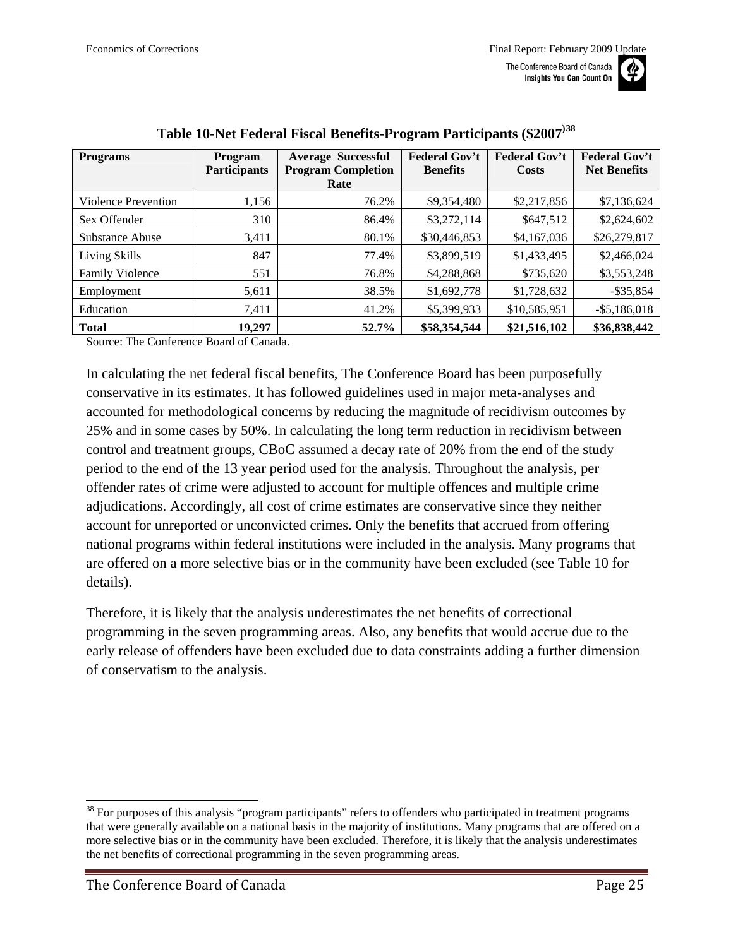| anada<br>nt On | 71 |
|----------------|----|
|                |    |

<span id="page-24-0"></span>

| <b>Programs</b>            | Program<br><b>Participants</b> | <b>Average Successful</b><br><b>Program Completion</b><br>Rate | <b>Federal Gov't</b><br><b>Benefits</b> | <b>Federal Gov't</b><br>Costs | <b>Federal Gov't</b><br><b>Net Benefits</b> |
|----------------------------|--------------------------------|----------------------------------------------------------------|-----------------------------------------|-------------------------------|---------------------------------------------|
| <b>Violence Prevention</b> | 1,156                          | 76.2%                                                          | \$9,354,480                             | \$2,217,856                   | \$7,136,624                                 |
| Sex Offender               | 310                            | 86.4%                                                          | \$3,272,114                             | \$647,512                     | \$2,624,602                                 |
| Substance Abuse            | 3,411                          | 80.1%                                                          | \$30,446,853                            | \$4,167,036                   | \$26,279,817                                |
| Living Skills              | 847                            | 77.4%                                                          | \$3,899,519                             | \$1,433,495                   | \$2,466,024                                 |
| <b>Family Violence</b>     | 551                            | 76.8%                                                          | \$4,288,868                             | \$735,620                     | \$3,553,248                                 |
| Employment                 | 5,611                          | 38.5%                                                          | \$1,692,778                             | \$1,728,632                   | $-$ \$35,854                                |
| Education                  | 7,411                          | 41.2%                                                          | \$5,399,933                             | \$10,585,951                  | $-$ \$5,186,018                             |
| <b>Total</b>               | 19,297                         | 52.7%                                                          | \$58,354,544                            | \$21,516,102                  | \$36,838,442                                |

### **Table 10-Net Federal Fiscal Benefits-Program Participants (\$2007)[38](#page-24-0)**

Source: The Conference Board of Canada.

In calculating the net federal fiscal benefits, The Conference Board has been purposefully conservative in its estimates. It has followed guidelines used in major meta-analyses and accounted for methodological concerns by reducing the magnitude of recidivism outcomes by 25% and in some cases by 50%. In calculating the long term reduction in recidivism between control and treatment groups, CBoC assumed a decay rate of 20% from the end of the study period to the end of the 13 year period used for the analysis. Throughout the analysis, per offender rates of crime were adjusted to account for multiple offences and multiple crime adjudications. Accordingly, all cost of crime estimates are conservative since they neither account for unreported or unconvicted crimes. Only the benefits that accrued from offering national programs within federal institutions were included in the analysis. Many programs that are offered on a more selective bias or in the community have been excluded (see Table 10 for details).

Therefore, it is likely that the analysis underestimates the net benefits of correctional programming in the seven programming areas. Also, any benefits that would accrue due to the early release of offenders have been excluded due to data constraints adding a further dimension of conservatism to the analysis.

<sup>&</sup>lt;sup>38</sup> For purposes of this analysis "program participants" refers to offenders who participated in treatment programs that were generally available on a national basis in the majority of institutions. Many programs that are offered on a more selective bias or in the community have been excluded. Therefore, it is likely that the analysis underestimates the net benefits of correctional programming in the seven programming areas.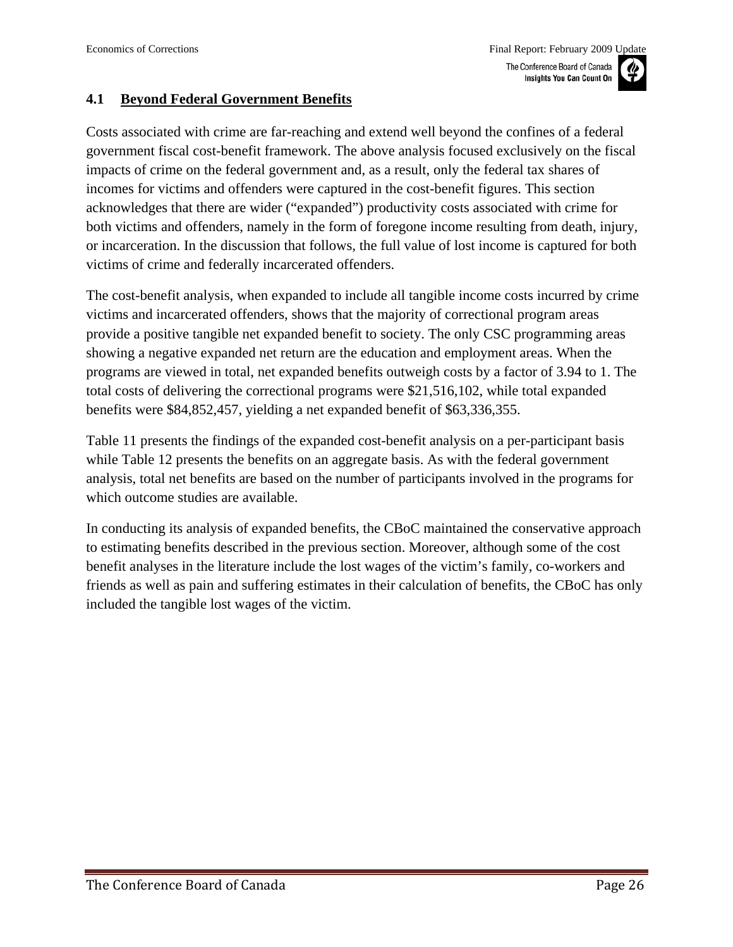#### <span id="page-25-0"></span>**4.1 Beyond Federal Government Benefits**

Costs associated with crime are far-reaching and extend well beyond the confines of a federal government fiscal cost-benefit framework. The above analysis focused exclusively on the fiscal impacts of crime on the federal government and, as a result, only the federal tax shares of incomes for victims and offenders were captured in the cost-benefit figures. This section acknowledges that there are wider ("expanded") productivity costs associated with crime for both victims and offenders, namely in the form of foregone income resulting from death, injury, or incarceration. In the discussion that follows, the full value of lost income is captured for both victims of crime and federally incarcerated offenders.

The cost-benefit analysis, when expanded to include all tangible income costs incurred by crime victims and incarcerated offenders, shows that the majority of correctional program areas provide a positive tangible net expanded benefit to society. The only CSC programming areas showing a negative expanded net return are the education and employment areas. When the programs are viewed in total, net expanded benefits outweigh costs by a factor of 3.94 to 1. The total costs of delivering the correctional programs were \$21,516,102, while total expanded benefits were \$84,852,457, yielding a net expanded benefit of \$63,336,355.

Table 11 presents the findings of the expanded cost-benefit analysis on a per-participant basis while Table 12 presents the benefits on an aggregate basis. As with the federal government analysis, total net benefits are based on the number of participants involved in the programs for which outcome studies are available.

In conducting its analysis of expanded benefits, the CBoC maintained the conservative approach to estimating benefits described in the previous section. Moreover, although some of the cost benefit analyses in the literature include the lost wages of the victim's family, co-workers and friends as well as pain and suffering estimates in their calculation of benefits, the CBoC has only included the tangible lost wages of the victim.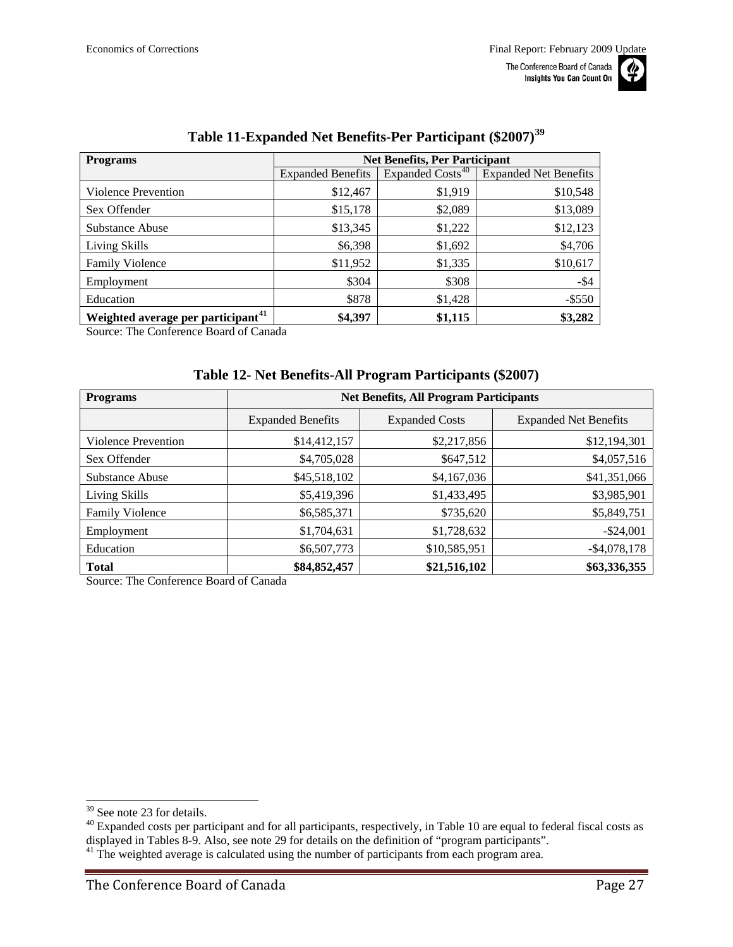

<span id="page-26-0"></span>

| <b>Programs</b>                                | <b>Net Benefits, Per Participant</b> |                              |                              |  |
|------------------------------------------------|--------------------------------------|------------------------------|------------------------------|--|
|                                                | <b>Expanded Benefits</b>             | Expanded Costs <sup>40</sup> | <b>Expanded Net Benefits</b> |  |
| Violence Prevention                            | \$12,467                             | \$1,919                      | \$10,548                     |  |
| Sex Offender                                   | \$15,178                             | \$2,089                      | \$13,089                     |  |
| Substance Abuse                                | \$13,345                             | \$1,222                      | \$12,123                     |  |
| Living Skills                                  | \$6,398                              | \$1,692                      | \$4,706                      |  |
| <b>Family Violence</b>                         | \$11,952                             | \$1,335                      | \$10,617                     |  |
| Employment                                     | \$304                                | \$308                        | $-$ \$4                      |  |
| Education                                      | \$878                                | \$1,428                      | $-$ \$550                    |  |
| Weighted average per participant <sup>41</sup> | \$4,397                              | \$1,115                      | \$3,282                      |  |

### **Table 11-Expanded Net Benefits-Per Participant (\$2007)[39](#page-26-0)**

Source: The Conference Board of Canada

#### **Table 12- Net Benefits-All Program Participants (\$2007)**

| <b>Programs</b>        | <b>Net Benefits, All Program Participants</b> |                       |                              |  |
|------------------------|-----------------------------------------------|-----------------------|------------------------------|--|
|                        | <b>Expanded Benefits</b>                      | <b>Expanded Costs</b> | <b>Expanded Net Benefits</b> |  |
| Violence Prevention    | \$14,412,157                                  | \$2,217,856           | \$12,194,301                 |  |
| Sex Offender           | \$4,705,028                                   | \$647,512             | \$4,057,516                  |  |
| Substance Abuse        | \$45,518,102                                  | \$4,167,036           | \$41,351,066                 |  |
| Living Skills          | \$5,419,396                                   | \$1,433,495           | \$3,985,901                  |  |
| <b>Family Violence</b> | \$6,585,371                                   | \$735,620             | \$5,849,751                  |  |
| Employment             | \$1,704,631                                   | \$1,728,632           | $-$ \$24,001                 |  |
| Education              | \$6,507,773                                   | \$10,585,951          | $-$ \$4,078,178              |  |
| <b>Total</b>           | \$84,852,457                                  | \$21,516,102          | \$63,336,355                 |  |

Source: The Conference Board of Canada

<sup>&</sup>lt;sup>39</sup> See note 23 for details.

 $40$  Expanded costs per participant and for all participants, respectively, in Table 10 are equal to federal fiscal costs as displayed in Tables 8-9. Also, see note 29 for details on the definition of "program participants".<br><sup>41</sup> The weighted average is calculated using the number of participants from each program area.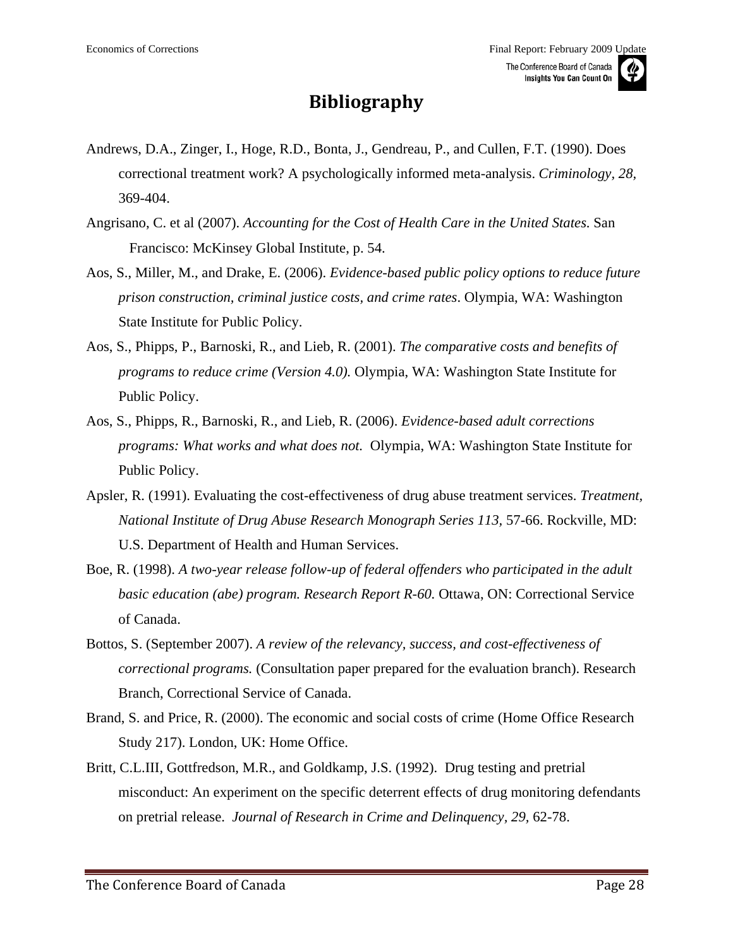## **Bibliography**

- <span id="page-27-0"></span>Andrews, D.A., Zinger, I., Hoge, R.D., Bonta, J., Gendreau, P., and Cullen, F.T. (1990). Does correctional treatment work? A psychologically informed meta-analysis. *Criminology, 28,*  369-404.
- Angrisano, C. et al (2007). *Accounting for the Cost of Health Care in the United States*. San Francisco: McKinsey Global Institute, p. 54.
- Aos, S., Miller, M., and Drake, E. (2006). *Evidence-based public policy options to reduce future prison construction, criminal justice costs, and crime rates*. Olympia, WA: Washington State Institute for Public Policy.
- Aos, S., Phipps, P., Barnoski, R., and Lieb, R. (2001). *The comparative costs and benefits of programs to reduce crime (Version 4.0).* Olympia, WA: Washington State Institute for Public Policy.
- Aos, S., Phipps, R., Barnoski, R., and Lieb, R. (2006). *Evidence-based adult corrections programs: What works and what does not.* Olympia, WA: Washington State Institute for Public Policy.
- Apsler, R. (1991). Evaluating the cost-effectiveness of drug abuse treatment services. *Treatment, National Institute of Drug Abuse Research Monograph Series 113,* 57-66. Rockville, MD: U.S. Department of Health and Human Services.
- Boe, R. (1998). *A two-year release follow-up of federal offenders who participated in the adult basic education (abe) program. Research Report R-60.* Ottawa, ON: Correctional Service of Canada.
- Bottos, S. (September 2007). *A review of the relevancy, success, and cost-effectiveness of correctional programs.* (Consultation paper prepared for the evaluation branch). Research Branch, Correctional Service of Canada.
- Brand, S. and Price, R. (2000). The economic and social costs of crime (Home Office Research Study 217). London, UK: Home Office.
- Britt, C.L.III, Gottfredson, M.R., and Goldkamp, J.S. (1992). Drug testing and pretrial misconduct: An experiment on the specific deterrent effects of drug monitoring defendants on pretrial release. *Journal of Research in Crime and Delinquency, 29,* 62-78.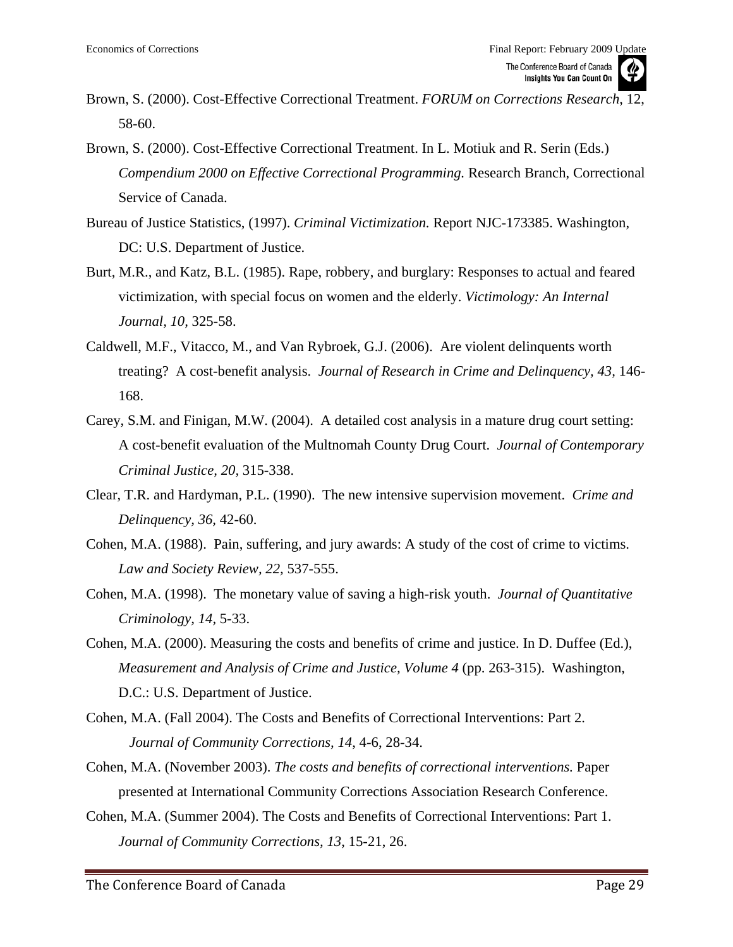- Brown, S. (2000). Cost-Effective Correctional Treatment. *FORUM on Corrections Research*, 12, 58-60.
- Brown, S. (2000). Cost-Effective Correctional Treatment. In L. Motiuk and R. Serin (Eds.) *Compendium 2000 on Effective Correctional Programming.* Research Branch, Correctional Service of Canada.
- Bureau of Justice Statistics, (1997). *Criminal Victimization.* Report NJC-173385. Washington, DC: U.S. Department of Justice.
- Burt, M.R., and Katz, B.L. (1985). Rape, robbery, and burglary: Responses to actual and feared victimization, with special focus on women and the elderly. *Victimology: An Internal Journal, 10,* 325-58.
- Caldwell, M.F., Vitacco, M., and Van Rybroek, G.J. (2006). Are violent delinquents worth treating? A cost-benefit analysis. *Journal of Research in Crime and Delinquency, 43,* 146- 168.
- Carey, S.M. and Finigan, M.W. (2004). A detailed cost analysis in a mature drug court setting: A cost-benefit evaluation of the Multnomah County Drug Court. *Journal of Contemporary Criminal Justice, 20,* 315-338.
- Clear, T.R. and Hardyman, P.L. (1990). The new intensive supervision movement. *Crime and Delinquency, 36,* 42-60.
- Cohen, M.A. (1988). Pain, suffering, and jury awards: A study of the cost of crime to victims. *Law and Society Review, 22,* 537-555.
- Cohen, M.A. (1998). The monetary value of saving a high-risk youth. *Journal of Quantitative Criminology, 14,* 5-33.
- Cohen, M.A. (2000). Measuring the costs and benefits of crime and justice. In D. Duffee (Ed.), *Measurement and Analysis of Crime and Justice, Volume 4* (pp. 263-315). Washington, D.C.: U.S. Department of Justice.
- Cohen, M.A. (Fall 2004). The Costs and Benefits of Correctional Interventions: Part 2. *Journal of Community Corrections, 14*, 4-6, 28-34.
- Cohen, M.A. (November 2003). *The costs and benefits of correctional interventions.* Paper presented at International Community Corrections Association Research Conference.
- Cohen, M.A. (Summer 2004). The Costs and Benefits of Correctional Interventions: Part 1. *Journal of Community Corrections, 13*, 15-21, 26.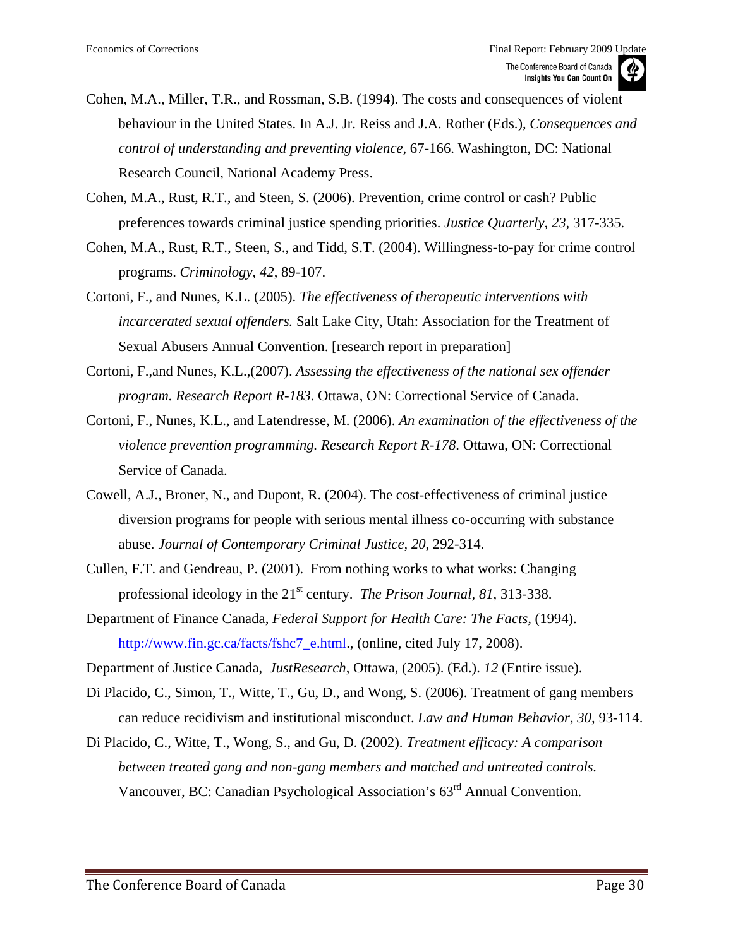- Cohen, M.A., Miller, T.R., and Rossman, S.B. (1994). The costs and consequences of violent behaviour in the United States. In A.J. Jr. Reiss and J.A. Rother (Eds.), *Consequences and control of understanding and preventing violence,* 67-166. Washington, DC: National Research Council, National Academy Press.
- Cohen, M.A., Rust, R.T., and Steen, S. (2006). Prevention, crime control or cash? Public preferences towards criminal justice spending priorities. *Justice Quarterly, 23,* 317-335.
- Cohen, M.A., Rust, R.T., Steen, S., and Tidd, S.T. (2004). Willingness-to-pay for crime control programs. *Criminology, 42*, 89-107.
- Cortoni, F., and Nunes, K.L. (2005). *The effectiveness of therapeutic interventions with incarcerated sexual offenders.* Salt Lake City, Utah: Association for the Treatment of Sexual Abusers Annual Convention. [research report in preparation]
- Cortoni, F.,and Nunes, K.L.,(2007). *Assessing the effectiveness of the national sex offender program. Research Report R-183*. Ottawa, ON: Correctional Service of Canada.
- Cortoni, F., Nunes, K.L., and Latendresse, M. (2006). *An examination of the effectiveness of the violence prevention programming. Research Report R-178*. Ottawa, ON: Correctional Service of Canada.
- Cowell, A.J., Broner, N., and Dupont, R. (2004). The cost-effectiveness of criminal justice diversion programs for people with serious mental illness co-occurring with substance abuse*. Journal of Contemporary Criminal Justice, 20*, 292-314.
- Cullen, F.T. and Gendreau, P. (2001). From nothing works to what works: Changing professional ideology in the 21<sup>st</sup> century. *The Prison Journal*, 81, 313-338.
- Department of Finance Canada, *Federal Support for Health Care: The Facts,* (1994). [http://www.fin.gc.ca/facts/fshc7\\_e.html](http://www.fin.gc.ca/facts/fshc7_e.html)., (online, cited July 17, 2008).

Department of Justice Canada, *JustResearch*, Ottawa, (2005). (Ed.). *12* (Entire issue).

- Di Placido, C., Simon, T., Witte, T., Gu, D., and Wong, S. (2006). Treatment of gang members can reduce recidivism and institutional misconduct. *Law and Human Behavior, 30,* 93-114.
- Di Placido, C., Witte, T., Wong, S., and Gu, D. (2002). *Treatment efficacy: A comparison between treated gang and non-gang members and matched and untreated controls.*  Vancouver, BC: Canadian Psychological Association's 63rd Annual Convention.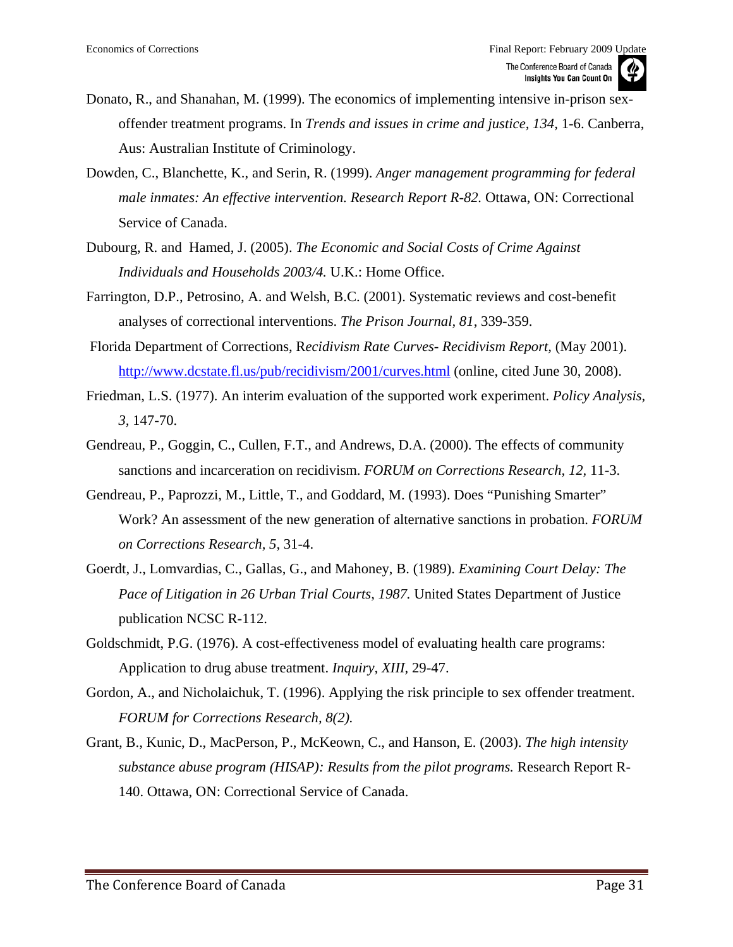- Donato, R., and Shanahan, M. (1999). The economics of implementing intensive in-prison sexoffender treatment programs. In *Trends and issues in crime and justice, 134,* 1-6. Canberra, Aus: Australian Institute of Criminology.
- Dowden, C., Blanchette, K., and Serin, R. (1999). *Anger management programming for federal male inmates: An effective intervention. Research Report R-82. Ottawa, ON: Correctional* Service of Canada.
- Dubourg, R. and Hamed, J. (2005). *The Economic and Social Costs of Crime Against Individuals and Households 2003/4.* U.K.: Home Office.
- Farrington, D.P., Petrosino, A. and Welsh, B.C. (2001). Systematic reviews and cost-benefit analyses of correctional interventions. *The Prison Journal, 81*, 339-359.
- Florida Department of Corrections, R*ecidivism Rate Curves- Recidivism Report,* (May 2001). <http://www.dcstate.fl.us/pub/recidivism/2001/curves.html> (online, cited June 30, 2008).
- Friedman, L.S. (1977). An interim evaluation of the supported work experiment. *Policy Analysis, 3,* 147-70.
- Gendreau, P., Goggin, C., Cullen, F.T., and Andrews, D.A. (2000). The effects of community sanctions and incarceration on recidivism. *FORUM on Corrections Research, 12,* 11-3.
- Gendreau, P., Paprozzi, M., Little, T., and Goddard, M. (1993). Does "Punishing Smarter" Work? An assessment of the new generation of alternative sanctions in probation. *FORUM on Corrections Research, 5,* 31-4.
- Goerdt, J., Lomvardias, C., Gallas, G., and Mahoney, B. (1989). *Examining Court Delay: The Pace of Litigation in 26 Urban Trial Courts, 1987.* United States Department of Justice publication NCSC R-112.
- Goldschmidt, P.G. (1976). A cost-effectiveness model of evaluating health care programs: Application to drug abuse treatment. *Inquiry, XIII,* 29-47.
- Gordon, A., and Nicholaichuk, T. (1996). Applying the risk principle to sex offender treatment. *FORUM for Corrections Research, 8(2).*
- Grant, B., Kunic, D., MacPerson, P., McKeown, C., and Hanson, E. (2003). *The high intensity substance abuse program (HISAP): Results from the pilot programs.* Research Report R-140. Ottawa, ON: Correctional Service of Canada.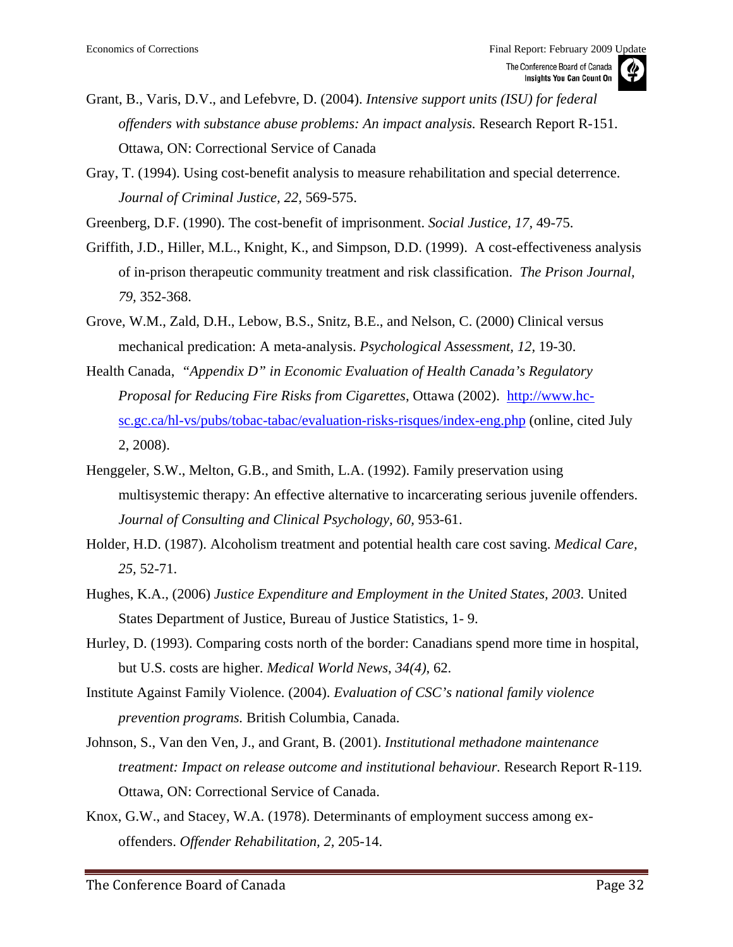

Gray, T. (1994). Using cost-benefit analysis to measure rehabilitation and special deterrence. *Journal of Criminal Justice, 22,* 569-575.

Greenberg, D.F. (1990). The cost-benefit of imprisonment. *Social Justice, 17,* 49-75.

- Griffith, J.D., Hiller, M.L., Knight, K., and Simpson, D.D. (1999). A cost-effectiveness analysis of in-prison therapeutic community treatment and risk classification. *The Prison Journal, 79,* 352-368.
- Grove, W.M., Zald, D.H., Lebow, B.S., Snitz, B.E., and Nelson, C. (2000) Clinical versus mechanical predication: A meta-analysis. *Psychological Assessment, 12,* 19-30.
- Health Canada, *"Appendix D" in Economic Evaluation of Health Canada's Regulatory Proposal for Reducing Fire Risks from Cigarettes*, Ottawa (2002). [http://www.hc](http://www.hc-sc.gc.ca/hl-vs/pubs/tobac-tabac/evaluation-risks-risques/index-eng.php)[sc.gc.ca/hl-vs/pubs/tobac-tabac/evaluation-risks-risques/index-eng.php](http://www.hc-sc.gc.ca/hl-vs/pubs/tobac-tabac/evaluation-risks-risques/index-eng.php) (online, cited July 2, 2008).
- Henggeler, S.W., Melton, G.B., and Smith, L.A. (1992). Family preservation using multisystemic therapy: An effective alternative to incarcerating serious juvenile offenders. *Journal of Consulting and Clinical Psychology, 60,* 953-61.
- Holder, H.D. (1987). Alcoholism treatment and potential health care cost saving. *Medical Care, 25,* 52-71.
- Hughes, K.A., (2006) *Justice Expenditure and Employment in the United States, 2003.* United States Department of Justice, Bureau of Justice Statistics, 1- 9.
- Hurley, D. (1993). Comparing costs north of the border: Canadians spend more time in hospital, but U.S. costs are higher. *Medical World News*, *34(4)*, 62.
- Institute Against Family Violence. (2004). *Evaluation of CSC's national family violence prevention programs.* British Columbia, Canada.
- Johnson, S., Van den Ven, J., and Grant, B. (2001). *Institutional methadone maintenance treatment: Impact on release outcome and institutional behaviour.* Research Report R-119. Ottawa, ON: Correctional Service of Canada.
- Knox, G.W., and Stacey, W.A. (1978). Determinants of employment success among exoffenders. *Offender Rehabilitation, 2,* 205-14.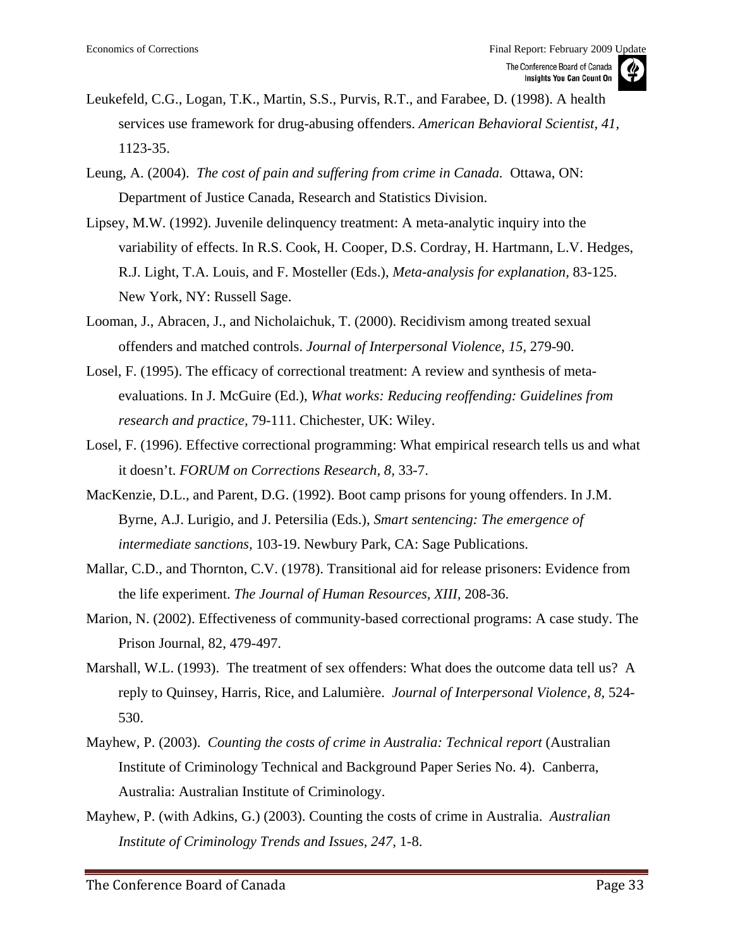

- Leukefeld, C.G., Logan, T.K., Martin, S.S., Purvis, R.T., and Farabee, D. (1998). A health services use framework for drug-abusing offenders. *American Behavioral Scientist, 41,*  1123-35.
- Leung, A. (2004). *The cost of pain and suffering from crime in Canada.* Ottawa, ON: Department of Justice Canada, Research and Statistics Division.
- Lipsey, M.W. (1992). Juvenile delinquency treatment: A meta-analytic inquiry into the variability of effects. In R.S. Cook, H. Cooper, D.S. Cordray, H. Hartmann, L.V. Hedges, R.J. Light, T.A. Louis, and F. Mosteller (Eds.), *Meta-analysis for explanation,* 83-125. New York, NY: Russell Sage.
- Looman, J., Abracen, J., and Nicholaichuk, T. (2000). Recidivism among treated sexual offenders and matched controls. *Journal of Interpersonal Violence, 15,* 279-90.
- Losel, F. (1995). The efficacy of correctional treatment: A review and synthesis of metaevaluations. In J. McGuire (Ed.), *What works: Reducing reoffending: Guidelines from research and practice,* 79-111. Chichester, UK: Wiley.
- Losel, F. (1996). Effective correctional programming: What empirical research tells us and what it doesn't. *FORUM on Corrections Research, 8,* 33-7.
- MacKenzie, D.L., and Parent, D.G. (1992). Boot camp prisons for young offenders. In J.M. Byrne, A.J. Lurigio, and J. Petersilia (Eds.), *Smart sentencing: The emergence of intermediate sanctions,* 103-19. Newbury Park, CA: Sage Publications.
- Mallar, C.D., and Thornton, C.V. (1978). Transitional aid for release prisoners: Evidence from the life experiment. *The Journal of Human Resources, XIII,* 208-36.
- Marion, N. (2002). Effectiveness of community-based correctional programs: A case study. The Prison Journal, 82, 479-497.
- Marshall, W.L. (1993). The treatment of sex offenders: What does the outcome data tell us? A reply to Quinsey, Harris, Rice, and Lalumière. *Journal of Interpersonal Violence, 8,* 524- 530.
- Mayhew, P. (2003). *Counting the costs of crime in Australia: Technical report* (Australian Institute of Criminology Technical and Background Paper Series No. 4). Canberra, Australia: Australian Institute of Criminology.
- Mayhew, P. (with Adkins, G.) (2003). Counting the costs of crime in Australia. *Australian Institute of Criminology Trends and Issues, 247,* 1-8.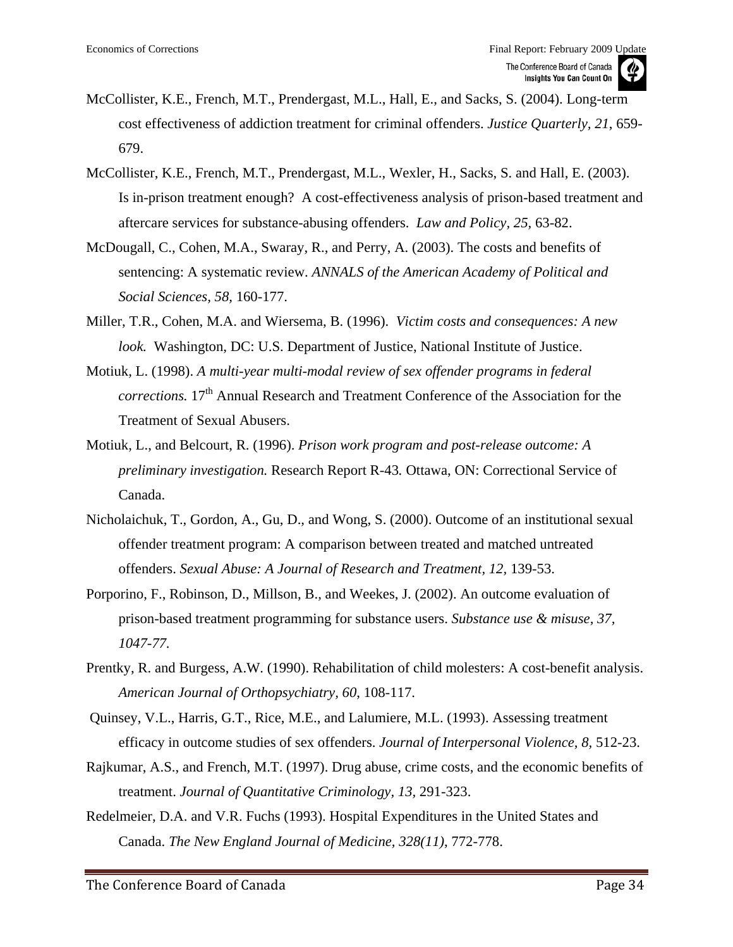- McCollister, K.E., French, M.T., Prendergast, M.L., Hall, E., and Sacks, S. (2004). Long-term cost effectiveness of addiction treatment for criminal offenders. *Justice Quarterly, 21*, 659- 679.
- McCollister, K.E., French, M.T., Prendergast, M.L., Wexler, H., Sacks, S. and Hall, E. (2003). Is in-prison treatment enough? A cost-effectiveness analysis of prison-based treatment and aftercare services for substance-abusing offenders. *Law and Policy, 25,* 63-82.
- McDougall, C., Cohen, M.A., Swaray, R., and Perry, A. (2003). The costs and benefits of sentencing: A systematic review. *ANNALS of the American Academy of Political and Social Sciences, 58,* 160-177.
- Miller, T.R., Cohen, M.A. and Wiersema, B. (1996). *Victim costs and consequences: A new look.* Washington, DC: U.S. Department of Justice, National Institute of Justice.
- Motiuk, L. (1998). *A multi-year multi-modal review of sex offender programs in federal corrections.* 17<sup>th</sup> Annual Research and Treatment Conference of the Association for the Treatment of Sexual Abusers.
- Motiuk, L., and Belcourt, R. (1996). *Prison work program and post-release outcome: A preliminary investigation.* Research Report R-43*.* Ottawa, ON: Correctional Service of Canada.
- Nicholaichuk, T., Gordon, A., Gu, D., and Wong, S. (2000). Outcome of an institutional sexual offender treatment program: A comparison between treated and matched untreated offenders. *Sexual Abuse: A Journal of Research and Treatment, 12,* 139-53.
- Porporino, F., Robinson, D., Millson, B., and Weekes, J. (2002). An outcome evaluation of prison-based treatment programming for substance users. *Substance use & misuse, 37, 1047-77.*
- Prentky, R. and Burgess, A.W. (1990). Rehabilitation of child molesters: A cost-benefit analysis. *American Journal of Orthopsychiatry, 60*, 108-117.
- Quinsey, V.L., Harris, G.T., Rice, M.E., and Lalumiere, M.L. (1993). Assessing treatment efficacy in outcome studies of sex offenders. *Journal of Interpersonal Violence, 8,* 512-23.
- Rajkumar, A.S., and French, M.T. (1997). Drug abuse, crime costs, and the economic benefits of treatment. *Journal of Quantitative Criminology, 13,* 291-323.
- Redelmeier, D.A. and V.R. Fuchs (1993). Hospital Expenditures in the United States and Canada. *The New England Journal of Medicine, 328(11)*, 772-778.

The Conference Board of Canada Page 34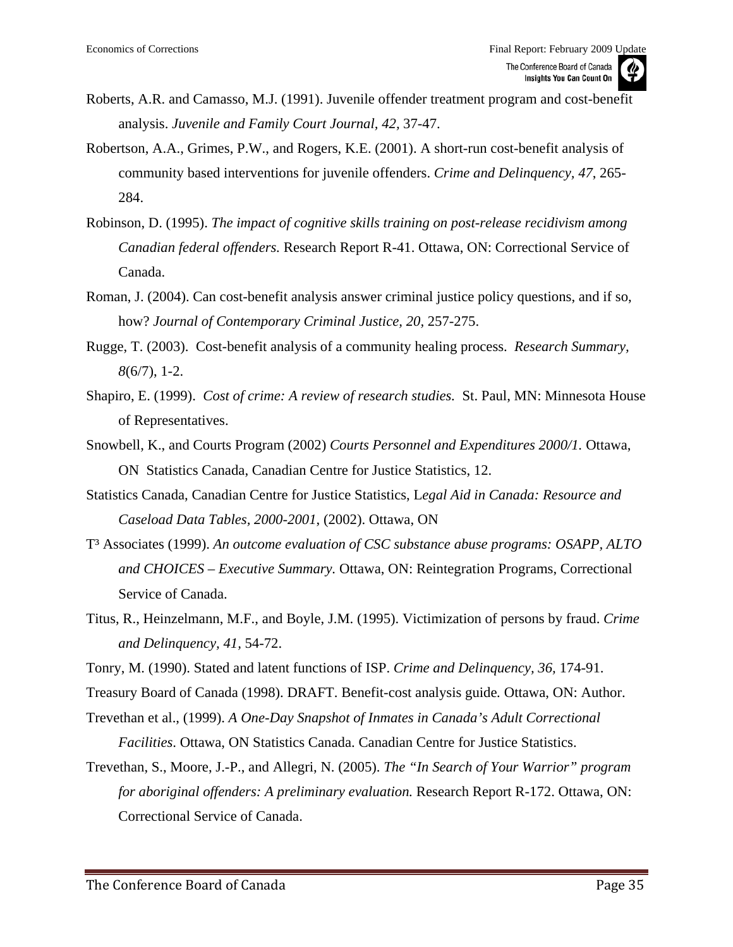- Roberts, A.R. and Camasso, M.J. (1991). Juvenile offender treatment program and cost-benefit analysis. *Juvenile and Family Court Journal, 42,* 37-47.
- Robertson, A.A., Grimes, P.W., and Rogers, K.E. (2001). A short-run cost-benefit analysis of community based interventions for juvenile offenders. *Crime and Delinquency, 47*, 265- 284.
- Robinson, D. (1995). *The impact of cognitive skills training on post-release recidivism among Canadian federal offenders.* Research Report R-41. Ottawa, ON: Correctional Service of Canada.
- Roman, J. (2004). Can cost-benefit analysis answer criminal justice policy questions, and if so, how? *Journal of Contemporary Criminal Justice, 20,* 257-275.
- Rugge, T. (2003). Cost-benefit analysis of a community healing process. *Research Summary, 8*(6/7), 1-2.
- Shapiro, E. (1999). *Cost of crime: A review of research studies.* St. Paul, MN: Minnesota House of Representatives.
- Snowbell, K., and Courts Program (2002) *Courts Personnel and Expenditures 2000/1.* Ottawa, ON Statistics Canada, Canadian Centre for Justice Statistics, 12.
- Statistics Canada, Canadian Centre for Justice Statistics, L*egal Aid in Canada: Resource and Caseload Data Tables, 2000-2001*, (2002). Ottawa, ON
- T³ Associates (1999). *An outcome evaluation of CSC substance abuse programs: OSAPP, ALTO and CHOICES – Executive Summary.* Ottawa, ON: Reintegration Programs, Correctional Service of Canada.
- Titus, R., Heinzelmann, M.F., and Boyle, J.M. (1995). Victimization of persons by fraud. *Crime and Delinquency, 41,* 54-72.
- Tonry, M. (1990). Stated and latent functions of ISP. *Crime and Delinquency, 36,* 174-91.
- Treasury Board of Canada (1998). DRAFT. Benefit-cost analysis guide*.* Ottawa, ON: Author.
- Trevethan et al., (1999). *A One-Day Snapshot of Inmates in Canada's Adult Correctional Facilities*. Ottawa, ON Statistics Canada. Canadian Centre for Justice Statistics.
- Trevethan, S., Moore, J.-P., and Allegri, N. (2005). *The "In Search of Your Warrior" program for aboriginal offenders: A preliminary evaluation.* Research Report R-172. Ottawa, ON: Correctional Service of Canada.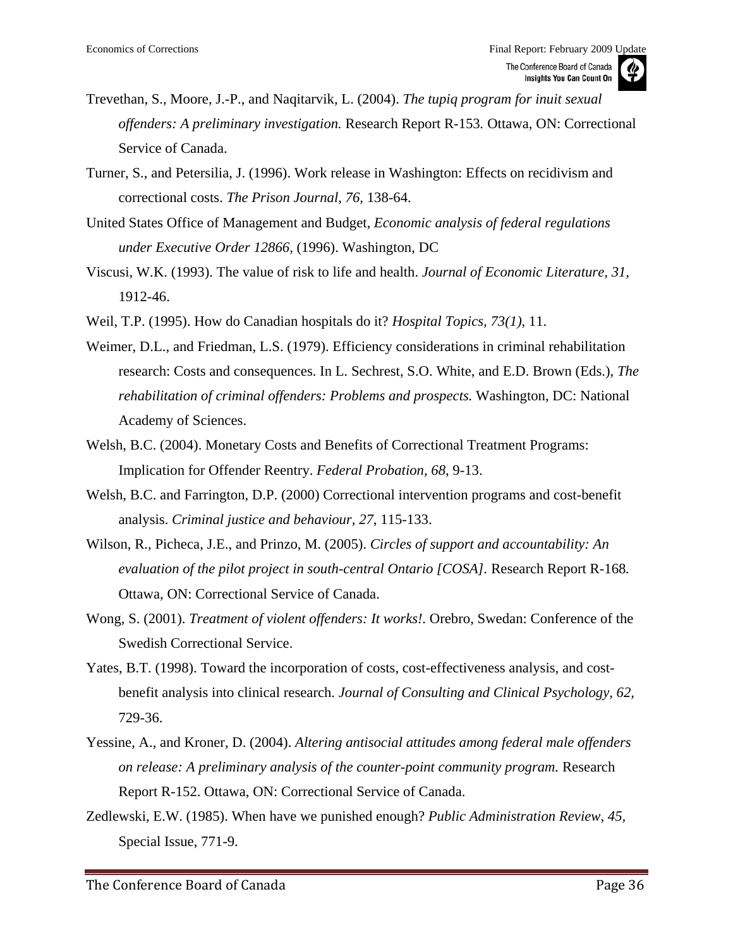- Trevethan, S., Moore, J.-P., and Naqitarvik, L. (2004). *The tupiq program for inuit sexual offenders: A preliminary investigation.* Research Report R-153*.* Ottawa, ON: Correctional Service of Canada.
- Turner, S., and Petersilia, J. (1996). Work release in Washington: Effects on recidivism and correctional costs. *The Prison Journal, 76,* 138-64.
- United States Office of Management and Budget, *Economic analysis of federal regulations under Executive Order 12866,* (1996). Washington, DC
- Viscusi, W.K. (1993). The value of risk to life and health. *Journal of Economic Literature, 31,*  1912-46.
- Weil, T.P. (1995). How do Canadian hospitals do it? *Hospital Topics, 73(1)*, 11.
- Weimer, D.L., and Friedman, L.S. (1979). Efficiency considerations in criminal rehabilitation research: Costs and consequences. In L. Sechrest, S.O. White, and E.D. Brown (Eds.), *The rehabilitation of criminal offenders: Problems and prospects.* Washington, DC: National Academy of Sciences.
- Welsh, B.C. (2004). Monetary Costs and Benefits of Correctional Treatment Programs: Implication for Offender Reentry. *Federal Probation, 68*, 9-13.
- Welsh, B.C. and Farrington, D.P. (2000) Correctional intervention programs and cost-benefit analysis. *Criminal justice and behaviour, 27*, 115-133.
- Wilson, R., Picheca, J.E., and Prinzo, M. (2005). *Circles of support and accountability: An evaluation of the pilot project in south-central Ontario [COSA].* Research Report R-168*.*  Ottawa, ON: Correctional Service of Canada.
- Wong, S. (2001). *Treatment of violent offenders: It works!.* Orebro, Swedan: Conference of the Swedish Correctional Service.
- Yates, B.T. (1998). Toward the incorporation of costs, cost-effectiveness analysis, and costbenefit analysis into clinical research. *Journal of Consulting and Clinical Psychology, 62,*  729-36.
- Yessine, A., and Kroner, D. (2004). *Altering antisocial attitudes among federal male offenders on release: A preliminary analysis of the counter-point community program.* Research Report R-152. Ottawa, ON: Correctional Service of Canada.
- Zedlewski, E.W. (1985). When have we punished enough? *Public Administration Review, 45,*  Special Issue, 771-9.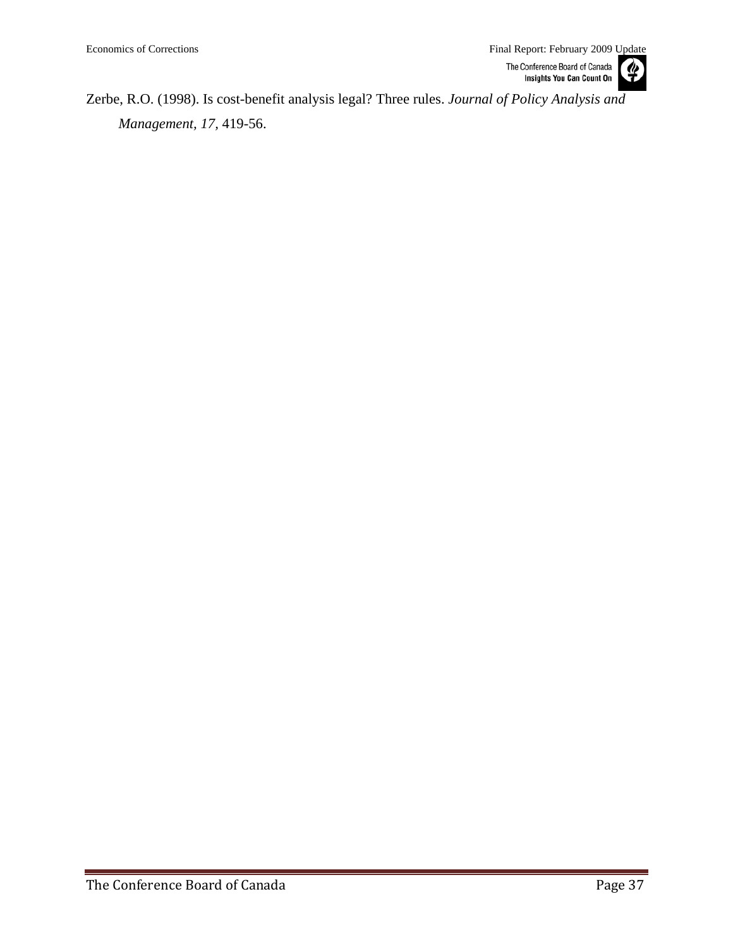Zerbe, R.O. (1998). Is cost-benefit analysis legal? Three rules. *Journal of Policy Analysis and Management, 17,* 419-56.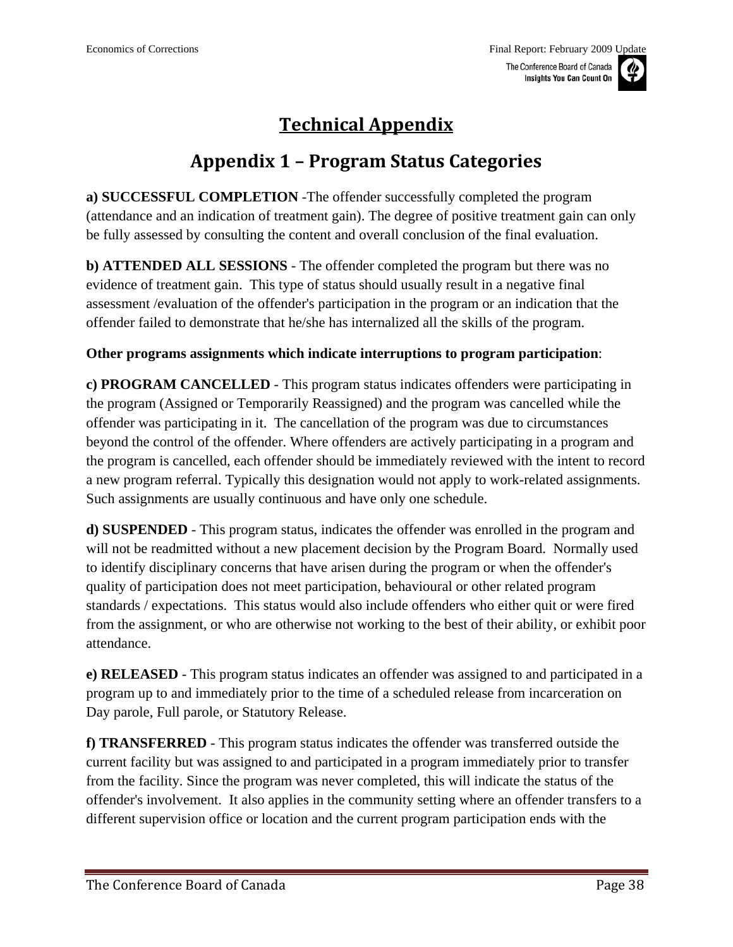

## **Technical Appendix**

### **Appendix 1 – Program Status Categories**

<span id="page-37-0"></span>**a) SUCCESSFUL COMPLETION** -The offender successfully completed the program (attendance and an indication of treatment gain). The degree of positive treatment gain can only be fully assessed by consulting the content and overall conclusion of the final evaluation.

**b) ATTENDED ALL SESSIONS** - The offender completed the program but there was no evidence of treatment gain. This type of status should usually result in a negative final assessment /evaluation of the offender's participation in the program or an indication that the offender failed to demonstrate that he/she has internalized all the skills of the program.

#### **Other programs assignments which indicate interruptions to program participation**:

**c) PROGRAM CANCELLED** - This program status indicates offenders were participating in the program (Assigned or Temporarily Reassigned) and the program was cancelled while the offender was participating in it. The cancellation of the program was due to circumstances beyond the control of the offender. Where offenders are actively participating in a program and the program is cancelled, each offender should be immediately reviewed with the intent to record a new program referral. Typically this designation would not apply to work-related assignments. Such assignments are usually continuous and have only one schedule.

**d) SUSPENDED** - This program status, indicates the offender was enrolled in the program and will not be readmitted without a new placement decision by the Program Board. Normally used to identify disciplinary concerns that have arisen during the program or when the offender's quality of participation does not meet participation, behavioural or other related program standards / expectations. This status would also include offenders who either quit or were fired from the assignment, or who are otherwise not working to the best of their ability, or exhibit poor attendance.

**e) RELEASED** - This program status indicates an offender was assigned to and participated in a program up to and immediately prior to the time of a scheduled release from incarceration on Day parole, Full parole, or Statutory Release.

**f) TRANSFERRED** - This program status indicates the offender was transferred outside the current facility but was assigned to and participated in a program immediately prior to transfer from the facility. Since the program was never completed, this will indicate the status of the offender's involvement. It also applies in the community setting where an offender transfers to a different supervision office or location and the current program participation ends with the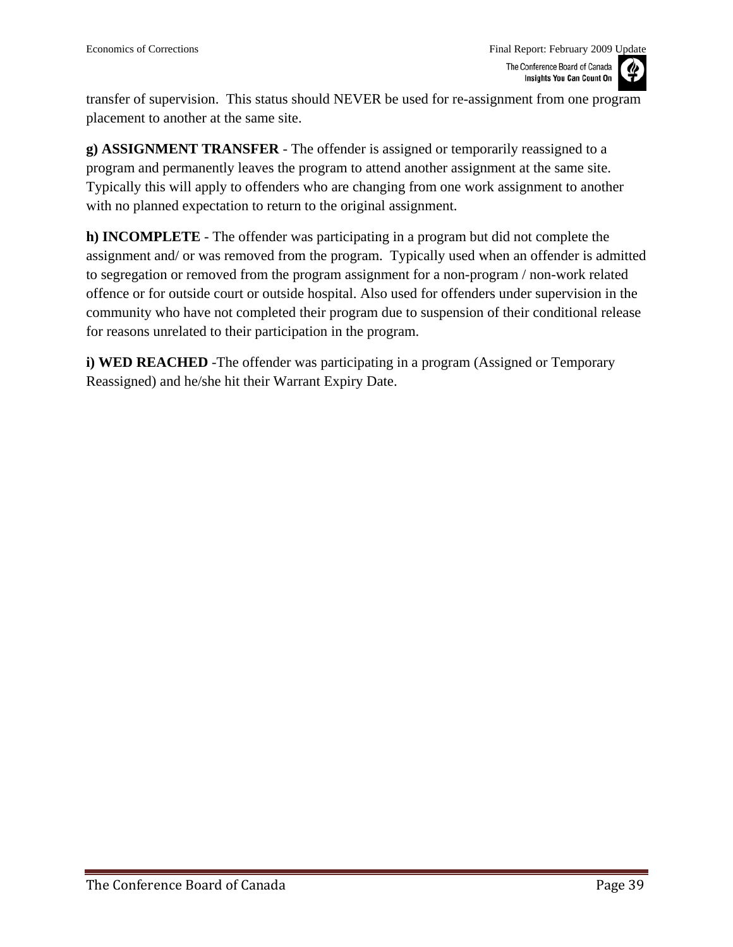transfer of supervision. This status should NEVER be used for re-assignment from one program placement to another at the same site.

**g) ASSIGNMENT TRANSFER** - The offender is assigned or temporarily reassigned to a program and permanently leaves the program to attend another assignment at the same site. Typically this will apply to offenders who are changing from one work assignment to another with no planned expectation to return to the original assignment.

**h) INCOMPLETE** - The offender was participating in a program but did not complete the assignment and/ or was removed from the program. Typically used when an offender is admitted to segregation or removed from the program assignment for a non-program / non-work related offence or for outside court or outside hospital. Also used for offenders under supervision in the community who have not completed their program due to suspension of their conditional release for reasons unrelated to their participation in the program.

**i) WED REACHED** -The offender was participating in a program (Assigned or Temporary Reassigned) and he/she hit their Warrant Expiry Date.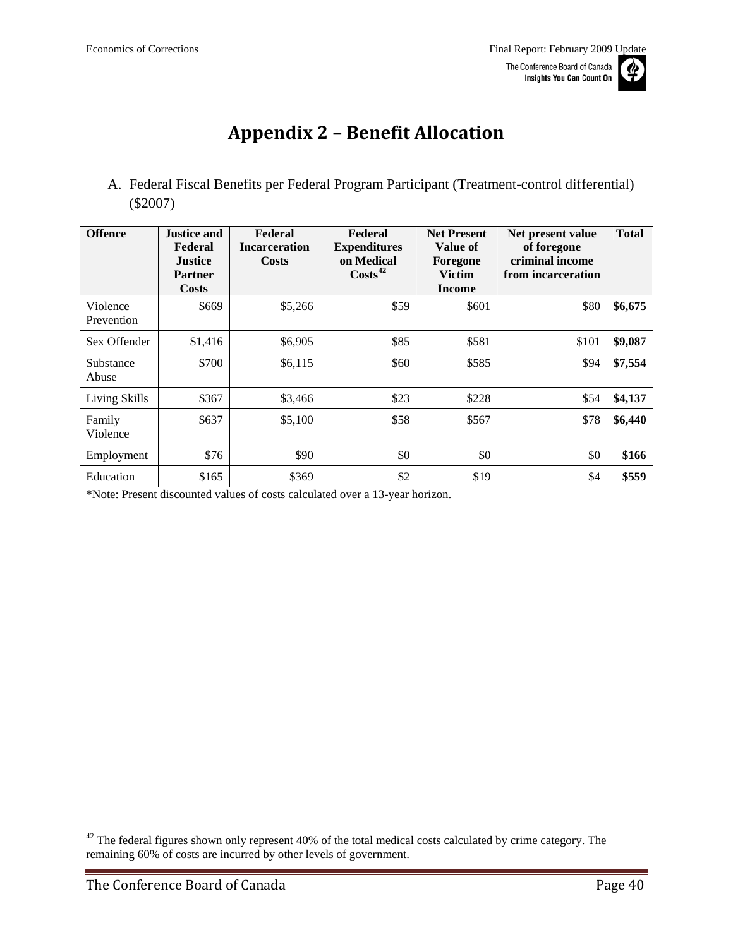# **Appendix 2 – Benefit Allocation**

<span id="page-39-0"></span>A. Federal Fiscal Benefits per Federal Program Participant (Treatment-control differential) (\$2007)

| <b>Offence</b>         | <b>Justice and</b><br>Federal<br><b>Justice</b><br><b>Partner</b><br>Costs | Federal<br><b>Incarceration</b><br><b>Costs</b> | Federal<br><b>Expenditures</b><br>on Medical<br>$\text{Costs}^{42}$ | <b>Net Present</b><br>Value of<br>Foregone<br><b>Victim</b><br><b>Income</b> | Net present value<br>of foregone<br>criminal income<br>from incarceration | <b>Total</b> |
|------------------------|----------------------------------------------------------------------------|-------------------------------------------------|---------------------------------------------------------------------|------------------------------------------------------------------------------|---------------------------------------------------------------------------|--------------|
| Violence<br>Prevention | \$669                                                                      | \$5,266                                         | \$59                                                                | \$601                                                                        | \$80                                                                      | \$6,675      |
| Sex Offender           | \$1,416                                                                    | \$6,905                                         | \$85                                                                | \$581                                                                        | \$101                                                                     | \$9,087      |
| Substance<br>Abuse     | \$700                                                                      | \$6,115                                         | \$60                                                                | \$585                                                                        | \$94                                                                      | \$7,554      |
| Living Skills          | \$367                                                                      | \$3,466                                         | \$23                                                                | \$228                                                                        | \$54                                                                      | \$4,137      |
| Family<br>Violence     | \$637                                                                      | \$5,100                                         | \$58                                                                | \$567                                                                        | \$78                                                                      | \$6,440      |
| Employment             | \$76                                                                       | \$90                                            | \$0                                                                 | \$0                                                                          | \$0                                                                       | \$166        |
| Education              | \$165                                                                      | \$369                                           | \$2                                                                 | \$19                                                                         | \$4                                                                       | \$559        |

\*Note: Present discounted values of costs calculated over a 13-year horizon.

 $42$  The federal figures shown only represent 40% of the total medical costs calculated by crime category. The remaining 60% of costs are incurred by other levels of government.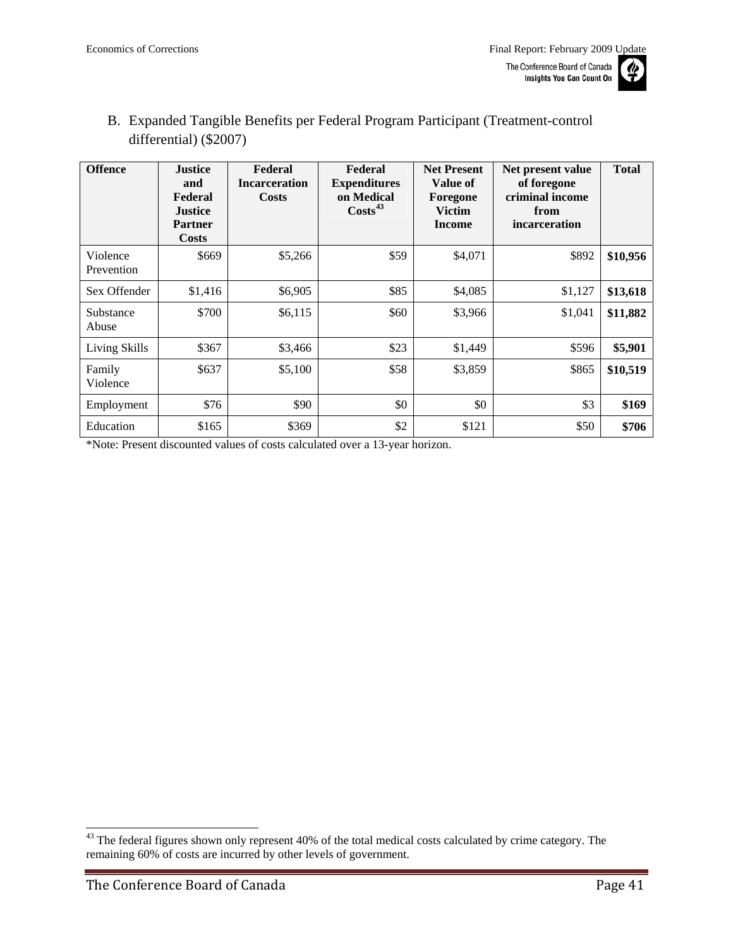

<span id="page-40-0"></span>B. Expanded Tangible Benefits per Federal Program Participant (Treatment-control differential) (\$2007)

| <b>Offence</b>         | <b>Justice</b><br>and<br>Federal<br><b>Justice</b><br><b>Partner</b><br><b>Costs</b> | Federal<br><b>Incarceration</b><br><b>Costs</b> | Federal<br><b>Expenditures</b><br>on Medical<br>$\text{Costs}^{43}$ | <b>Net Present</b><br>Value of<br>Foregone<br><b>Victim</b><br>Income | Net present value<br>of foregone<br>criminal income<br>from<br>incarceration | <b>Total</b> |
|------------------------|--------------------------------------------------------------------------------------|-------------------------------------------------|---------------------------------------------------------------------|-----------------------------------------------------------------------|------------------------------------------------------------------------------|--------------|
| Violence<br>Prevention | \$669                                                                                | \$5,266                                         | \$59                                                                | \$4,071                                                               | \$892                                                                        | \$10,956     |
| Sex Offender           | \$1,416                                                                              | \$6,905                                         | \$85                                                                | \$4,085                                                               | \$1,127                                                                      | \$13,618     |
| Substance<br>Abuse     | \$700                                                                                | \$6,115                                         | \$60                                                                | \$3,966                                                               | \$1,041                                                                      | \$11,882     |
| Living Skills          | \$367                                                                                | \$3,466                                         | \$23                                                                | \$1,449                                                               | \$596                                                                        | \$5,901      |
| Family<br>Violence     | \$637                                                                                | \$5,100                                         | \$58                                                                | \$3,859                                                               | \$865                                                                        | \$10,519     |
| Employment             | \$76                                                                                 | \$90                                            | \$0                                                                 | \$0                                                                   | \$3                                                                          | \$169        |
| Education              | \$165                                                                                | \$369                                           | \$2                                                                 | \$121                                                                 | \$50                                                                         | \$706        |

\*Note: Present discounted values of costs calculated over a 13-year horizon.

<sup>&</sup>lt;sup>43</sup> The federal figures shown only represent 40% of the total medical costs calculated by crime category. The remaining 60% of costs are incurred by other levels of government.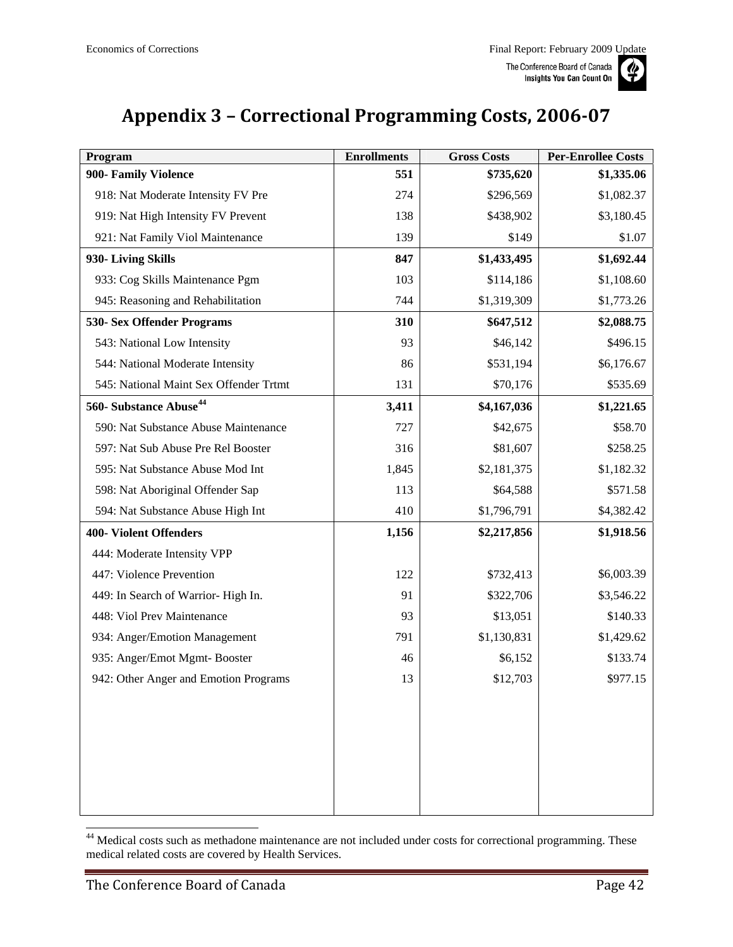

# <span id="page-41-0"></span>**Appendix 3 – Correctional Programming Costs, 200607**

| Program                                | <b>Enrollments</b> | <b>Gross Costs</b> | <b>Per-Enrollee Costs</b> |
|----------------------------------------|--------------------|--------------------|---------------------------|
| 900- Family Violence                   | 551                | \$735,620          | \$1,335.06                |
| 918: Nat Moderate Intensity FV Pre     | 274                | \$296,569          | \$1,082.37                |
| 919: Nat High Intensity FV Prevent     | 138                | \$438,902          | \$3,180.45                |
| 921: Nat Family Viol Maintenance       | 139                | \$149              | \$1.07                    |
| 930- Living Skills                     | 847                | \$1,433,495        | \$1,692.44                |
| 933: Cog Skills Maintenance Pgm        | 103                | \$114,186          | \$1,108.60                |
| 945: Reasoning and Rehabilitation      | 744                | \$1,319,309        | \$1,773.26                |
| 530- Sex Offender Programs             | 310                | \$647,512          | \$2,088.75                |
| 543: National Low Intensity            | 93                 | \$46,142           | \$496.15                  |
| 544: National Moderate Intensity       | 86                 | \$531,194          | \$6,176.67                |
| 545: National Maint Sex Offender Trtmt | 131                | \$70,176           | \$535.69                  |
| 560- Substance Abuse <sup>44</sup>     | 3,411              | \$4,167,036        | \$1,221.65                |
| 590: Nat Substance Abuse Maintenance   | 727                | \$42,675           | \$58.70                   |
| 597: Nat Sub Abuse Pre Rel Booster     | 316                | \$81,607           | \$258.25                  |
| 595: Nat Substance Abuse Mod Int       | 1,845              | \$2,181,375        | \$1,182.32                |
| 598: Nat Aboriginal Offender Sap       | 113                | \$64,588           | \$571.58                  |
| 594: Nat Substance Abuse High Int      | 410                | \$1,796,791        | \$4,382.42                |
| <b>400- Violent Offenders</b>          | 1,156              | \$2,217,856        | \$1,918.56                |
| 444: Moderate Intensity VPP            |                    |                    |                           |
| 447: Violence Prevention               | 122                | \$732,413          | \$6,003.39                |
| 449: In Search of Warrior-High In.     | 91                 | \$322,706          | \$3,546.22                |
| 448: Viol Prev Maintenance             | 93                 | \$13,051           | \$140.33                  |
| 934: Anger/Emotion Management          | 791                | \$1,130,831        | \$1,429.62                |
| 935: Anger/Emot Mgmt-Booster           | 46                 | \$6,152            | \$133.74                  |
| 942: Other Anger and Emotion Programs  | 13                 | \$12,703           | \$977.15                  |
|                                        |                    |                    |                           |
|                                        |                    |                    |                           |
|                                        |                    |                    |                           |
|                                        |                    |                    |                           |
|                                        |                    |                    |                           |
|                                        |                    |                    |                           |

<sup>&</sup>lt;sup>44</sup> Medical costs such as methadone maintenance are not included under costs for correctional programming. These medical related costs are covered by Health Services.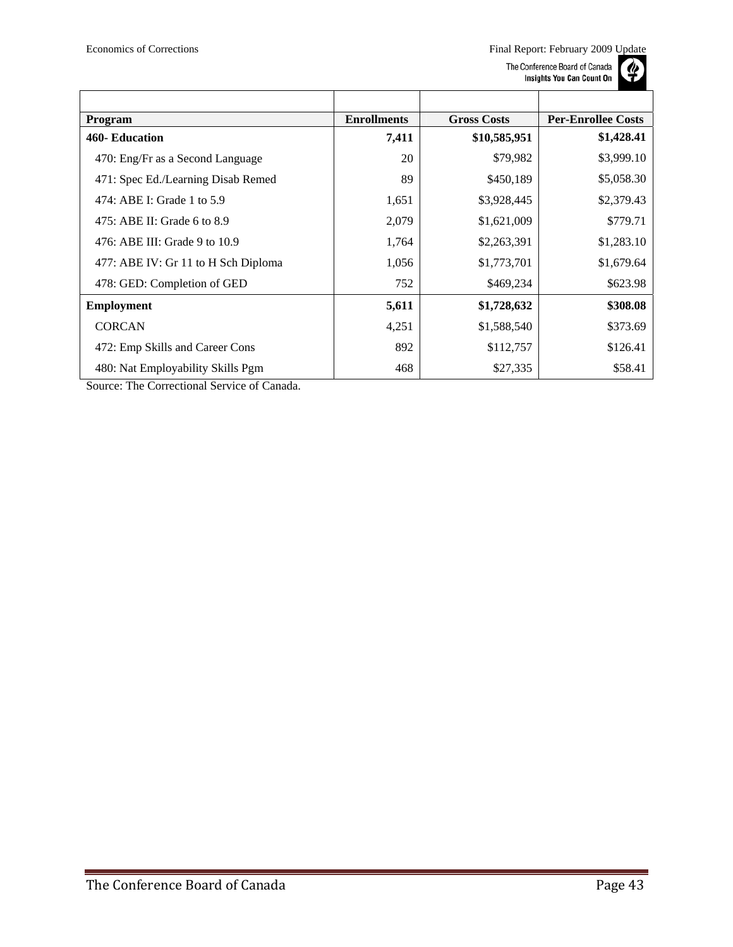

| Program                             | <b>Enrollments</b> | <b>Gross Costs</b> | <b>Per-Enrollee Costs</b> |
|-------------------------------------|--------------------|--------------------|---------------------------|
| 460- Education                      | 7,411              | \$10,585,951       | \$1,428.41                |
| 470: Eng/Fr as a Second Language    | 20                 | \$79,982           | \$3,999.10                |
| 471: Spec Ed./Learning Disab Remed  | 89                 | \$450,189          | \$5,058.30                |
| 474: ABE I: Grade 1 to 5.9          | 1,651              | \$3,928,445        | \$2,379.43                |
| 475: ABE II: Grade 6 to 8.9         | 2,079              | \$1,621,009        | \$779.71                  |
| 476: ABE III: Grade 9 to 10.9       | 1,764              | \$2,263,391        | \$1,283.10                |
| 477: ABE IV: Gr 11 to H Sch Diploma | 1,056              | \$1,773,701        | \$1,679.64                |
| 478: GED: Completion of GED         | 752                | \$469,234          | \$623.98                  |
| <b>Employment</b>                   | 5,611              | \$1,728,632        | \$308.08                  |
| <b>CORCAN</b>                       | 4,251              | \$1,588,540        | \$373.69                  |
| 472: Emp Skills and Career Cons     | 892                | \$112,757          | \$126.41                  |
| 480: Nat Employability Skills Pgm   | 468                | \$27,335           | \$58.41                   |

Source: The Correctional Service of Canada.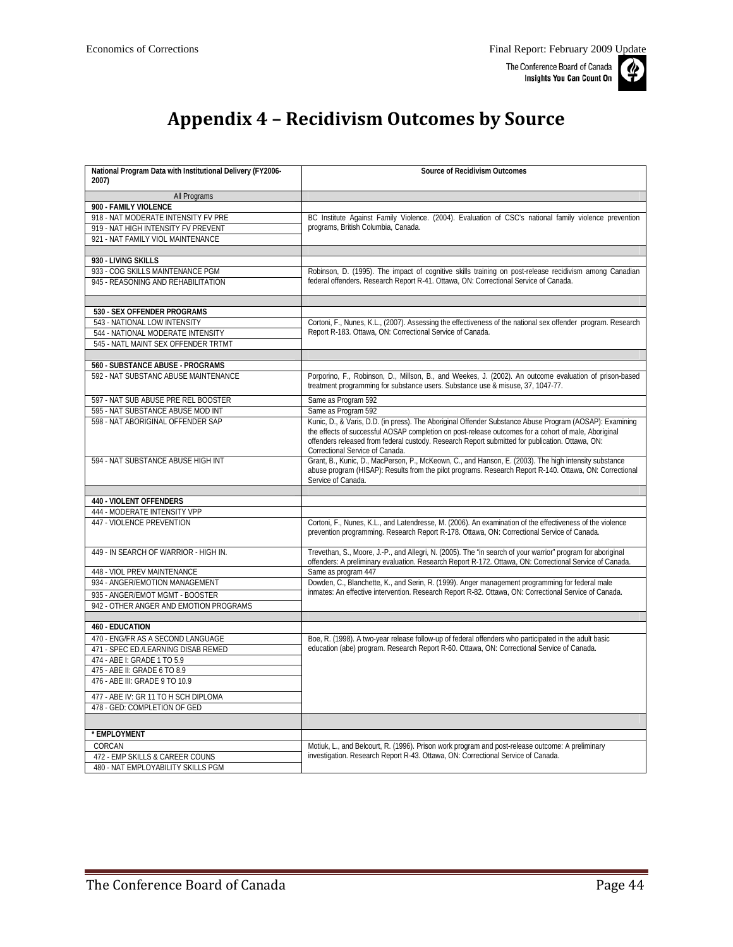

# **Appendix 4 – Recidivism Outcomes by Source**

<span id="page-43-0"></span>

| National Program Data with Institutional Delivery (FY2006- | <b>Source of Recidivism Outcomes</b>                                                                                                                                                                    |
|------------------------------------------------------------|---------------------------------------------------------------------------------------------------------------------------------------------------------------------------------------------------------|
| 2007)                                                      |                                                                                                                                                                                                         |
| All Programs                                               |                                                                                                                                                                                                         |
| 900 - FAMILY VIOLENCE                                      |                                                                                                                                                                                                         |
| 918 - NAT MODERATE INTENSITY FV PRE                        | BC Institute Against Family Violence. (2004). Evaluation of CSC's national family violence prevention                                                                                                   |
| 919 - NAT HIGH INTENSITY FV PREVENT                        | programs, British Columbia, Canada.                                                                                                                                                                     |
| 921 - NAT FAMILY VIOL MAINTENANCE                          |                                                                                                                                                                                                         |
|                                                            |                                                                                                                                                                                                         |
| 930 - LIVING SKILLS                                        |                                                                                                                                                                                                         |
| 933 - COG SKILLS MAINTENANCE PGM                           | Robinson, D. (1995). The impact of cognitive skills training on post-release recidivism among Canadian                                                                                                  |
| 945 - REASONING AND REHABILITATION                         | federal offenders. Research Report R-41. Ottawa, ON: Correctional Service of Canada.                                                                                                                    |
|                                                            |                                                                                                                                                                                                         |
| 530 - SEX OFFENDER PROGRAMS                                |                                                                                                                                                                                                         |
| 543 - NATIONAL LOW INTENSITY                               | Cortoni, F., Nunes, K.L., (2007). Assessing the effectiveness of the national sex offender program. Research                                                                                            |
| 544 - NATIONAL MODERATE INTENSITY                          | Report R-183. Ottawa, ON: Correctional Service of Canada.                                                                                                                                               |
| 545 - NATL MAINT SEX OFFENDER TRTMT                        |                                                                                                                                                                                                         |
|                                                            |                                                                                                                                                                                                         |
| 560 - SUBSTANCE ABUSE - PROGRAMS                           |                                                                                                                                                                                                         |
| 592 - NAT SUBSTANC ABUSE MAINTENANCE                       | Porporino, F., Robinson, D., Millson, B., and Weekes, J. (2002). An outcome evaluation of prison-based                                                                                                  |
|                                                            | treatment programming for substance users. Substance use & misuse, 37, 1047-77.                                                                                                                         |
| 597 - NAT SUB ABUSE PRE REL BOOSTER                        | Same as Program 592                                                                                                                                                                                     |
| 595 - NAT SUBSTANCE ABUSE MOD INT                          | Same as Program 592                                                                                                                                                                                     |
| 598 - NAT ABORIGINAL OFFENDER SAP                          | Kunic, D., & Varis, D.D. (in press). The Aboriginal Offender Substance Abuse Program (AOSAP): Examining                                                                                                 |
|                                                            | the effects of successful AOSAP completion on post-release outcomes for a cohort of male, Aboriginal<br>offenders released from federal custody. Research Report submitted for publication. Ottawa, ON: |
|                                                            | Correctional Service of Canada.                                                                                                                                                                         |
| 594 - NAT SUBSTANCE ABUSE HIGH INT                         | Grant, B., Kunic, D., MacPerson, P., McKeown, C., and Hanson, E. (2003). The high intensity substance                                                                                                   |
|                                                            | abuse program (HISAP): Results from the pilot programs. Research Report R-140. Ottawa, ON: Correctional                                                                                                 |
|                                                            | Service of Canada.                                                                                                                                                                                      |
|                                                            |                                                                                                                                                                                                         |
| <b>440 - VIOLENT OFFENDERS</b>                             |                                                                                                                                                                                                         |
| 444 - MODERATE INTENSITY VPP                               |                                                                                                                                                                                                         |
| 447 - VIOLENCE PREVENTION                                  | Cortoni, F., Nunes, K.L., and Latendresse, M. (2006). An examination of the effectiveness of the violence                                                                                               |
|                                                            | prevention programming. Research Report R-178. Ottawa, ON: Correctional Service of Canada.                                                                                                              |
| 449 - IN SFARCH OF WARRIOR - HIGH IN.                      | Trevethan, S., Moore, J.-P., and Allegri, N. (2005). The "in search of your warrior" program for aboriginal                                                                                             |
|                                                            | offenders: A preliminary evaluation. Research Report R-172. Ottawa, ON: Correctional Service of Canada.                                                                                                 |
| 448 - VIOL PREV MAINTENANCE                                | Same as program 447                                                                                                                                                                                     |
| 934 - ANGER/EMOTION MANAGEMENT                             | Dowden, C., Blanchette, K., and Serin, R. (1999). Anger management programming for federal male                                                                                                         |
| 935 - ANGER/EMOT MGMT - BOOSTER                            | inmates: An effective intervention. Research Report R-82. Ottawa, ON: Correctional Service of Canada.                                                                                                   |
| 942 - OTHER ANGER AND EMOTION PROGRAMS                     |                                                                                                                                                                                                         |
|                                                            |                                                                                                                                                                                                         |
| <b>460 - EDUCATION</b>                                     |                                                                                                                                                                                                         |
| 470 - ENG/FR AS A SECOND LANGUAGE                          | Boe, R. (1998). A two-year release follow-up of federal offenders who participated in the adult basic                                                                                                   |
| 471 - SPEC ED./LEARNING DISAB REMED                        | education (abe) program. Research Report R-60. Ottawa, ON: Correctional Service of Canada.                                                                                                              |
| 474 - ABE I: GRADE 1 TO 5.9                                |                                                                                                                                                                                                         |
| 475 - ABE II: GRADE 6 TO 8.9                               |                                                                                                                                                                                                         |
| 476 - ABE III: GRADE 9 TO 10.9                             |                                                                                                                                                                                                         |
| 477 - ABE IV: GR 11 TO H SCH DIPLOMA                       |                                                                                                                                                                                                         |
| 478 - GED: COMPLETION OF GED                               |                                                                                                                                                                                                         |
|                                                            |                                                                                                                                                                                                         |
| * EMPLOYMENT                                               |                                                                                                                                                                                                         |
| CORCAN                                                     | Motiuk, L., and Belcourt, R. (1996). Prison work program and post-release outcome: A preliminary                                                                                                        |
| 472 - EMP SKILLS & CAREER COUNS                            | investigation. Research Report R-43. Ottawa, ON: Correctional Service of Canada.                                                                                                                        |
| 480 - NAT EMPLOYABILITY SKILLS PGM                         |                                                                                                                                                                                                         |
|                                                            |                                                                                                                                                                                                         |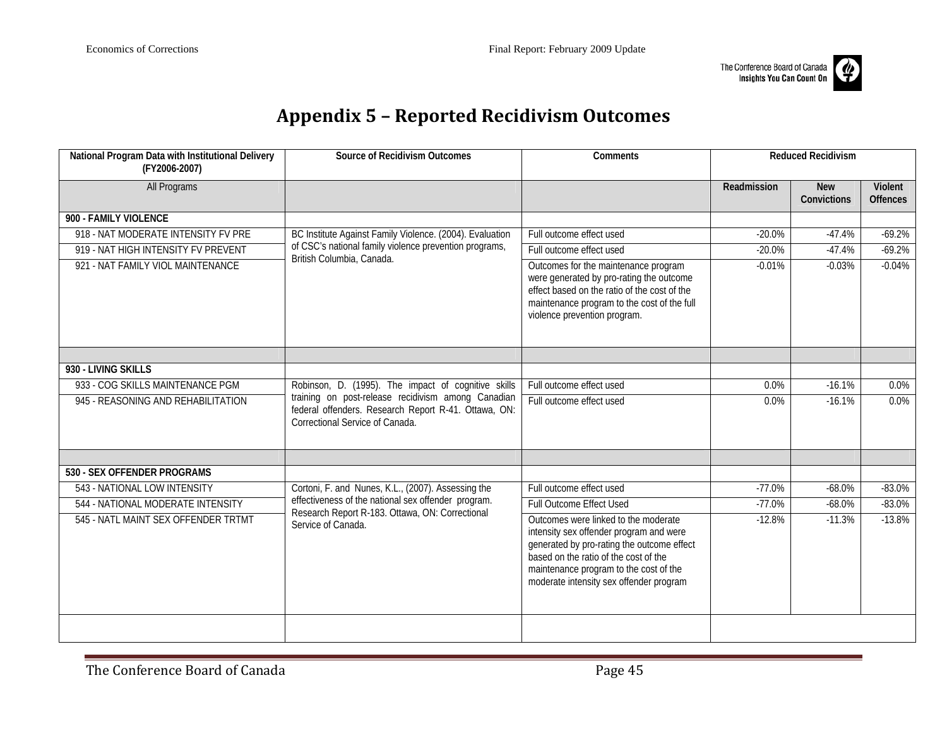

# **Appendix 5 – Reported Recidivism Outcomes**

<span id="page-44-0"></span>

| National Program Data with Institutional Delivery<br>(FY2006-2007) | Source of Recidivism Outcomes                                                                                                                 | Comments                                                                                                                                                                                                                                                    |             | <b>Reduced Recidivism</b> |                            |
|--------------------------------------------------------------------|-----------------------------------------------------------------------------------------------------------------------------------------------|-------------------------------------------------------------------------------------------------------------------------------------------------------------------------------------------------------------------------------------------------------------|-------------|---------------------------|----------------------------|
| <b>All Programs</b>                                                |                                                                                                                                               |                                                                                                                                                                                                                                                             | Readmission | <b>New</b><br>Convictions | Violent<br><b>Offences</b> |
| 900 - FAMILY VIOLENCE                                              |                                                                                                                                               |                                                                                                                                                                                                                                                             |             |                           |                            |
| 918 - NAT MODERATE INTENSITY FV PRE                                | BC Institute Against Family Violence. (2004). Evaluation                                                                                      | Full outcome effect used                                                                                                                                                                                                                                    | $-20.0%$    | $-47.4%$                  | $-69.2%$                   |
| 919 - NAT HIGH INTENSITY FV PREVENT                                | of CSC's national family violence prevention programs,                                                                                        | Full outcome effect used                                                                                                                                                                                                                                    | $-20.0%$    | $-47.4%$                  | $-69.2%$                   |
| 921 - NAT FAMILY VIOL MAINTENANCE                                  | British Columbia, Canada.                                                                                                                     | Outcomes for the maintenance program<br>were generated by pro-rating the outcome<br>effect based on the ratio of the cost of the<br>maintenance program to the cost of the full<br>violence prevention program.                                             | $-0.01%$    | $-0.03%$                  | $-0.04%$                   |
| 930 - LIVING SKILLS                                                |                                                                                                                                               |                                                                                                                                                                                                                                                             |             |                           |                            |
| 933 - COG SKILLS MAINTENANCE PGM                                   | Robinson, D. (1995). The impact of cognitive skills                                                                                           | Full outcome effect used                                                                                                                                                                                                                                    | 0.0%        | $-16.1%$                  | 0.0%                       |
| 945 - REASONING AND REHABILITATION                                 | training on post-release recidivism among Canadian<br>federal offenders. Research Report R-41. Ottawa, ON:<br>Correctional Service of Canada. | Full outcome effect used                                                                                                                                                                                                                                    | 0.0%        | $-16.1%$                  | $0.0\%$                    |
| 530 - SEX OFFENDER PROGRAMS                                        |                                                                                                                                               |                                                                                                                                                                                                                                                             |             |                           |                            |
| 543 - NATIONAL LOW INTENSITY                                       | Cortoni, F. and Nunes, K.L., (2007). Assessing the                                                                                            | Full outcome effect used                                                                                                                                                                                                                                    | $-77.0%$    | $-68.0%$                  | $-83.0%$                   |
| 544 - NATIONAL MODERATE INTENSITY                                  | effectiveness of the national sex offender program.                                                                                           | <b>Full Outcome Effect Used</b>                                                                                                                                                                                                                             | $-77.0%$    | $-68.0%$                  | $-83.0%$                   |
| 545 - NATL MAINT SEX OFFENDER TRTMT                                | Research Report R-183. Ottawa, ON: Correctional<br>Service of Canada.                                                                         | Outcomes were linked to the moderate<br>intensity sex offender program and were<br>generated by pro-rating the outcome effect<br>based on the ratio of the cost of the<br>maintenance program to the cost of the<br>moderate intensity sex offender program | $-12.8%$    | $-11.3%$                  | $-13.8%$                   |
|                                                                    |                                                                                                                                               |                                                                                                                                                                                                                                                             |             |                           |                            |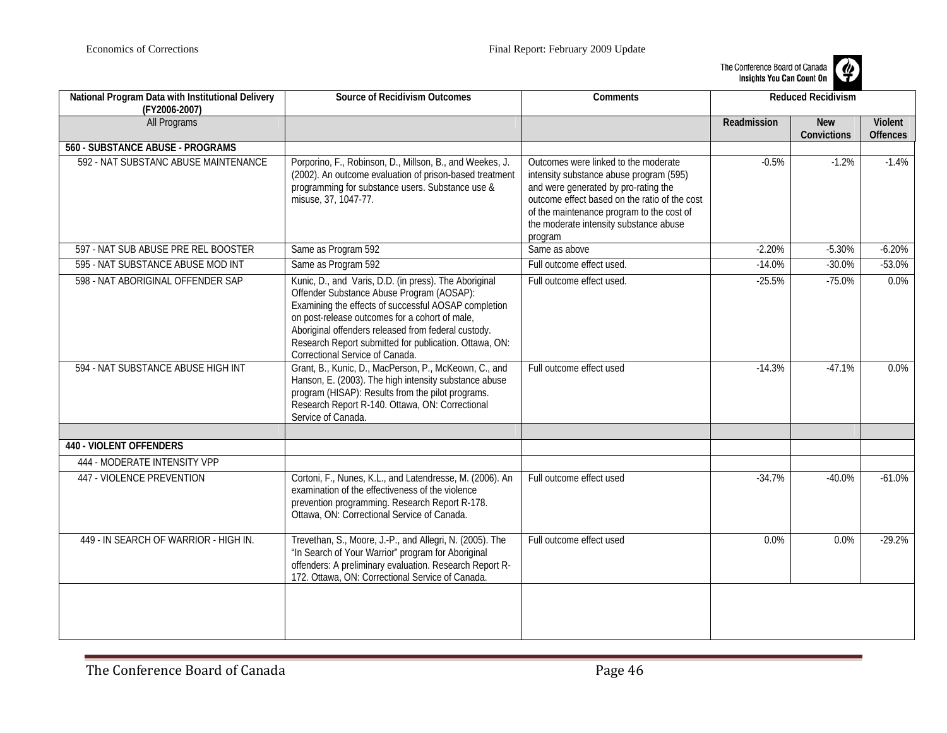

| National Program Data with Institutional Delivery<br>(FY2006-2007) | <b>Source of Recidivism Outcomes</b>                                                                                                                                                                                                                                                                                                                             | Comments                                                                                                                                                                                                                                                                   | <b>Reduced Recidivism</b> |                           |                            |
|--------------------------------------------------------------------|------------------------------------------------------------------------------------------------------------------------------------------------------------------------------------------------------------------------------------------------------------------------------------------------------------------------------------------------------------------|----------------------------------------------------------------------------------------------------------------------------------------------------------------------------------------------------------------------------------------------------------------------------|---------------------------|---------------------------|----------------------------|
| All Programs                                                       |                                                                                                                                                                                                                                                                                                                                                                  |                                                                                                                                                                                                                                                                            | Readmission               | <b>New</b><br>Convictions | Violent<br><b>Offences</b> |
| <b>560 - SUBSTANCE ABUSE - PROGRAMS</b>                            |                                                                                                                                                                                                                                                                                                                                                                  |                                                                                                                                                                                                                                                                            |                           |                           |                            |
| 592 - NAT SUBSTANC ABUSE MAINTENANCE                               | Porporino, F., Robinson, D., Millson, B., and Weekes, J.<br>(2002). An outcome evaluation of prison-based treatment<br>programming for substance users. Substance use &<br>misuse, 37, 1047-77.                                                                                                                                                                  | Outcomes were linked to the moderate<br>intensity substance abuse program (595)<br>and were generated by pro-rating the<br>outcome effect based on the ratio of the cost<br>of the maintenance program to the cost of<br>the moderate intensity substance abuse<br>program | $-0.5%$                   | $-1.2%$                   | $-1.4%$                    |
| 597 - NAT SUB ABUSE PRE REL BOOSTER                                | Same as Program 592                                                                                                                                                                                                                                                                                                                                              | Same as above                                                                                                                                                                                                                                                              | $-2.20%$                  | $-5.30%$                  | $-6.20%$                   |
| 595 - NAT SUBSTANCE ABUSE MOD INT                                  | Same as Program 592                                                                                                                                                                                                                                                                                                                                              | Full outcome effect used.                                                                                                                                                                                                                                                  | $-14.0%$                  | $-30.0%$                  | $-53.0%$                   |
| 598 - NAT ABORIGINAL OFFENDER SAP                                  | Kunic, D., and Varis, D.D. (in press). The Aboriginal<br>Offender Substance Abuse Program (AOSAP):<br>Examining the effects of successful AOSAP completion<br>on post-release outcomes for a cohort of male,<br>Aboriginal offenders released from federal custody.<br>Research Report submitted for publication. Ottawa, ON:<br>Correctional Service of Canada. | Full outcome effect used.                                                                                                                                                                                                                                                  | $-25.5%$                  | $-75.0%$                  | 0.0%                       |
| 594 - NAT SUBSTANCE ABUSE HIGH INT                                 | Grant, B., Kunic, D., MacPerson, P., McKeown, C., and<br>Hanson, E. (2003). The high intensity substance abuse<br>program (HISAP): Results from the pilot programs.<br>Research Report R-140. Ottawa, ON: Correctional<br>Service of Canada.                                                                                                                     | Full outcome effect used                                                                                                                                                                                                                                                   | $-14.3%$                  | $-47.1%$                  | 0.0%                       |
| <b>440 - VIOLENT OFFENDERS</b>                                     |                                                                                                                                                                                                                                                                                                                                                                  |                                                                                                                                                                                                                                                                            |                           |                           |                            |
| 444 - MODERATE INTENSITY VPP                                       |                                                                                                                                                                                                                                                                                                                                                                  |                                                                                                                                                                                                                                                                            |                           |                           |                            |
| 447 - VIOLENCE PREVENTION                                          | Cortoni, F., Nunes, K.L., and Latendresse, M. (2006). An<br>examination of the effectiveness of the violence<br>prevention programming. Research Report R-178.<br>Ottawa, ON: Correctional Service of Canada.                                                                                                                                                    | Full outcome effect used                                                                                                                                                                                                                                                   | $-34.7%$                  | $-40.0%$                  | $-61.0%$                   |
| 449 - IN SEARCH OF WARRIOR - HIGH IN.                              | Trevethan, S., Moore, J.-P., and Allegri, N. (2005). The<br>"In Search of Your Warrior" program for Aboriginal<br>offenders: A preliminary evaluation. Research Report R-<br>172. Ottawa, ON: Correctional Service of Canada.                                                                                                                                    | Full outcome effect used                                                                                                                                                                                                                                                   | 0.0%                      | 0.0%                      | $-29.2%$                   |
|                                                                    |                                                                                                                                                                                                                                                                                                                                                                  |                                                                                                                                                                                                                                                                            |                           |                           |                            |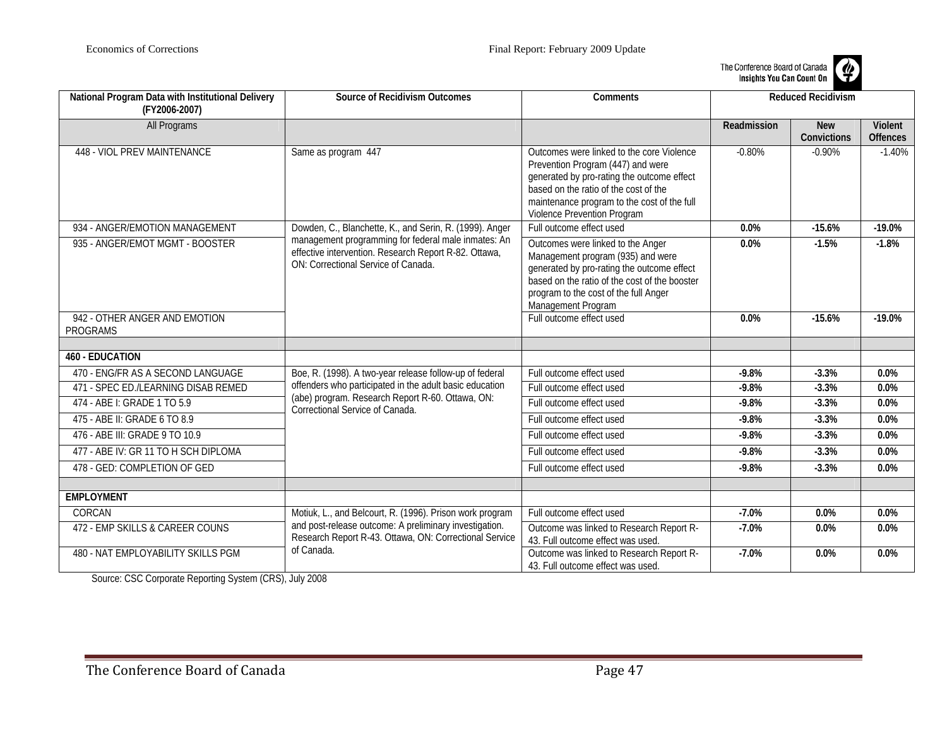

| National Program Data with Institutional Delivery<br>(FY2006-2007) | <b>Source of Recidivism Outcomes</b>                                                                                                                | Comments                                                                                                                                                                                                                                            |             | <b>Reduced Recidivism</b> |                            |
|--------------------------------------------------------------------|-----------------------------------------------------------------------------------------------------------------------------------------------------|-----------------------------------------------------------------------------------------------------------------------------------------------------------------------------------------------------------------------------------------------------|-------------|---------------------------|----------------------------|
| <b>All Programs</b>                                                |                                                                                                                                                     |                                                                                                                                                                                                                                                     | Readmission | <b>New</b><br>Convictions | Violent<br><b>Offences</b> |
| <b>448 - VIOL PREV MAINTENANCE</b>                                 | Same as program 447                                                                                                                                 | Outcomes were linked to the core Violence<br>Prevention Program (447) and were<br>generated by pro-rating the outcome effect<br>based on the ratio of the cost of the<br>maintenance program to the cost of the full<br>Violence Prevention Program | $-0.80%$    | $-0.90%$                  | $-1.40%$                   |
| 934 - ANGER/EMOTION MANAGEMENT                                     | Dowden, C., Blanchette, K., and Serin, R. (1999). Anger                                                                                             | Full outcome effect used                                                                                                                                                                                                                            | 0.0%        | $-15.6%$                  | $-19.0%$                   |
| 935 - ANGER/EMOT MGMT - BOOSTER                                    | management programming for federal male inmates: An<br>effective intervention. Research Report R-82. Ottawa,<br>ON: Correctional Service of Canada. | Outcomes were linked to the Anger<br>Management program (935) and were<br>generated by pro-rating the outcome effect<br>based on the ratio of the cost of the booster<br>program to the cost of the full Anger<br>Management Program                | 0.0%        | $-1.5%$                   | $-1.8%$                    |
| 942 - OTHER ANGER AND EMOTION<br><b>PROGRAMS</b>                   |                                                                                                                                                     | Full outcome effect used                                                                                                                                                                                                                            | 0.0%        | $-15.6%$                  | $-19.0%$                   |
|                                                                    |                                                                                                                                                     |                                                                                                                                                                                                                                                     |             |                           |                            |
| <b>460 - EDUCATION</b>                                             |                                                                                                                                                     |                                                                                                                                                                                                                                                     |             |                           |                            |
| 470 - ENG/FR AS A SECOND LANGUAGE                                  | Boe, R. (1998). A two-year release follow-up of federal                                                                                             | Full outcome effect used                                                                                                                                                                                                                            | $-9.8%$     | $-3.3%$                   | 0.0%                       |
| 471 - SPEC ED./LEARNING DISAB REMED                                | offenders who participated in the adult basic education                                                                                             | Full outcome effect used                                                                                                                                                                                                                            | $-9.8%$     | $-3.3%$                   | 0.0%                       |
| 474 - ABE I: GRADE 1 TO 5.9                                        | (abe) program. Research Report R-60. Ottawa, ON:<br>Correctional Service of Canada.                                                                 | Full outcome effect used                                                                                                                                                                                                                            | $-9.8%$     | $-3.3%$                   | 0.0%                       |
| 475 - ABE II: GRADE 6 TO 8.9                                       |                                                                                                                                                     | Full outcome effect used                                                                                                                                                                                                                            | $-9.8%$     | $-3.3%$                   | 0.0%                       |
| 476 - ABE III: GRADE 9 TO 10.9                                     |                                                                                                                                                     | Full outcome effect used                                                                                                                                                                                                                            | $-9.8%$     | $-3.3%$                   | 0.0%                       |
| 477 - ABE IV: GR 11 TO H SCH DIPLOMA                               |                                                                                                                                                     | Full outcome effect used                                                                                                                                                                                                                            | $-9.8%$     | $-3.3%$                   | 0.0%                       |
| 478 - GED: COMPLETION OF GED                                       |                                                                                                                                                     | Full outcome effect used                                                                                                                                                                                                                            | $-9.8%$     | $-3.3%$                   | 0.0%                       |
|                                                                    |                                                                                                                                                     |                                                                                                                                                                                                                                                     |             |                           |                            |
| <b>EMPLOYMENT</b>                                                  |                                                                                                                                                     |                                                                                                                                                                                                                                                     |             |                           |                            |
| CORCAN                                                             | Motiuk, L., and Belcourt, R. (1996). Prison work program                                                                                            | Full outcome effect used                                                                                                                                                                                                                            | $-7.0%$     | 0.0%                      | 0.0%                       |
| 472 - EMP SKILLS & CAREER COUNS                                    | and post-release outcome: A preliminary investigation.<br>Research Report R-43. Ottawa, ON: Correctional Service                                    | Outcome was linked to Research Report R-<br>43. Full outcome effect was used.                                                                                                                                                                       | $-7.0%$     | $0.0\%$                   | 0.0%                       |
| 480 - NAT EMPLOYABILITY SKILLS PGM                                 | of Canada.                                                                                                                                          | Outcome was linked to Research Report R-<br>43. Full outcome effect was used.                                                                                                                                                                       | $-7.0%$     | $0.0\%$                   | 0.0%                       |

Source: CSC Corporate Reporting System (CRS), July 2008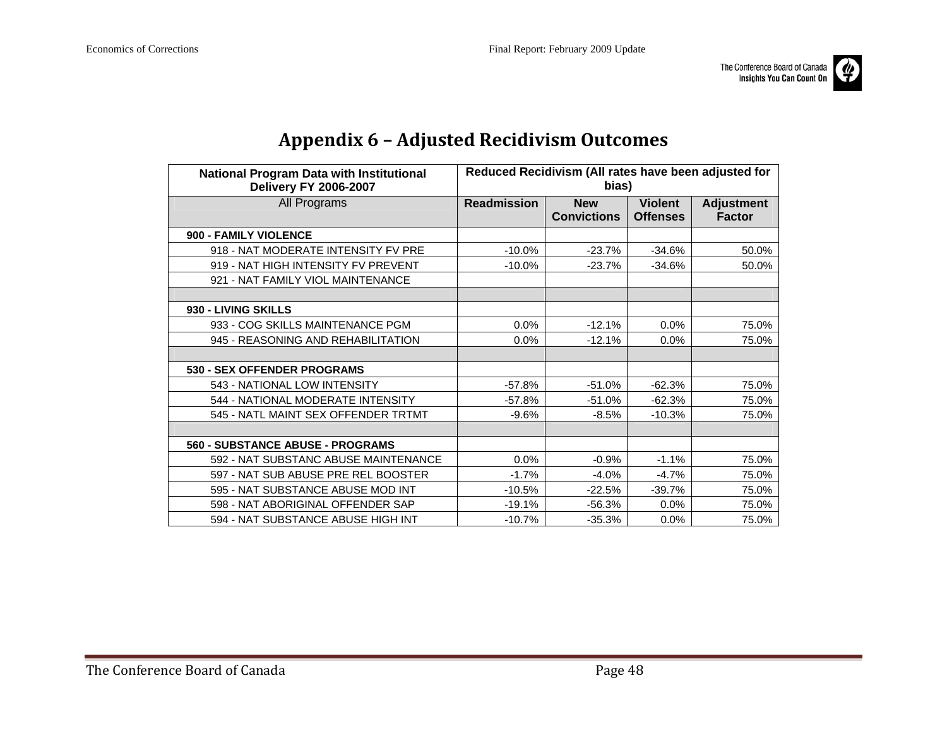

| nя<br>Πn | m |
|----------|---|
|          |   |

<span id="page-47-0"></span>

| <b>National Program Data with Institutional</b><br><b>Delivery FY 2006-2007</b> | Reduced Recidivism (All rates have been adjusted for<br>bias) |                                  |                                   |                                    |
|---------------------------------------------------------------------------------|---------------------------------------------------------------|----------------------------------|-----------------------------------|------------------------------------|
| All Programs                                                                    | <b>Readmission</b>                                            | <b>New</b><br><b>Convictions</b> | <b>Violent</b><br><b>Offenses</b> | <b>Adjustment</b><br><b>Factor</b> |
| 900 - FAMILY VIOLENCE                                                           |                                                               |                                  |                                   |                                    |
| 918 - NAT MODERATE INTENSITY FV PRE                                             | $-10.0%$                                                      | $-23.7%$                         | $-34.6%$                          | 50.0%                              |
| 919 - NAT HIGH INTENSITY FV PREVENT                                             | $-10.0%$                                                      | $-23.7%$                         | $-34.6%$                          | 50.0%                              |
| 921 - NAT FAMILY VIOL MAINTENANCE                                               |                                                               |                                  |                                   |                                    |
|                                                                                 |                                                               |                                  |                                   |                                    |
| 930 - LIVING SKILLS                                                             |                                                               |                                  |                                   |                                    |
| 933 - COG SKILLS MAINTENANCE PGM                                                | $0.0\%$                                                       | $-12.1%$                         | $0.0\%$                           | 75.0%                              |
| 945 - REASONING AND REHABILITATION                                              | 0.0%                                                          | -12.1%                           | $0.0\%$                           | 75.0%                              |
|                                                                                 |                                                               |                                  |                                   |                                    |
| 530 - SEX OFFENDER PROGRAMS                                                     |                                                               |                                  |                                   |                                    |
| 543 - NATIONAL LOW INTENSITY                                                    | $-57.8%$                                                      | $-51.0%$                         | $-62.3%$                          | 75.0%                              |
| 544 - NATIONAL MODERATE INTENSITY                                               | $-57.8%$                                                      | $-51.0%$                         | $-62.3%$                          | 75.0%                              |
| 545 - NATL MAINT SEX OFFENDER TRTMT                                             | -9.6%                                                         | $-8.5%$                          | $-10.3%$                          | 75.0%                              |
|                                                                                 |                                                               |                                  |                                   |                                    |
| 560 - SUBSTANCE ABUSE - PROGRAMS                                                |                                                               |                                  |                                   |                                    |
| 592 - NAT SUBSTANC ABUSE MAINTENANCE                                            | 0.0%                                                          | $-0.9%$                          | $-1.1%$                           | 75.0%                              |
| 597 - NAT SUB ABUSE PRE REL BOOSTER                                             | $-1.7%$                                                       | $-4.0%$                          | $-4.7%$                           | 75.0%                              |
| 595 - NAT SUBSTANCE ABUSE MOD INT                                               | $-10.5%$                                                      | $-22.5%$                         | $-39.7%$                          | 75.0%                              |
| 598 - NAT ABORIGINAL OFFENDER SAP                                               | $-19.1%$                                                      | $-56.3%$                         | $0.0\%$                           | 75.0%                              |
| 594 - NAT SUBSTANCE ABUSE HIGH INT                                              | $-10.7%$                                                      | $-35.3%$                         | 0.0%                              | 75.0%                              |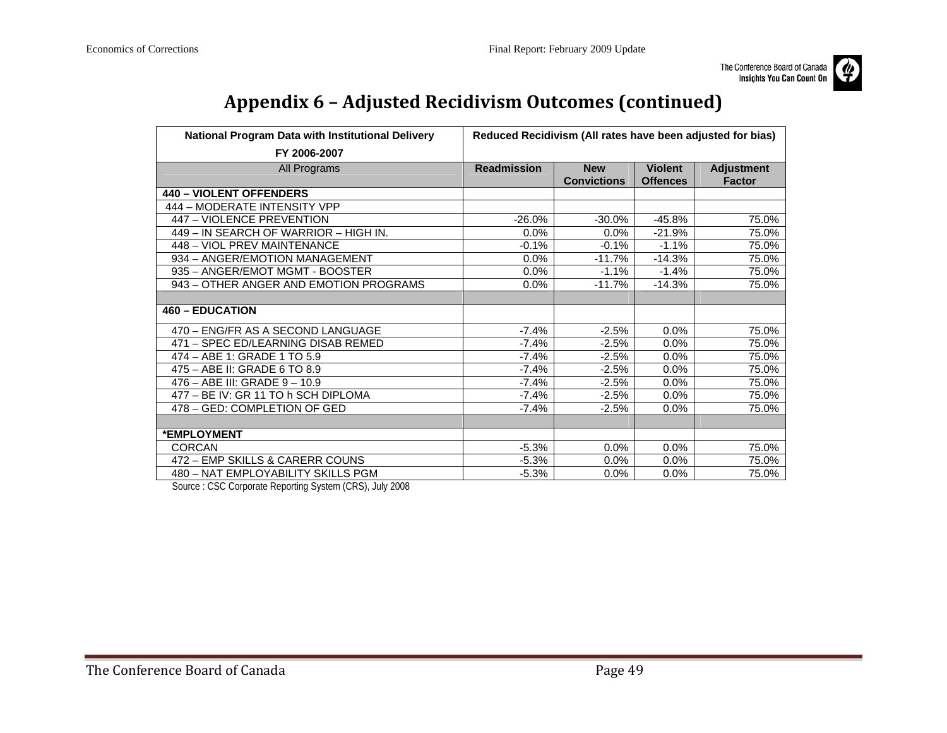

# **Appendix 6 – Adjusted Recidivism Outcomes (continued)**

| National Program Data with Institutional Delivery                                | Reduced Recidivism (All rates have been adjusted for bias) |                                  |                                   |                                    |  |
|----------------------------------------------------------------------------------|------------------------------------------------------------|----------------------------------|-----------------------------------|------------------------------------|--|
| FY 2006-2007                                                                     |                                                            |                                  |                                   |                                    |  |
| All Programs                                                                     | <b>Readmission</b>                                         | <b>New</b><br><b>Convictions</b> | <b>Violent</b><br><b>Offences</b> | <b>Adjustment</b><br><b>Factor</b> |  |
| <b>440 - VIOLENT OFFENDERS</b>                                                   |                                                            |                                  |                                   |                                    |  |
| 444 - MODERATE INTENSITY VPP                                                     |                                                            |                                  |                                   |                                    |  |
| 447 - VIOLENCE PREVENTION                                                        | $-26.0%$                                                   | $-30.0%$                         | $-45.8%$                          | 75.0%                              |  |
| 449 – IN SEARCH OF WARRIOR – HIGH IN.                                            | $0.0\%$                                                    | 0.0%                             | $-21.9%$                          | 75.0%                              |  |
| 448 - VIOL PREV MAINTENANCE                                                      | $-0.1%$                                                    | $-0.1%$                          | $-1.1%$                           | 75.0%                              |  |
| 934 - ANGER/EMOTION MANAGEMENT                                                   | 0.0%                                                       | $-11.7%$                         | $-14.3%$                          | 75.0%                              |  |
| 935 - ANGER/EMOT MGMT - BOOSTER                                                  | $0.0\%$                                                    | $-1.1%$                          | $-1.4%$                           | 75.0%                              |  |
| 943 – OTHER ANGER AND EMOTION PROGRAMS                                           | 0.0%                                                       | $-11.7%$                         | $-14.3%$                          | 75.0%                              |  |
|                                                                                  |                                                            |                                  |                                   |                                    |  |
| <b>460 - EDUCATION</b>                                                           |                                                            |                                  |                                   |                                    |  |
| 470 - ENG/FR AS A SECOND LANGUAGE                                                | $-7.4%$                                                    | $-2.5%$                          | 0.0%                              | 75.0%                              |  |
| 471 - SPEC ED/LEARNING DISAB REMED                                               | $-7.4%$                                                    | $-2.5%$                          | $0.0\%$                           | 75.0%                              |  |
| 474 - ABE 1: GRADE 1 TO 5.9                                                      | -7.4%                                                      | $-2.5%$                          | 0.0%                              | 75.0%                              |  |
| 475 - ABE II: GRADE 6 TO 8.9                                                     | $-7.4%$                                                    | $-2.5%$                          | 0.0%                              | 75.0%                              |  |
| 476 - ABE III: GRADE 9 - 10.9                                                    | $-7.4%$                                                    | $-2.5%$                          | 0.0%                              | 75.0%                              |  |
| 477 - BE IV: GR 11 TO h SCH DIPLOMA                                              | $-7.4%$                                                    | $-2.5%$                          | 0.0%                              | 75.0%                              |  |
| 478 - GED: COMPLETION OF GED                                                     | $-7.4%$                                                    | $-2.5%$                          | 0.0%                              | 75.0%                              |  |
|                                                                                  |                                                            |                                  |                                   |                                    |  |
| *EMPLOYMENT                                                                      |                                                            |                                  |                                   |                                    |  |
| <b>CORCAN</b>                                                                    | $-5.3\%$                                                   | 0.0%                             | 0.0%                              | 75.0%                              |  |
| 472 - EMP SKILLS & CARERR COUNS                                                  | $-5.3%$                                                    | 0.0%                             | 0.0%                              | 75.0%                              |  |
| 480 - NAT EMPLOYABILITY SKILLS PGM<br>$(0.001 + 1.0000)$<br>$\sim$ $\sim$ $\sim$ | $-5.3%$                                                    | $0.0\%$                          | 0.0%                              | 75.0%                              |  |

Source : CSC Corporate Reporting System (CRS), July 2008